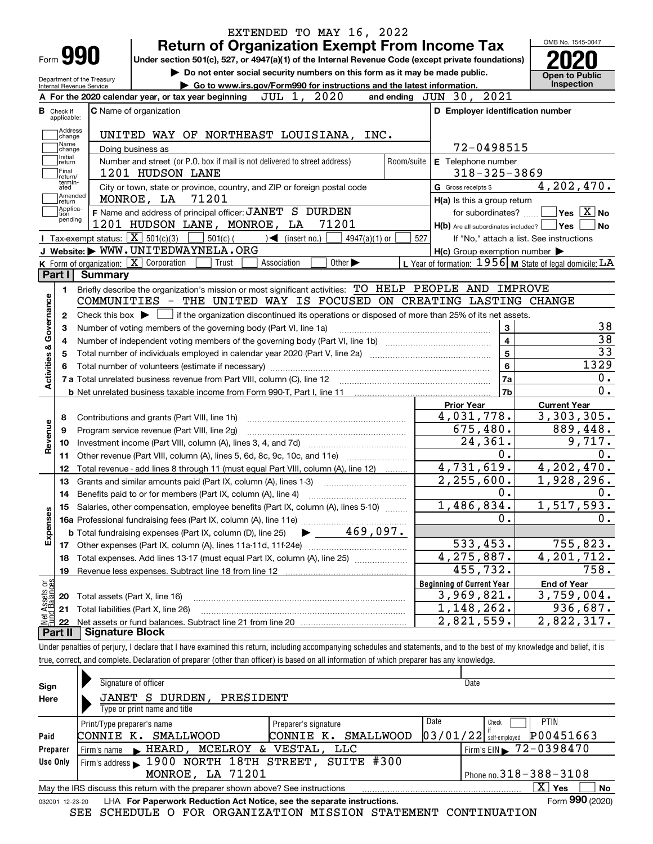| Form <b>990</b>                                        | <b>Return of Organization Exempt From Income Tax</b><br>Under section 501(c), 527, or 4947(a)(1) of the Internal Revenue Code (except private foundations) |                                                             | OMB No. 1545-0047                          |
|--------------------------------------------------------|------------------------------------------------------------------------------------------------------------------------------------------------------------|-------------------------------------------------------------|--------------------------------------------|
|                                                        | Do not enter social security numbers on this form as it may be made public.                                                                                |                                                             |                                            |
| Department of the Treasury<br>Internal Revenue Service | Go to www.irs.gov/Form990 for instructions and the latest information.                                                                                     |                                                             | <b>Open to Public</b><br><b>Inspection</b> |
|                                                        | 2020<br>JUL 1,<br>A For the 2020 calendar year, or tax year beginning                                                                                      | and ending JUN 30, 2021                                     |                                            |
| <b>B</b> Check if<br>applicable:                       | <b>C</b> Name of organization                                                                                                                              | D Employer identification number                            |                                            |
| Address<br>change                                      | UNITED WAY OF NORTHEAST LOUISIANA, INC.                                                                                                                    |                                                             |                                            |
| Name<br>change                                         | Doing business as                                                                                                                                          | 72-0498515                                                  |                                            |
| Initial<br>return                                      | Number and street (or P.O. box if mail is not delivered to street address)                                                                                 | E Telephone number<br>Room/suite                            |                                            |
| Final<br>return/                                       | 1201 HUDSON LANE                                                                                                                                           | $318 - 325 - 3869$                                          |                                            |
| termin-<br>ated                                        | City or town, state or province, country, and ZIP or foreign postal code                                                                                   | G Gross receipts \$                                         | 4,202,470.                                 |
| Amended<br>return]                                     | MONROE, LA<br>71201                                                                                                                                        | H(a) Is this a group return                                 |                                            |
| Applica-<br>tion                                       | F Name and address of principal officer: JANET S DURDEN                                                                                                    | for subordinates?                                           | $\sqrt{}$ Yes $\sqrt{}$ X $\sqrt{}$ No     |
| pending                                                | 1201 HUDSON LANE, MONROE, LA<br>71201                                                                                                                      | $H(b)$ Are all subordinates included? $\Box$ Yes            | ∣ No                                       |
|                                                        | Tax-exempt status: $\boxed{\mathbf{X}}$ 501(c)(3) [<br>$501(c)$ (<br>$\mathcal{A}$ (insert no.)<br>$4947(a)(1)$ or                                         | 527                                                         | If "No," attach a list. See instructions   |
|                                                        | J Website: WWW.UNITEDWAYNELA.ORG                                                                                                                           | $H(c)$ Group exemption number $\blacktriangleright$         |                                            |
|                                                        | K Form of organization: $\boxed{\mathbf{X}}$ Corporation<br>Other $\blacktriangleright$<br>Trust<br>Association                                            | L Year of formation: $1956$ M State of legal domicile: $LA$ |                                            |
| Part I                                                 | Summary                                                                                                                                                    |                                                             |                                            |
| 1.                                                     | Briefly describe the organization's mission or most significant activities: TO HELP PEOPLE AND IMPROVE                                                     |                                                             |                                            |
|                                                        | COMMUNITIES - THE UNITED WAY IS FOCUSED ON CREATING LASTING CHANGE                                                                                         |                                                             |                                            |
| Governance<br>2                                        | if the organization discontinued its operations or disposed of more than 25% of its net assets.<br>Check this box $\blacktriangleright$ $\Box$             |                                                             |                                            |
| З                                                      | Number of voting members of the governing body (Part VI, line 1a)                                                                                          | 3                                                           |                                            |
| 4                                                      |                                                                                                                                                            | $\overline{\mathbf{4}}$                                     |                                            |
| 5                                                      |                                                                                                                                                            | $5\phantom{a}$                                              |                                            |
|                                                        |                                                                                                                                                            | 6                                                           | 1329                                       |
| <b>Activities &amp;</b>                                |                                                                                                                                                            | 7a                                                          |                                            |
|                                                        |                                                                                                                                                            | 7b                                                          |                                            |
|                                                        |                                                                                                                                                            | <b>Prior Year</b>                                           | <b>Current Year</b>                        |
| 8                                                      | Contributions and grants (Part VIII, line 1h)                                                                                                              | 4,031,778.                                                  | 3,303,305.                                 |
| 9                                                      | Program service revenue (Part VIII, line 2g)                                                                                                               | 675,480.                                                    | 889,448.                                   |
| Revenue<br>10                                          |                                                                                                                                                            | 24,361.                                                     | 9,717.                                     |
| 11                                                     | Other revenue (Part VIII, column (A), lines 5, 6d, 8c, 9c, 10c, and 11e)                                                                                   | $0$ .                                                       |                                            |
| 12                                                     | Total revenue - add lines 8 through 11 (must equal Part VIII, column (A), line 12)                                                                         | 4,731,619.                                                  | 4,202,470.                                 |
| 13                                                     | Grants and similar amounts paid (Part IX, column (A), lines 1-3)                                                                                           | $\overline{2,255,600}$ .                                    | 1,928,296.                                 |
| 14                                                     |                                                                                                                                                            | $0$ .                                                       |                                            |
|                                                        | 15 Salaries, other compensation, employee benefits (Part IX, column (A), lines 5-10)                                                                       | 1,486,834.                                                  | 1,517,593.                                 |
|                                                        |                                                                                                                                                            | 0.                                                          |                                            |
| Expenses                                               | $469,097$ .<br><b>b</b> Total fundraising expenses (Part IX, column (D), line 25)                                                                          |                                                             |                                            |
| 17                                                     |                                                                                                                                                            | 533,453.                                                    | 755,823.                                   |
| 18                                                     | Total expenses. Add lines 13-17 (must equal Part IX, column (A), line 25) [                                                                                | 4, 275, 887.                                                | 4,201,712.                                 |
| 19                                                     | Revenue less expenses. Subtract line 18 from line 12                                                                                                       | 455,732.                                                    | 758.                                       |
|                                                        |                                                                                                                                                            | <b>Beginning of Current Year</b>                            | <b>End of Year</b>                         |
|                                                        | Total assets (Part X, line 16)                                                                                                                             | 3,969,821.                                                  | 3,759,004.                                 |
|                                                        |                                                                                                                                                            | 1,148,262.                                                  | 936,687.                                   |
| 20                                                     |                                                                                                                                                            |                                                             |                                            |
| t Assets or<br>d Balances<br>21<br>鲳<br>22             | Total liabilities (Part X, line 26)                                                                                                                        | 2,821,559.                                                  | 2,822,317.                                 |

| Sign<br>Here    | Signature of officer<br>DURDEN,<br>PRESIDENT<br>-S<br>JANET<br>Type or print name and title |           | Date                                         |  |  |  |  |  |  |  |  |
|-----------------|---------------------------------------------------------------------------------------------|-----------|----------------------------------------------|--|--|--|--|--|--|--|--|
|                 | Print/Type preparer's name<br>Preparer's signature                                          | Date      | <b>PTIN</b><br>Check                         |  |  |  |  |  |  |  |  |
| Paid            | SMALLWOOD<br>CONNIE K.<br>CONNIE<br>к.                                                      | SMALLWOOD | P00451663<br>$03/01/22$ self-employed        |  |  |  |  |  |  |  |  |
| Preparer        | MCELROY & VESTAL.<br>HEARD,<br>Firm's name                                                  | LLC       | $1$ Firm's EIN $\triangleright$ 72 - 0398470 |  |  |  |  |  |  |  |  |
| Use Only        | Firm's address 1900 NORTH 18TH STREET, SUITE #300                                           |           |                                              |  |  |  |  |  |  |  |  |
|                 | Phone no. $318 - 388 - 3108$<br>MONROE, LA 71201                                            |           |                                              |  |  |  |  |  |  |  |  |
|                 | May the IRS discuss this return with the preparer shown above? See instructions             |           | x<br><b>Yes</b><br>No                        |  |  |  |  |  |  |  |  |
| 032001 12-23-20 | LHA For Paperwork Reduction Act Notice, see the separate instructions.                      |           | Form 990 (2020)                              |  |  |  |  |  |  |  |  |

SEE SCHEDULE O FOR ORGANIZATION MISSION STATEMENT CONTINUATION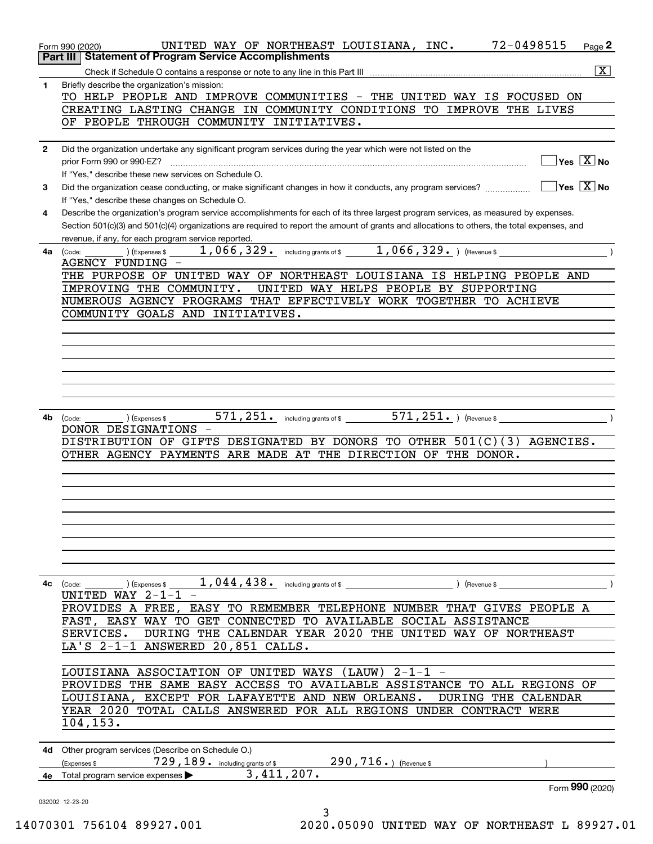|              | 72-0498515<br>UNITED WAY OF NORTHEAST LOUISIANA, INC.<br>$Page$ 2<br>Form 990 (2020)                                                                                                                               |
|--------------|--------------------------------------------------------------------------------------------------------------------------------------------------------------------------------------------------------------------|
| Part III     | <b>Statement of Program Service Accomplishments</b>                                                                                                                                                                |
|              | $\vert X \vert$                                                                                                                                                                                                    |
| 1            | Briefly describe the organization's mission:<br>TO HELP PEOPLE AND IMPROVE COMMUNITIES - THE UNITED WAY IS FOCUSED ON<br>CREATING LASTING CHANGE IN COMMUNITY CONDITIONS TO IMPROVE THE LIVES                      |
|              | OF PEOPLE THROUGH COMMUNITY INITIATIVES.                                                                                                                                                                           |
|              |                                                                                                                                                                                                                    |
| $\mathbf{2}$ | Did the organization undertake any significant program services during the year which were not listed on the                                                                                                       |
|              | $\Box$ Yes $[\overline{\mathrm{X}}]$ No<br>prior Form 990 or 990-EZ?                                                                                                                                               |
|              | If "Yes," describe these new services on Schedule O.                                                                                                                                                               |
| 3            | $\boxed{\phantom{1}}$ Yes $\boxed{\text{X}}$ No<br>Did the organization cease conducting, or make significant changes in how it conducts, any program services?<br>If "Yes," describe these changes on Schedule O. |
| 4            | Describe the organization's program service accomplishments for each of its three largest program services, as measured by expenses.                                                                               |
|              | Section 501(c)(3) and 501(c)(4) organizations are required to report the amount of grants and allocations to others, the total expenses, and<br>revenue, if any, for each program service reported.                |
| 4a           | 1, 066, 329. including grants of \$ 1, 066, 329. ) (Revenue \$<br>$\overline{\phantom{a}}$<br>(Expenses \$<br>(Code:                                                                                               |
|              | AGENCY FUNDING -                                                                                                                                                                                                   |
|              | THE PURPOSE OF UNITED WAY OF NORTHEAST LOUISIANA IS HELPING PEOPLE AND                                                                                                                                             |
|              | IMPROVING THE COMMUNITY.<br>UNITED WAY HELPS PEOPLE BY SUPPORTING                                                                                                                                                  |
|              | NUMEROUS AGENCY PROGRAMS THAT EFFECTIVELY WORK TOGETHER TO ACHIEVE                                                                                                                                                 |
|              | COMMUNITY GOALS AND INITIATIVES.                                                                                                                                                                                   |
|              |                                                                                                                                                                                                                    |
|              |                                                                                                                                                                                                                    |
|              |                                                                                                                                                                                                                    |
|              |                                                                                                                                                                                                                    |
|              |                                                                                                                                                                                                                    |
|              |                                                                                                                                                                                                                    |
|              |                                                                                                                                                                                                                    |
| 4b           | $571, 251$ . including grants of \$ $571, 251$ . (Revenue \$<br>) (Expenses \$<br>(Code:                                                                                                                           |
|              | DONOR DESIGNATIONS -                                                                                                                                                                                               |
|              | DISTRIBUTION OF GIFTS DESIGNATED BY DONORS TO OTHER 501(C)(3) AGENCIES.                                                                                                                                            |
|              | OTHER AGENCY PAYMENTS ARE MADE AT THE DIRECTION OF THE DONOR.                                                                                                                                                      |
|              |                                                                                                                                                                                                                    |
|              |                                                                                                                                                                                                                    |
|              |                                                                                                                                                                                                                    |
|              |                                                                                                                                                                                                                    |
|              |                                                                                                                                                                                                                    |
|              |                                                                                                                                                                                                                    |
|              |                                                                                                                                                                                                                    |
|              |                                                                                                                                                                                                                    |
|              |                                                                                                                                                                                                                    |
| 4с           | $1,044,438$ encluding grants of \$<br>$\left(\text{Code:}\right)$ $\left(\text{Expenses $}\right)$<br>) (Revenue \$                                                                                                |
|              | UNITED WAY $2-1-1$ -                                                                                                                                                                                               |
|              | PROVIDES A FREE, EASY TO REMEMBER TELEPHONE NUMBER THAT GIVES PEOPLE A                                                                                                                                             |
|              | FAST, EASY WAY TO GET CONNECTED TO AVAILABLE SOCIAL ASSISTANCE                                                                                                                                                     |
|              | DURING THE CALENDAR YEAR 2020 THE UNITED WAY OF NORTHEAST<br>SERVICES.                                                                                                                                             |
|              | LA'S 2-1-1 ANSWERED 20,851 CALLS.                                                                                                                                                                                  |
|              |                                                                                                                                                                                                                    |
|              | LOUISIANA ASSOCIATION OF UNITED WAYS (LAUW) 2-1-1 -                                                                                                                                                                |
|              | PROVIDES THE SAME EASY ACCESS TO AVAILABLE ASSISTANCE TO ALL REGIONS OF                                                                                                                                            |
|              |                                                                                                                                                                                                                    |
|              | LOUISIANA, EXCEPT FOR LAFAYETTE AND NEW ORLEANS.<br>DURING THE CALENDAR                                                                                                                                            |
|              | YEAR 2020 TOTAL CALLS ANSWERED FOR ALL REGIONS UNDER CONTRACT WERE                                                                                                                                                 |
|              | 104,153.                                                                                                                                                                                                           |
|              |                                                                                                                                                                                                                    |
|              | 4d Other program services (Describe on Schedule O.)                                                                                                                                                                |
|              | $290, 716.$ (Revenue \$)<br>729, 189. including grants of \$<br>(Expenses \$                                                                                                                                       |
|              | 3,411,207.<br>4e Total program service expenses                                                                                                                                                                    |
|              | Form 990 (2020)                                                                                                                                                                                                    |
|              | 032002 12-23-20                                                                                                                                                                                                    |
|              | 3                                                                                                                                                                                                                  |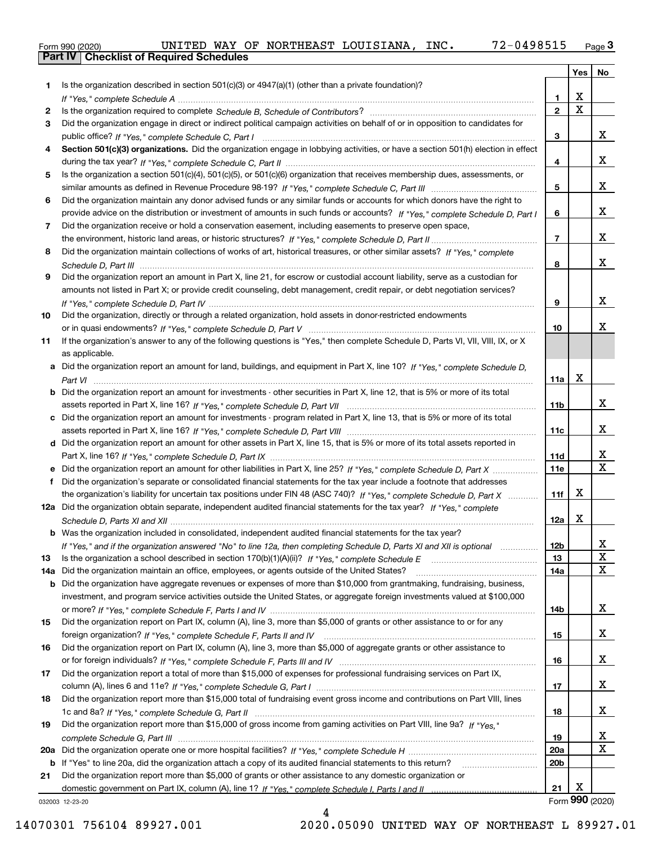|  | Form 990 (2020) |
|--|-----------------|

|     |                                                                                                                                                                                                                                                   |                  | Yes                     | No                |
|-----|---------------------------------------------------------------------------------------------------------------------------------------------------------------------------------------------------------------------------------------------------|------------------|-------------------------|-------------------|
| 1.  | Is the organization described in section $501(c)(3)$ or $4947(a)(1)$ (other than a private foundation)?                                                                                                                                           |                  |                         |                   |
|     |                                                                                                                                                                                                                                                   | 1.               | X                       |                   |
| 2   |                                                                                                                                                                                                                                                   | $\overline{2}$   | $\overline{\mathbf{x}}$ |                   |
| 3   | Did the organization engage in direct or indirect political campaign activities on behalf of or in opposition to candidates for                                                                                                                   |                  |                         |                   |
|     |                                                                                                                                                                                                                                                   | 3                |                         | x                 |
| 4   | Section 501(c)(3) organizations. Did the organization engage in lobbying activities, or have a section 501(h) election in effect                                                                                                                  |                  |                         |                   |
|     |                                                                                                                                                                                                                                                   | 4                |                         | x                 |
| 5   | Is the organization a section 501(c)(4), 501(c)(5), or 501(c)(6) organization that receives membership dues, assessments, or                                                                                                                      |                  |                         | x                 |
|     |                                                                                                                                                                                                                                                   | 5                |                         |                   |
| 6   | Did the organization maintain any donor advised funds or any similar funds or accounts for which donors have the right to                                                                                                                         |                  |                         | x                 |
| 7   | provide advice on the distribution or investment of amounts in such funds or accounts? If "Yes," complete Schedule D, Part I<br>Did the organization receive or hold a conservation easement, including easements to preserve open space,         | 6                |                         |                   |
|     |                                                                                                                                                                                                                                                   | $\overline{7}$   |                         | x                 |
| 8   | Did the organization maintain collections of works of art, historical treasures, or other similar assets? If "Yes," complete                                                                                                                      |                  |                         |                   |
|     |                                                                                                                                                                                                                                                   | 8                |                         | x                 |
| 9   | Did the organization report an amount in Part X, line 21, for escrow or custodial account liability, serve as a custodian for                                                                                                                     |                  |                         |                   |
|     | amounts not listed in Part X; or provide credit counseling, debt management, credit repair, or debt negotiation services?                                                                                                                         |                  |                         |                   |
|     |                                                                                                                                                                                                                                                   | 9                |                         | x                 |
| 10  | Did the organization, directly or through a related organization, hold assets in donor-restricted endowments                                                                                                                                      |                  |                         |                   |
|     |                                                                                                                                                                                                                                                   | 10               |                         | x.                |
| 11  | If the organization's answer to any of the following questions is "Yes," then complete Schedule D, Parts VI, VII, VIII, IX, or X                                                                                                                  |                  |                         |                   |
|     | as applicable.                                                                                                                                                                                                                                    |                  |                         |                   |
|     | a Did the organization report an amount for land, buildings, and equipment in Part X, line 10? If "Yes," complete Schedule D,                                                                                                                     |                  |                         |                   |
|     |                                                                                                                                                                                                                                                   | 11a              | X                       |                   |
|     | <b>b</b> Did the organization report an amount for investments - other securities in Part X, line 12, that is 5% or more of its total                                                                                                             |                  |                         |                   |
|     |                                                                                                                                                                                                                                                   | 11 <sub>b</sub>  |                         | x                 |
|     | c Did the organization report an amount for investments - program related in Part X, line 13, that is 5% or more of its total                                                                                                                     |                  |                         |                   |
|     |                                                                                                                                                                                                                                                   | 11c              |                         | X.                |
|     | d Did the organization report an amount for other assets in Part X, line 15, that is 5% or more of its total assets reported in                                                                                                                   |                  |                         |                   |
|     |                                                                                                                                                                                                                                                   | 11d              |                         | x<br>$\mathbf{x}$ |
|     |                                                                                                                                                                                                                                                   | 11e              |                         |                   |
| f   | Did the organization's separate or consolidated financial statements for the tax year include a footnote that addresses<br>the organization's liability for uncertain tax positions under FIN 48 (ASC 740)? If "Yes," complete Schedule D, Part X | 11f              | х                       |                   |
|     | 12a Did the organization obtain separate, independent audited financial statements for the tax year? If "Yes," complete                                                                                                                           |                  |                         |                   |
|     |                                                                                                                                                                                                                                                   | 12a              | x                       |                   |
|     | <b>b</b> Was the organization included in consolidated, independent audited financial statements for the tax year?                                                                                                                                |                  |                         |                   |
|     | If "Yes," and if the organization answered "No" to line 12a, then completing Schedule D, Parts XI and XII is optional                                                                                                                             | 12b              |                         | A                 |
| 13  |                                                                                                                                                                                                                                                   | 13               |                         | $\mathbf X$       |
| 14a | Did the organization maintain an office, employees, or agents outside of the United States?                                                                                                                                                       | 14a              |                         | X                 |
|     | <b>b</b> Did the organization have aggregate revenues or expenses of more than \$10,000 from grantmaking, fundraising, business,                                                                                                                  |                  |                         |                   |
|     | investment, and program service activities outside the United States, or aggregate foreign investments valued at \$100,000                                                                                                                        |                  |                         |                   |
|     |                                                                                                                                                                                                                                                   | 14b              |                         | X.                |
| 15  | Did the organization report on Part IX, column (A), line 3, more than \$5,000 of grants or other assistance to or for any                                                                                                                         |                  |                         |                   |
|     |                                                                                                                                                                                                                                                   | 15               |                         | x                 |
| 16  | Did the organization report on Part IX, column (A), line 3, more than \$5,000 of aggregate grants or other assistance to                                                                                                                          |                  |                         |                   |
|     |                                                                                                                                                                                                                                                   | 16               |                         | x                 |
| 17  | Did the organization report a total of more than \$15,000 of expenses for professional fundraising services on Part IX,                                                                                                                           |                  |                         |                   |
|     |                                                                                                                                                                                                                                                   | 17               |                         | x                 |
| 18  | Did the organization report more than \$15,000 total of fundraising event gross income and contributions on Part VIII, lines                                                                                                                      |                  |                         |                   |
|     |                                                                                                                                                                                                                                                   | 18               |                         | x                 |
| 19  | Did the organization report more than \$15,000 of gross income from gaming activities on Part VIII, line 9a? If "Yes."                                                                                                                            |                  |                         | x                 |
|     |                                                                                                                                                                                                                                                   | 19<br><b>20a</b> |                         | X                 |
|     | b If "Yes" to line 20a, did the organization attach a copy of its audited financial statements to this return?                                                                                                                                    | 20 <sub>b</sub>  |                         |                   |
| 21  | Did the organization report more than \$5,000 of grants or other assistance to any domestic organization or                                                                                                                                       |                  |                         |                   |
|     |                                                                                                                                                                                                                                                   | 21               | Х                       |                   |
|     | 032003 12-23-20                                                                                                                                                                                                                                   |                  |                         | Form 990 (2020)   |

032003 12-23-20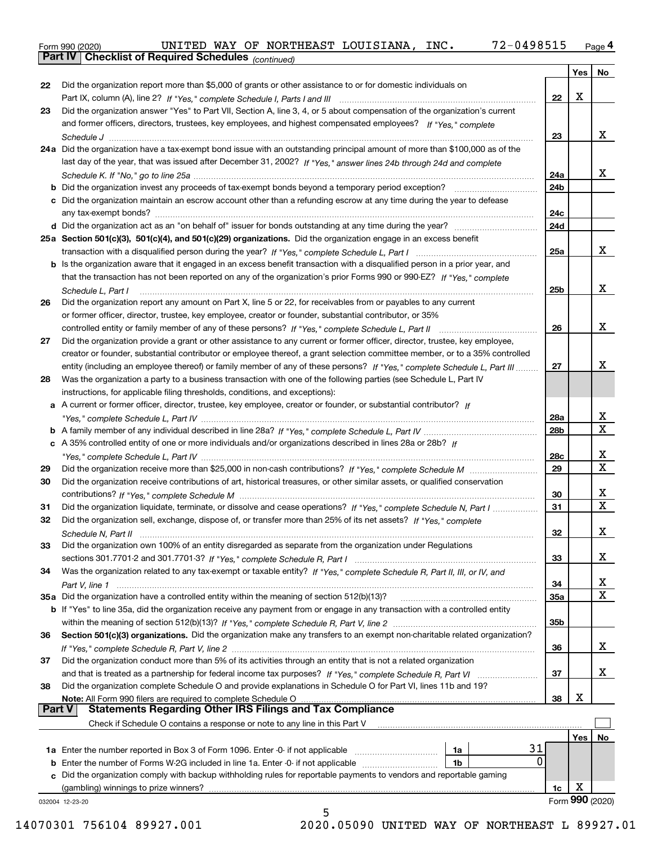*(continued)*

|               |                                                                                                                              |                 | Yes | No                      |
|---------------|------------------------------------------------------------------------------------------------------------------------------|-----------------|-----|-------------------------|
| 22            | Did the organization report more than \$5,000 of grants or other assistance to or for domestic individuals on                |                 |     |                         |
|               | Part IX, column (A), line 2? If "Yes," complete Schedule I, Parts I and III [11] [11] [11] [11] [11] [11] [11]               | 22              | x   |                         |
| 23            | Did the organization answer "Yes" to Part VII, Section A, line 3, 4, or 5 about compensation of the organization's current   |                 |     |                         |
|               | and former officers, directors, trustees, key employees, and highest compensated employees? If "Yes," complete               |                 |     |                         |
|               |                                                                                                                              | 23              |     | x                       |
|               | 24a Did the organization have a tax-exempt bond issue with an outstanding principal amount of more than \$100,000 as of the  |                 |     |                         |
|               | last day of the year, that was issued after December 31, 2002? If "Yes," answer lines 24b through 24d and complete           |                 |     |                         |
|               |                                                                                                                              | 24a             |     | x                       |
|               | <b>b</b> Did the organization invest any proceeds of tax-exempt bonds beyond a temporary period exception?                   | 24 <sub>b</sub> |     |                         |
|               | c Did the organization maintain an escrow account other than a refunding escrow at any time during the year to defease       |                 |     |                         |
|               | any tax-exempt bonds?                                                                                                        | 24c             |     |                         |
|               |                                                                                                                              | 24d             |     |                         |
|               | 25a Section 501(c)(3), 501(c)(4), and 501(c)(29) organizations. Did the organization engage in an excess benefit             |                 |     |                         |
|               |                                                                                                                              | 25a             |     | x                       |
|               | b Is the organization aware that it engaged in an excess benefit transaction with a disqualified person in a prior year, and |                 |     |                         |
|               | that the transaction has not been reported on any of the organization's prior Forms 990 or 990-EZ? If "Yes," complete        |                 |     |                         |
|               | Schedule L. Part I                                                                                                           | 25b             |     | x                       |
| 26            | Did the organization report any amount on Part X, line 5 or 22, for receivables from or payables to any current              |                 |     |                         |
|               | or former officer, director, trustee, key employee, creator or founder, substantial contributor, or 35%                      |                 |     |                         |
|               | controlled entity or family member of any of these persons? If "Yes," complete Schedule L, Part II                           | 26              |     | x                       |
| 27            | Did the organization provide a grant or other assistance to any current or former officer, director, trustee, key employee,  |                 |     |                         |
|               | creator or founder, substantial contributor or employee thereof, a grant selection committee member, or to a 35% controlled  |                 |     |                         |
|               | entity (including an employee thereof) or family member of any of these persons? If "Yes," complete Schedule L, Part III     | 27              |     | x                       |
| 28            | Was the organization a party to a business transaction with one of the following parties (see Schedule L, Part IV            |                 |     |                         |
|               | instructions, for applicable filing thresholds, conditions, and exceptions):                                                 |                 |     |                         |
|               | a A current or former officer, director, trustee, key employee, creator or founder, or substantial contributor? If           |                 |     |                         |
|               |                                                                                                                              | 28a             |     | x                       |
|               |                                                                                                                              | 28 <sub>b</sub> |     | X                       |
|               | c A 35% controlled entity of one or more individuals and/or organizations described in lines 28a or 28b? If                  |                 |     |                         |
|               |                                                                                                                              | 28c             |     | X                       |
| 29            |                                                                                                                              | 29              |     | $\overline{\mathbf{x}}$ |
| 30            | Did the organization receive contributions of art, historical treasures, or other similar assets, or qualified conservation  |                 |     |                         |
|               |                                                                                                                              | 30              |     | x                       |
| 31            | Did the organization liquidate, terminate, or dissolve and cease operations? If "Yes," complete Schedule N, Part I           | 31              |     | $\overline{\mathbf{x}}$ |
| 32            | Did the organization sell, exchange, dispose of, or transfer more than 25% of its net assets? If "Yes," complete             |                 |     |                         |
|               |                                                                                                                              | 32              |     | х                       |
| 33            | Did the organization own 100% of an entity disregarded as separate from the organization under Regulations                   |                 |     |                         |
|               |                                                                                                                              | 33              |     | x                       |
| 34            | Was the organization related to any tax-exempt or taxable entity? If "Yes," complete Schedule R, Part II, III, or IV, and    |                 |     |                         |
|               |                                                                                                                              | 34              |     | X                       |
|               | 35a Did the organization have a controlled entity within the meaning of section 512(b)(13)?                                  | 35a             |     | X                       |
|               | b If "Yes" to line 35a, did the organization receive any payment from or engage in any transaction with a controlled entity  |                 |     |                         |
|               |                                                                                                                              | 35b             |     |                         |
| 36            | Section 501(c)(3) organizations. Did the organization make any transfers to an exempt non-charitable related organization?   |                 |     |                         |
|               |                                                                                                                              | 36              |     | X.                      |
| 37            | Did the organization conduct more than 5% of its activities through an entity that is not a related organization             |                 |     |                         |
|               |                                                                                                                              | 37              |     | X.                      |
| 38            | Did the organization complete Schedule O and provide explanations in Schedule O for Part VI, lines 11b and 19?               |                 |     |                         |
|               | Note: All Form 990 filers are required to complete Schedule O                                                                | 38              | х   |                         |
| <b>Part V</b> | <b>Statements Regarding Other IRS Filings and Tax Compliance</b>                                                             |                 |     |                         |
|               | Check if Schedule O contains a response or note to any line in this Part V                                                   |                 |     |                         |
|               |                                                                                                                              |                 | Yes | No                      |
|               | 31<br>1a                                                                                                                     |                 |     |                         |
| b             | 0<br>Enter the number of Forms W-2G included in line 1a. Enter -0- if not applicable<br>1b                                   |                 |     |                         |
| c             | Did the organization comply with backup withholding rules for reportable payments to vendors and reportable gaming           |                 |     |                         |
|               | (gambling) winnings to prize winners?                                                                                        | 1c              | х   |                         |
|               | 032004 12-23-20                                                                                                              |                 |     | Form 990 (2020)         |
|               | 5                                                                                                                            |                 |     |                         |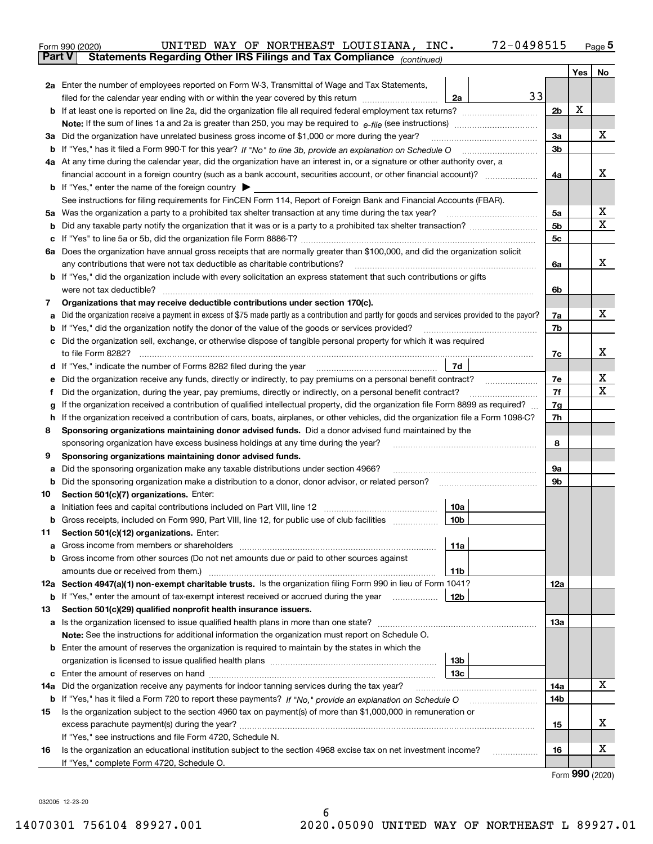|    | UNITED WAY OF NORTHEAST LOUISIANA, INC.<br>Form 990 (2020)                                                                                                                                                                                       | 72-0498515 |                |     | Page 5                         |
|----|--------------------------------------------------------------------------------------------------------------------------------------------------------------------------------------------------------------------------------------------------|------------|----------------|-----|--------------------------------|
|    | Statements Regarding Other IRS Filings and Tax Compliance (continued)<br>Part V                                                                                                                                                                  |            |                |     |                                |
|    |                                                                                                                                                                                                                                                  |            |                | Yes | No                             |
|    | 2a Enter the number of employees reported on Form W-3, Transmittal of Wage and Tax Statements,                                                                                                                                                   |            |                |     |                                |
|    | filed for the calendar year ending with or within the year covered by this return <i>manumumumum</i>                                                                                                                                             | 33<br>2a   |                |     |                                |
|    |                                                                                                                                                                                                                                                  |            | 2 <sub>b</sub> | X   |                                |
|    |                                                                                                                                                                                                                                                  |            |                |     |                                |
|    | 3a Did the organization have unrelated business gross income of \$1,000 or more during the year?                                                                                                                                                 |            | 3a             |     | х                              |
|    |                                                                                                                                                                                                                                                  |            | 3 <sub>b</sub> |     |                                |
|    | 4a At any time during the calendar year, did the organization have an interest in, or a signature or other authority over, a                                                                                                                     |            |                |     |                                |
|    | financial account in a foreign country (such as a bank account, securities account, or other financial account)?                                                                                                                                 |            | 4a             |     | x                              |
|    | <b>b</b> If "Yes," enter the name of the foreign country $\blacktriangleright$                                                                                                                                                                   |            |                |     |                                |
|    | See instructions for filing requirements for FinCEN Form 114, Report of Foreign Bank and Financial Accounts (FBAR).                                                                                                                              |            |                |     |                                |
|    |                                                                                                                                                                                                                                                  |            | 5a             |     | х                              |
| b  |                                                                                                                                                                                                                                                  |            | 5 <sub>b</sub> |     | Χ                              |
|    |                                                                                                                                                                                                                                                  |            | 5 <sub>c</sub> |     |                                |
|    | 6a Does the organization have annual gross receipts that are normally greater than \$100,000, and did the organization solicit                                                                                                                   |            |                |     |                                |
|    | any contributions that were not tax deductible as charitable contributions?                                                                                                                                                                      |            | 6a             |     | x                              |
|    | <b>b</b> If "Yes," did the organization include with every solicitation an express statement that such contributions or gifts                                                                                                                    |            |                |     |                                |
|    | were not tax deductible?                                                                                                                                                                                                                         |            | 6b             |     |                                |
| 7  | Organizations that may receive deductible contributions under section 170(c).                                                                                                                                                                    |            |                |     |                                |
| а  | Did the organization receive a payment in excess of \$75 made partly as a contribution and partly for goods and services provided to the payor?                                                                                                  |            | 7a             |     | х                              |
|    | <b>b</b> If "Yes," did the organization notify the donor of the value of the goods or services provided?                                                                                                                                         |            | 7b             |     |                                |
|    | c Did the organization sell, exchange, or otherwise dispose of tangible personal property for which it was required                                                                                                                              |            |                |     |                                |
|    |                                                                                                                                                                                                                                                  |            | 7c             |     | х                              |
|    |                                                                                                                                                                                                                                                  | 7d         |                |     | х                              |
| е  | Did the organization receive any funds, directly or indirectly, to pay premiums on a personal benefit contract?                                                                                                                                  |            | 7e<br>7f       |     | Χ                              |
| f  | Did the organization, during the year, pay premiums, directly or indirectly, on a personal benefit contract?<br>If the organization received a contribution of qualified intellectual property, did the organization file Form 8899 as required? |            |                |     |                                |
| g  | h If the organization received a contribution of cars, boats, airplanes, or other vehicles, did the organization file a Form 1098-C?                                                                                                             |            | 7g<br>7h       |     |                                |
| 8  | Sponsoring organizations maintaining donor advised funds. Did a donor advised fund maintained by the                                                                                                                                             |            |                |     |                                |
|    | sponsoring organization have excess business holdings at any time during the year?                                                                                                                                                               |            | 8              |     |                                |
| 9  | Sponsoring organizations maintaining donor advised funds.                                                                                                                                                                                        |            |                |     |                                |
| а  | Did the sponsoring organization make any taxable distributions under section 4966?                                                                                                                                                               |            | 9a             |     |                                |
| b  |                                                                                                                                                                                                                                                  |            | 9b             |     |                                |
| 10 | Section 501(c)(7) organizations. Enter:                                                                                                                                                                                                          |            |                |     |                                |
|    |                                                                                                                                                                                                                                                  | 10a        |                |     |                                |
|    | Gross receipts, included on Form 990, Part VIII, line 12, for public use of club facilities                                                                                                                                                      | 10b        |                |     |                                |
| 11 | Section 501(c)(12) organizations. Enter:                                                                                                                                                                                                         |            |                |     |                                |
| a  |                                                                                                                                                                                                                                                  | 11a        |                |     |                                |
|    | b Gross income from other sources (Do not net amounts due or paid to other sources against                                                                                                                                                       |            |                |     |                                |
|    |                                                                                                                                                                                                                                                  | 11b        |                |     |                                |
|    | 12a Section 4947(a)(1) non-exempt charitable trusts. Is the organization filing Form 990 in lieu of Form 1041?                                                                                                                                   |            | 12a            |     |                                |
|    | <b>b</b> If "Yes," enter the amount of tax-exempt interest received or accrued during the year                                                                                                                                                   | 12b        |                |     |                                |
| 13 | Section 501(c)(29) qualified nonprofit health insurance issuers.                                                                                                                                                                                 |            |                |     |                                |
|    | a Is the organization licensed to issue qualified health plans in more than one state?                                                                                                                                                           |            | 13а            |     |                                |
|    | Note: See the instructions for additional information the organization must report on Schedule O.                                                                                                                                                |            |                |     |                                |
|    | <b>b</b> Enter the amount of reserves the organization is required to maintain by the states in which the                                                                                                                                        |            |                |     |                                |
|    |                                                                                                                                                                                                                                                  | 13b        |                |     |                                |
|    |                                                                                                                                                                                                                                                  | 13с        |                |     |                                |
|    | 14a Did the organization receive any payments for indoor tanning services during the tax year?                                                                                                                                                   |            | 14a            |     | x                              |
|    |                                                                                                                                                                                                                                                  |            | 14b            |     |                                |
| 15 | Is the organization subject to the section 4960 tax on payment(s) of more than \$1,000,000 in remuneration or                                                                                                                                    |            |                |     |                                |
|    |                                                                                                                                                                                                                                                  |            | 15             |     | х                              |
|    | If "Yes," see instructions and file Form 4720, Schedule N.                                                                                                                                                                                       |            |                |     |                                |
| 16 | Is the organization an educational institution subject to the section 4968 excise tax on net investment income?                                                                                                                                  |            | 16             |     | х                              |
|    | If "Yes," complete Form 4720, Schedule O.                                                                                                                                                                                                        |            |                |     | $\mathbf{QQ} \cap \mathbf{QQ}$ |
|    |                                                                                                                                                                                                                                                  |            |                |     |                                |

Form (2020) **990**

032005 12-23-20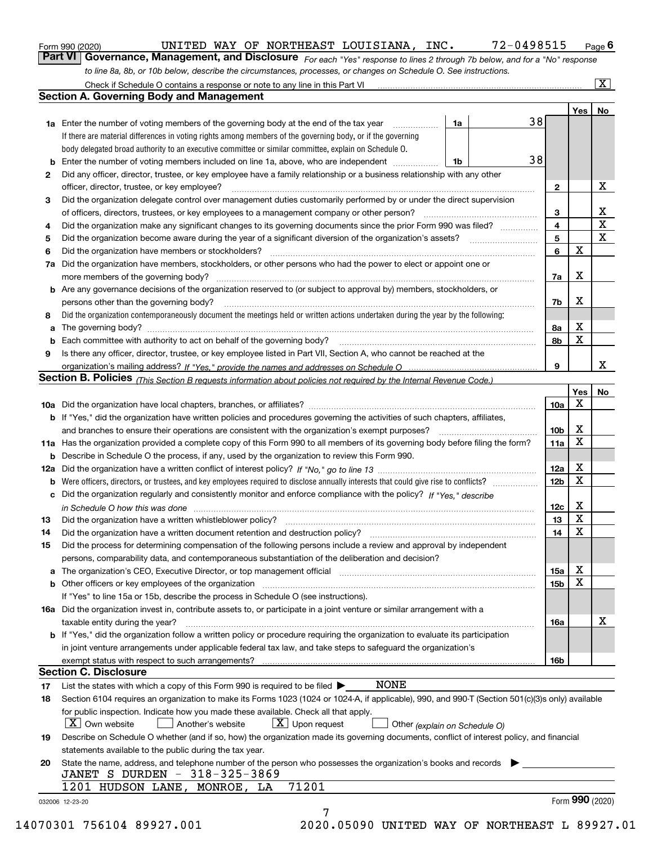|  | Form 990 (2020) |
|--|-----------------|
|  |                 |

## UNITED WAY OF NORTHEAST LOUISIANA, INC. 72-0498515

*For each "Yes" response to lines 2 through 7b below, and for a "No" response to line 8a, 8b, or 10b below, describe the circumstances, processes, or changes on Schedule O. See instructions.* Form 990 (2020) **Concept CONTAGE CONTRO BY A SET AND FORM THE PAGE OF STAR PAGE OF A STAR PAGE OF A PAGE 6 PAGE**<br>**Part VI Governance, Management, and Disclosure** For each "Yes" response to lines 2 through 7b below, and f

|    |                                                                                                                                                                               |    |  |    |                 | Yes             | No                      |  |  |
|----|-------------------------------------------------------------------------------------------------------------------------------------------------------------------------------|----|--|----|-----------------|-----------------|-------------------------|--|--|
|    | <b>1a</b> Enter the number of voting members of the governing body at the end of the tax year <i>manumum</i>                                                                  | 1a |  | 38 |                 |                 |                         |  |  |
|    | If there are material differences in voting rights among members of the governing body, or if the governing                                                                   |    |  |    |                 |                 |                         |  |  |
|    | body delegated broad authority to an executive committee or similar committee, explain on Schedule O.                                                                         |    |  |    |                 |                 |                         |  |  |
| b  | 38<br>Enter the number of voting members included on line 1a, above, who are independent<br>1b                                                                                |    |  |    |                 |                 |                         |  |  |
| 2  | Did any officer, director, trustee, or key employee have a family relationship or a business relationship with any other                                                      |    |  |    |                 |                 |                         |  |  |
|    | officer, director, trustee, or key employee?                                                                                                                                  |    |  |    | $\mathbf{2}$    |                 | X                       |  |  |
| 3  | Did the organization delegate control over management duties customarily performed by or under the direct supervision                                                         |    |  |    |                 |                 |                         |  |  |
|    |                                                                                                                                                                               |    |  |    | 3               |                 | X                       |  |  |
| 4  | Did the organization make any significant changes to its governing documents since the prior Form 990 was filed?                                                              |    |  |    | 4               |                 | $\overline{\mathbf{x}}$ |  |  |
| 5  |                                                                                                                                                                               |    |  |    | 5               |                 | X                       |  |  |
| 6  | Did the organization have members or stockholders?                                                                                                                            |    |  |    | 6               | X               |                         |  |  |
| 7a | Did the organization have members, stockholders, or other persons who had the power to elect or appoint one or                                                                |    |  |    |                 |                 |                         |  |  |
|    |                                                                                                                                                                               |    |  |    | 7a              | X               |                         |  |  |
|    | <b>b</b> Are any governance decisions of the organization reserved to (or subject to approval by) members, stockholders, or<br>persons other than the governing body?         |    |  |    | 7b              | X               |                         |  |  |
| 8  | Did the organization contemporaneously document the meetings held or written actions undertaken during the year by the following:                                             |    |  |    |                 |                 |                         |  |  |
| а  |                                                                                                                                                                               |    |  |    | 8a              | X               |                         |  |  |
| b  |                                                                                                                                                                               |    |  |    | 8b              | X               |                         |  |  |
| 9  | Is there any officer, director, trustee, or key employee listed in Part VII, Section A, who cannot be reached at the                                                          |    |  |    |                 |                 |                         |  |  |
|    |                                                                                                                                                                               |    |  |    | 9               |                 | х                       |  |  |
|    | Section B. Policies (This Section B requests information about policies not required by the Internal Revenue Code.)                                                           |    |  |    |                 |                 |                         |  |  |
|    |                                                                                                                                                                               |    |  |    |                 | Yes             | No                      |  |  |
|    |                                                                                                                                                                               |    |  |    | 10a             | X               |                         |  |  |
|    | <b>b</b> If "Yes," did the organization have written policies and procedures governing the activities of such chapters, affiliates,                                           |    |  |    |                 |                 |                         |  |  |
|    |                                                                                                                                                                               |    |  |    | 10 <sub>b</sub> | х               |                         |  |  |
|    | 11a Has the organization provided a complete copy of this Form 990 to all members of its governing body before filing the form?                                               |    |  |    | 11a             | X               |                         |  |  |
|    | <b>b</b> Describe in Schedule O the process, if any, used by the organization to review this Form 990.                                                                        |    |  |    |                 |                 |                         |  |  |
|    |                                                                                                                                                                               |    |  |    | 12a             | X               |                         |  |  |
| b  |                                                                                                                                                                               |    |  |    | 12b             | X               |                         |  |  |
| c  | Did the organization regularly and consistently monitor and enforce compliance with the policy? If "Yes," describe                                                            |    |  |    |                 |                 |                         |  |  |
|    | in Schedule O how this was done manufactured and contact the state of the state of the state of the state of t                                                                |    |  |    | 12c             | X               |                         |  |  |
| 13 |                                                                                                                                                                               |    |  |    | 13              | X               |                         |  |  |
| 14 | Did the organization have a written document retention and destruction policy? manufactured and the organization have a written document retention and destruction policy?    |    |  |    | 14              | X               |                         |  |  |
| 15 | Did the process for determining compensation of the following persons include a review and approval by independent                                                            |    |  |    |                 |                 |                         |  |  |
|    | persons, comparability data, and contemporaneous substantiation of the deliberation and decision?                                                                             |    |  |    |                 |                 |                         |  |  |
| а  | The organization's CEO, Executive Director, or top management official manufactured content content of the organization's CEO, Executive Director, or top management official |    |  |    | 15a             | X               |                         |  |  |
|    | <b>b</b> Other officers or key employees of the organization                                                                                                                  |    |  |    | 15b             | X               |                         |  |  |
|    | If "Yes" to line 15a or 15b, describe the process in Schedule O (see instructions).                                                                                           |    |  |    |                 |                 |                         |  |  |
|    | 16a Did the organization invest in, contribute assets to, or participate in a joint venture or similar arrangement with a                                                     |    |  |    |                 |                 |                         |  |  |
|    | taxable entity during the year?                                                                                                                                               |    |  |    | 16a             |                 | X                       |  |  |
|    | b If "Yes," did the organization follow a written policy or procedure requiring the organization to evaluate its participation                                                |    |  |    |                 |                 |                         |  |  |
|    | in joint venture arrangements under applicable federal tax law, and take steps to safeguard the organization's                                                                |    |  |    |                 |                 |                         |  |  |
|    | exempt status with respect to such arrangements?                                                                                                                              |    |  |    | 16b             |                 |                         |  |  |
|    | <b>Section C. Disclosure</b>                                                                                                                                                  |    |  |    |                 |                 |                         |  |  |
| 17 | <b>NONE</b><br>List the states with which a copy of this Form 990 is required to be filed $\blacktriangleright$                                                               |    |  |    |                 |                 |                         |  |  |
| 18 | Section 6104 requires an organization to make its Forms 1023 (1024 or 1024-A, if applicable), 990, and 990-T (Section 501(c)(3)s only) available                              |    |  |    |                 |                 |                         |  |  |
|    | for public inspection. Indicate how you made these available. Check all that apply.<br>$X$ Upon request<br>  X   Own website                                                  |    |  |    |                 |                 |                         |  |  |
|    | Another's website<br>Other (explain on Schedule O)                                                                                                                            |    |  |    |                 |                 |                         |  |  |
| 19 | Describe on Schedule O whether (and if so, how) the organization made its governing documents, conflict of interest policy, and financial                                     |    |  |    |                 |                 |                         |  |  |
|    | statements available to the public during the tax year.                                                                                                                       |    |  |    |                 |                 |                         |  |  |
| 20 | State the name, address, and telephone number of the person who possesses the organization's books and records<br>JANET S DURDEN - 318-325-3869                               |    |  |    |                 |                 |                         |  |  |
|    | 71201<br>1201 HUDSON LANE, MONROE, LA                                                                                                                                         |    |  |    |                 |                 |                         |  |  |
|    | 032006 12-23-20                                                                                                                                                               |    |  |    |                 | Form 990 (2020) |                         |  |  |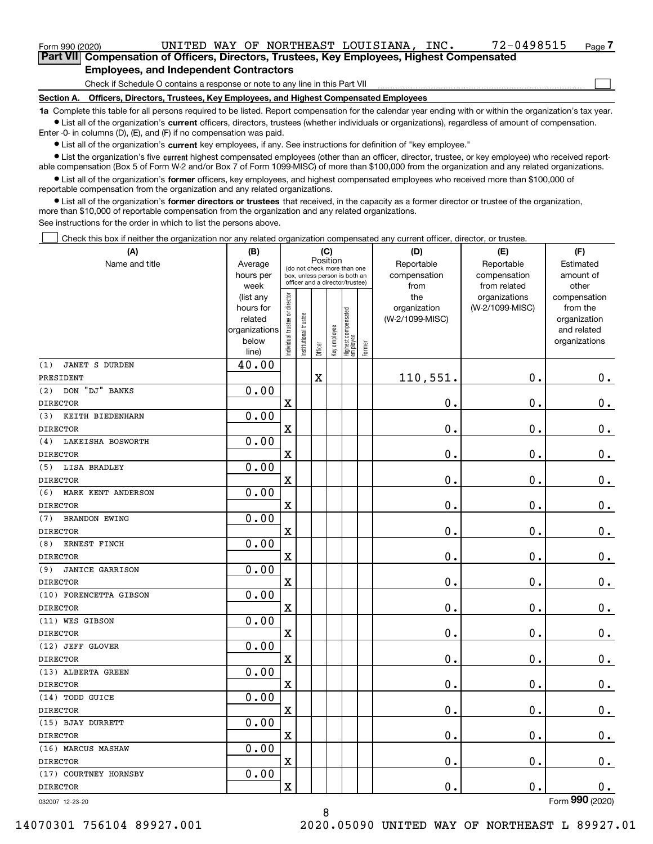| Form 990 (2020)                                                                                    |  |  |  | UNITED WAY OF NORTHEAST LOUISIANA.                                           |  | INC. | 72-0498515 | Page |  |  |  |  |  |
|----------------------------------------------------------------------------------------------------|--|--|--|------------------------------------------------------------------------------|--|------|------------|------|--|--|--|--|--|
| <b>Part VIII Compensation of Officers, Directors, Trustees, Key Employees, Highest Compensated</b> |  |  |  |                                                                              |  |      |            |      |  |  |  |  |  |
| <b>Employees, and Independent Contractors</b>                                                      |  |  |  |                                                                              |  |      |            |      |  |  |  |  |  |
|                                                                                                    |  |  |  | Check if Schedule O contains a response or note to any line in this Part VII |  |      |            |      |  |  |  |  |  |

**Section A. Officers, Directors, Trustees, Key Employees, and Highest Compensated Employees**

**1a**  Complete this table for all persons required to be listed. Report compensation for the calendar year ending with or within the organization's tax year. **•** List all of the organization's current officers, directors, trustees (whether individuals or organizations), regardless of amount of compensation.

Enter -0- in columns (D), (E), and (F) if no compensation was paid.

 $\bullet$  List all of the organization's  $\,$ current key employees, if any. See instructions for definition of "key employee."

**•** List the organization's five current highest compensated employees (other than an officer, director, trustee, or key employee) who received reportable compensation (Box 5 of Form W-2 and/or Box 7 of Form 1099-MISC) of more than \$100,000 from the organization and any related organizations.

**•** List all of the organization's former officers, key employees, and highest compensated employees who received more than \$100,000 of reportable compensation from the organization and any related organizations.

**former directors or trustees**  ¥ List all of the organization's that received, in the capacity as a former director or trustee of the organization, more than \$10,000 of reportable compensation from the organization and any related organizations.

See instructions for the order in which to list the persons above.

Check this box if neither the organization nor any related organization compensated any current officer, director, or trustee.  $\mathcal{L}^{\text{max}}$ 

| (A)                           | (B)               |                               |                       | (C)                                                              |              |                                   |        | (D)             | (E)                          | (F)                  |  |  |  |
|-------------------------------|-------------------|-------------------------------|-----------------------|------------------------------------------------------------------|--------------|-----------------------------------|--------|-----------------|------------------------------|----------------------|--|--|--|
| Name and title                | Average           |                               |                       | Position<br>(do not check more than one                          |              |                                   |        | Reportable      | Reportable                   | Estimated            |  |  |  |
|                               | hours per         |                               |                       | box, unless person is both an<br>officer and a director/trustee) |              |                                   |        | compensation    | compensation<br>from related | amount of<br>other   |  |  |  |
|                               | week<br>(list any |                               |                       |                                                                  |              |                                   |        | from<br>the     | organizations                | compensation         |  |  |  |
|                               | hours for         |                               |                       |                                                                  |              |                                   |        | organization    | (W-2/1099-MISC)              | from the             |  |  |  |
|                               | related           |                               |                       |                                                                  |              |                                   |        | (W-2/1099-MISC) |                              | organization         |  |  |  |
|                               | organizations     |                               |                       |                                                                  |              |                                   |        |                 |                              | and related          |  |  |  |
|                               | below             | ndividual trustee or director | Institutional trustee | Officer                                                          | Key employee | Highest compensated<br>  employee | Former |                 |                              | organizations        |  |  |  |
| (1)<br><b>JANET S DURDEN</b>  | line)<br>40.00    |                               |                       |                                                                  |              |                                   |        |                 |                              |                      |  |  |  |
| PRESIDENT                     |                   |                               |                       | $\overline{\textbf{X}}$                                          |              |                                   |        | 110,551.        | $\mathbf 0$ .                | $\mathbf 0$ .        |  |  |  |
| DON "DJ" BANKS<br>(2)         | 0.00              |                               |                       |                                                                  |              |                                   |        |                 |                              |                      |  |  |  |
| <b>DIRECTOR</b>               |                   | $\overline{\text{X}}$         |                       |                                                                  |              |                                   |        | $\mathbf 0$ .   | $\mathbf 0$ .                | 0.                   |  |  |  |
| KEITH BIEDENHARN<br>(3)       | 0.00              |                               |                       |                                                                  |              |                                   |        |                 |                              |                      |  |  |  |
| <b>DIRECTOR</b>               |                   | $\mathbf X$                   |                       |                                                                  |              |                                   |        | 0.              | $\mathbf 0$ .                | $\mathbf 0$ .        |  |  |  |
| LAKEISHA BOSWORTH<br>(4)      | 0.00              |                               |                       |                                                                  |              |                                   |        |                 |                              |                      |  |  |  |
| <b>DIRECTOR</b>               |                   | $\overline{\textbf{X}}$       |                       |                                                                  |              |                                   |        | 0.              | $\mathbf{0}$ .               | $0_{.}$              |  |  |  |
| (5)<br>LISA BRADLEY           | 0.00              |                               |                       |                                                                  |              |                                   |        |                 |                              |                      |  |  |  |
| <b>DIRECTOR</b>               |                   | $\rm X$                       |                       |                                                                  |              |                                   |        | 0.              | 0.                           | 0.                   |  |  |  |
| MARK KENT ANDERSON<br>(6)     | 0.00              |                               |                       |                                                                  |              |                                   |        |                 |                              |                      |  |  |  |
| <b>DIRECTOR</b>               |                   | $\rm X$                       |                       |                                                                  |              |                                   |        | 0.              | $\mathbf 0$ .                | $0$ .                |  |  |  |
| <b>BRANDON EWING</b><br>(7)   | 0.00              |                               |                       |                                                                  |              |                                   |        |                 |                              |                      |  |  |  |
| <b>DIRECTOR</b>               |                   | $\rm X$                       |                       |                                                                  |              |                                   |        | 0.              | 0.                           | $\mathbf 0$ .        |  |  |  |
| ERNEST FINCH<br>(8)           | 0.00              |                               |                       |                                                                  |              |                                   |        |                 |                              |                      |  |  |  |
| <b>DIRECTOR</b>               |                   | $\mathbf X$                   |                       |                                                                  |              |                                   |        | 0.              | $\mathbf 0$ .                | $0_{.}$              |  |  |  |
| <b>JANICE GARRISON</b><br>(9) | 0.00              |                               |                       |                                                                  |              |                                   |        |                 |                              |                      |  |  |  |
| <b>DIRECTOR</b>               |                   | X                             |                       |                                                                  |              |                                   |        | 0.              | 0.                           | $\mathbf 0$ .        |  |  |  |
| (10) FORENCETTA GIBSON        | 0.00              |                               |                       |                                                                  |              |                                   |        |                 |                              |                      |  |  |  |
| <b>DIRECTOR</b>               |                   | $\rm X$                       |                       |                                                                  |              |                                   |        | $\mathbf 0$ .   | $\mathbf 0$ .                | $\mathbf 0$ .        |  |  |  |
| (11) WES GIBSON               | 0.00              |                               |                       |                                                                  |              |                                   |        |                 |                              |                      |  |  |  |
| <b>DIRECTOR</b>               |                   | $\overline{\mathbf{X}}$       |                       |                                                                  |              |                                   |        | 0.              | $\mathbf 0$ .                | $\mathbf 0$ .        |  |  |  |
| (12) JEFF GLOVER              | 0.00              |                               |                       |                                                                  |              |                                   |        |                 |                              |                      |  |  |  |
| <b>DIRECTOR</b>               |                   | $\mathbf X$                   |                       |                                                                  |              |                                   |        | 0.              | $\mathbf 0$ .                | $0_{.}$              |  |  |  |
| (13) ALBERTA GREEN            | 0.00              |                               |                       |                                                                  |              |                                   |        |                 |                              |                      |  |  |  |
| <b>DIRECTOR</b>               |                   | X                             |                       |                                                                  |              |                                   |        | $\mathbf 0$ .   | $\mathbf 0$ .                | 0.                   |  |  |  |
| (14) TODD GUICE               | 0.00              |                               |                       |                                                                  |              |                                   |        |                 |                              |                      |  |  |  |
| <b>DIRECTOR</b>               |                   | $\rm X$                       |                       |                                                                  |              |                                   |        | 0.              | $\mathbf 0$ .                | $\mathbf 0$ .        |  |  |  |
| (15) BJAY DURRETT             | 0.00              |                               |                       |                                                                  |              |                                   |        |                 |                              |                      |  |  |  |
| <b>DIRECTOR</b>               |                   | X                             |                       |                                                                  |              |                                   |        | 0.              | 0.                           | $0_{.}$              |  |  |  |
| (16) MARCUS MASHAW            | 0.00              |                               |                       |                                                                  |              |                                   |        |                 |                              |                      |  |  |  |
| <b>DIRECTOR</b>               |                   | X                             |                       |                                                                  |              |                                   |        | 0.              | $\mathbf 0$ .                | 0.                   |  |  |  |
| (17) COURTNEY HORNSBY         | 0.00              |                               |                       |                                                                  |              |                                   |        |                 |                              |                      |  |  |  |
| <b>DIRECTOR</b>               |                   | $\mathbf X$                   |                       |                                                                  |              |                                   |        | 0.              | $\mathbf 0$ .                | 0.<br>$\overline{2}$ |  |  |  |

032007 12-23-20

Form (2020) **990**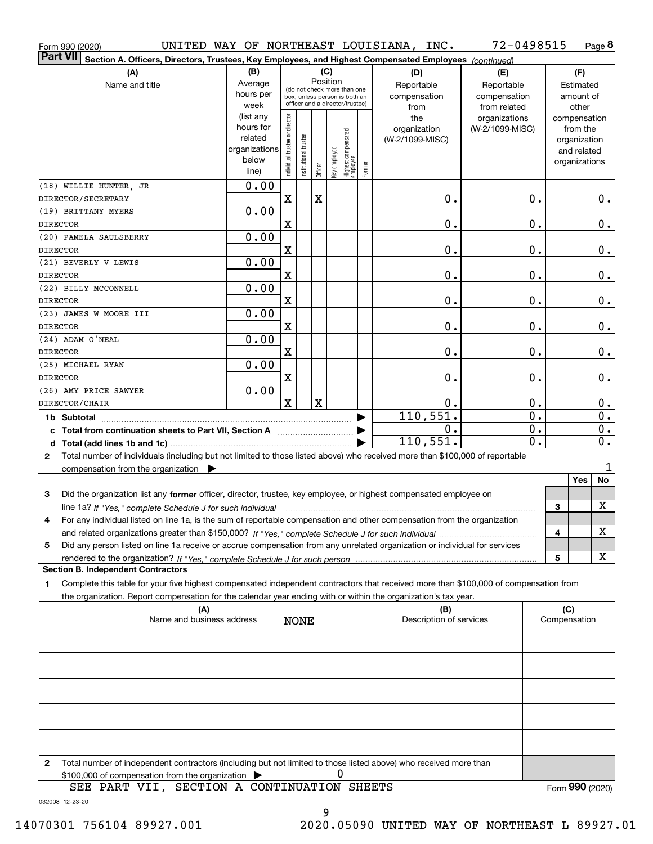| Form 990 (2020)                                                                                                                                      |                        |                                |                       |                                                                  |              |                                 |        | UNITED WAY OF NORTHEAST LOUISIANA, INC. | 72-0498515       |              | Page 8                   |
|------------------------------------------------------------------------------------------------------------------------------------------------------|------------------------|--------------------------------|-----------------------|------------------------------------------------------------------|--------------|---------------------------------|--------|-----------------------------------------|------------------|--------------|--------------------------|
| <b>Part VII</b><br>Section A. Officers, Directors, Trustees, Key Employees, and Highest Compensated Employees (continued)                            |                        |                                |                       |                                                                  |              |                                 |        |                                         |                  |              |                          |
| (B)<br>(A)<br>(C)<br>(D)<br>(E)<br>(F)                                                                                                               |                        |                                |                       |                                                                  |              |                                 |        |                                         |                  |              |                          |
| Name and title                                                                                                                                       | Average                |                                |                       | Position<br>(do not check more than one                          |              |                                 |        | Reportable                              | Reportable       |              | Estimated                |
|                                                                                                                                                      | hours per              |                                |                       | box, unless person is both an<br>officer and a director/trustee) |              |                                 |        | compensation                            | compensation     |              | amount of                |
|                                                                                                                                                      | week                   |                                |                       |                                                                  |              |                                 |        | from                                    | from related     |              | other                    |
|                                                                                                                                                      | (list any<br>hours for |                                |                       |                                                                  |              |                                 |        | the                                     | organizations    |              | compensation             |
|                                                                                                                                                      | related                |                                |                       |                                                                  |              |                                 |        | organization<br>(W-2/1099-MISC)         | (W-2/1099-MISC)  |              | from the<br>organization |
|                                                                                                                                                      | organizations          |                                |                       |                                                                  |              |                                 |        |                                         |                  |              | and related              |
|                                                                                                                                                      | below                  | Individual trustee or director | Institutional trustee |                                                                  | key employee | Highest compensated<br>employee |        |                                         |                  |              | organizations            |
|                                                                                                                                                      | line)                  |                                |                       | Officer                                                          |              |                                 | Former |                                         |                  |              |                          |
| (18) WILLIE HUNTER, JR                                                                                                                               | 0.00                   |                                |                       |                                                                  |              |                                 |        |                                         |                  |              |                          |
| DIRECTOR/SECRETARY                                                                                                                                   |                        | X                              |                       | Χ                                                                |              |                                 |        | 0.                                      | 0.               |              | 0.                       |
| (19) BRITTANY MYERS                                                                                                                                  | 0.00                   |                                |                       |                                                                  |              |                                 |        |                                         |                  |              |                          |
| <b>DIRECTOR</b>                                                                                                                                      |                        | X                              |                       |                                                                  |              |                                 |        | 0.                                      | Ο.               |              | 0.                       |
| (20) PAMELA SAULSBERRY                                                                                                                               | 0.00                   |                                |                       |                                                                  |              |                                 |        |                                         |                  |              |                          |
| <b>DIRECTOR</b>                                                                                                                                      |                        | X                              |                       |                                                                  |              |                                 |        | 0.                                      | Ο.               |              | 0.                       |
| (21) BEVERLY V LEWIS                                                                                                                                 | 0.00                   |                                |                       |                                                                  |              |                                 |        |                                         |                  |              |                          |
| <b>DIRECTOR</b>                                                                                                                                      |                        | X                              |                       |                                                                  |              |                                 |        | 0.                                      | Ο.               |              | $0_{.}$                  |
| (22) BILLY MCCONNELL                                                                                                                                 | 0.00                   |                                |                       |                                                                  |              |                                 |        |                                         |                  |              |                          |
| <b>DIRECTOR</b>                                                                                                                                      |                        | X                              |                       |                                                                  |              |                                 |        | 0.                                      | Ο.               |              | $0_{.}$                  |
| (23) JAMES W MOORE III                                                                                                                               | 0.00                   |                                |                       |                                                                  |              |                                 |        |                                         |                  |              |                          |
| <b>DIRECTOR</b>                                                                                                                                      |                        | X                              |                       |                                                                  |              |                                 |        | 0.                                      | Ο.               |              | 0.                       |
| (24) ADAM O'NEAL                                                                                                                                     | 0.00                   |                                |                       |                                                                  |              |                                 |        |                                         |                  |              |                          |
| <b>DIRECTOR</b>                                                                                                                                      |                        | X                              |                       |                                                                  |              |                                 |        | 0.                                      | Ο.               |              | 0.                       |
| (25) MICHAEL RYAN                                                                                                                                    | 0.00                   |                                |                       |                                                                  |              |                                 |        |                                         |                  |              |                          |
| <b>DIRECTOR</b>                                                                                                                                      |                        | $\mathbf X$                    |                       |                                                                  |              |                                 |        | 0.                                      | Ο.               |              | 0.                       |
| (26) AMY PRICE SAWYER                                                                                                                                | 0.00                   |                                |                       |                                                                  |              |                                 |        |                                         |                  |              |                          |
| DIRECTOR/CHAIR                                                                                                                                       |                        | $\mathbf x$                    |                       | $\mathbf X$                                                      |              |                                 |        | 0.                                      | Ο.               |              | $0_{.}$                  |
| 1b Subtotal                                                                                                                                          |                        |                                |                       |                                                                  |              |                                 |        | 110,551.                                | $\overline{0}$ . |              | $\overline{0}$ .         |
| c Total from continuation sheets to Part VII, Section A                                                                                              |                        |                                |                       |                                                                  |              |                                 |        | 0.                                      | $\overline{0}$ . |              | $\overline{0}$ .         |
|                                                                                                                                                      |                        |                                |                       |                                                                  |              |                                 |        | 110,551.                                | $\overline{0}$ . |              | $\overline{0}$ .         |
| Total number of individuals (including but not limited to those listed above) who received more than \$100,000 of reportable<br>$\mathbf{2}$         |                        |                                |                       |                                                                  |              |                                 |        |                                         |                  |              |                          |
| compensation from the organization $\blacktriangleright$                                                                                             |                        |                                |                       |                                                                  |              |                                 |        |                                         |                  |              | 1                        |
|                                                                                                                                                      |                        |                                |                       |                                                                  |              |                                 |        |                                         |                  |              | No<br>Yes                |
| Did the organization list any former officer, director, trustee, key employee, or highest compensated employee on<br>3                               |                        |                                |                       |                                                                  |              |                                 |        |                                         |                  |              | X                        |
| line 1a? If "Yes," complete Schedule J for such individual manufactured contained and the line 1a? If "Yes," complete Schedule J for such individual |                        |                                |                       |                                                                  |              |                                 |        |                                         |                  | 3            |                          |
| For any individual listed on line 1a, is the sum of reportable compensation and other compensation from the organization<br>4                        |                        |                                |                       |                                                                  |              |                                 |        |                                         |                  |              | х                        |
|                                                                                                                                                      |                        |                                |                       |                                                                  |              |                                 |        |                                         |                  | 4            |                          |
| 5<br>Did any person listed on line 1a receive or accrue compensation from any unrelated organization or individual for services                      |                        |                                |                       |                                                                  |              |                                 |        |                                         |                  |              | X                        |
| <b>Section B. Independent Contractors</b>                                                                                                            |                        |                                |                       |                                                                  |              |                                 |        |                                         |                  | 5            |                          |
| Complete this table for your five highest compensated independent contractors that received more than \$100,000 of compensation from<br>1            |                        |                                |                       |                                                                  |              |                                 |        |                                         |                  |              |                          |
| the organization. Report compensation for the calendar year ending with or within the organization's tax year.                                       |                        |                                |                       |                                                                  |              |                                 |        |                                         |                  |              |                          |
| (A)                                                                                                                                                  |                        |                                |                       |                                                                  |              |                                 |        | (B)                                     |                  | (C)          |                          |
| Name and business address                                                                                                                            |                        |                                | <b>NONE</b>           |                                                                  |              |                                 |        | Description of services                 |                  | Compensation |                          |
|                                                                                                                                                      |                        |                                |                       |                                                                  |              |                                 |        |                                         |                  |              |                          |
|                                                                                                                                                      |                        |                                |                       |                                                                  |              |                                 |        |                                         |                  |              |                          |
|                                                                                                                                                      |                        |                                |                       |                                                                  |              |                                 |        |                                         |                  |              |                          |
|                                                                                                                                                      |                        |                                |                       |                                                                  |              |                                 |        |                                         |                  |              |                          |
|                                                                                                                                                      |                        |                                |                       |                                                                  |              |                                 |        |                                         |                  |              |                          |
|                                                                                                                                                      |                        |                                |                       |                                                                  |              |                                 |        |                                         |                  |              |                          |
|                                                                                                                                                      |                        |                                |                       |                                                                  |              |                                 |        |                                         |                  |              |                          |
|                                                                                                                                                      |                        |                                |                       |                                                                  |              |                                 |        |                                         |                  |              |                          |
|                                                                                                                                                      |                        |                                |                       |                                                                  |              |                                 |        |                                         |                  |              |                          |
|                                                                                                                                                      |                        |                                |                       |                                                                  |              |                                 |        |                                         |                  |              |                          |
| Total number of independent contractors (including but not limited to those listed above) who received more than<br>2                                |                        |                                |                       |                                                                  |              |                                 |        |                                         |                  |              |                          |
| \$100,000 of compensation from the organization                                                                                                      |                        |                                |                       |                                                                  | 0            |                                 |        |                                         |                  |              |                          |
| SEE PART VII, SECTION A CONTINUATION SHEETS                                                                                                          |                        |                                |                       |                                                                  |              |                                 |        |                                         |                  |              | Form 990 (2020)          |
| 032008 12-23-20                                                                                                                                      |                        |                                |                       |                                                                  |              |                                 |        |                                         |                  |              |                          |

9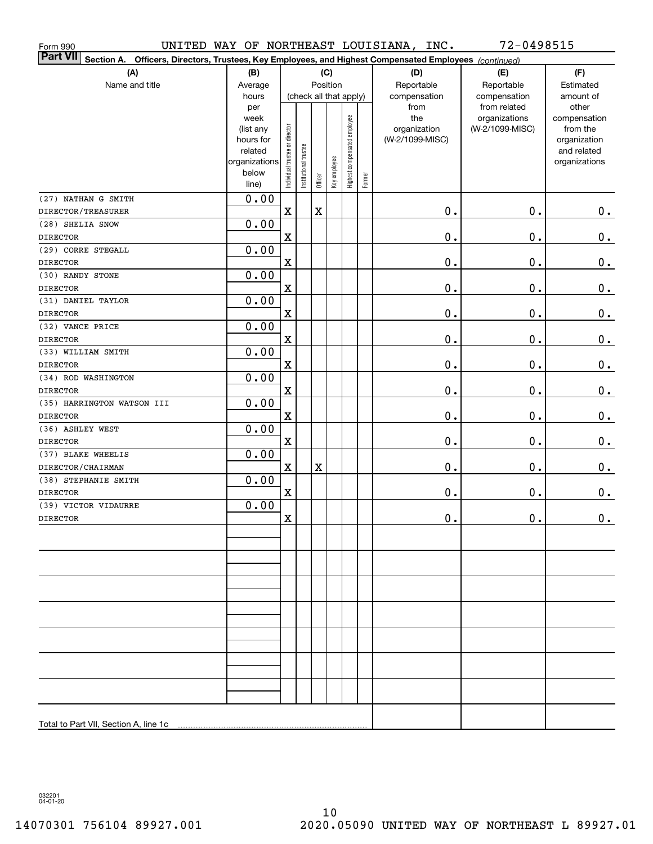| Form 990                                                                                                                     |                |                                |                       |             |              |                              |        | UNITED WAY OF NORTHEAST LOUISIANA, INC. | 72-0498515                       |                       |
|------------------------------------------------------------------------------------------------------------------------------|----------------|--------------------------------|-----------------------|-------------|--------------|------------------------------|--------|-----------------------------------------|----------------------------------|-----------------------|
| <b>Part VII</b><br>Officers, Directors, Trustees, Key Employees, and Highest Compensated Employees (continued)<br>Section A. |                |                                |                       |             |              |                              |        |                                         |                                  |                       |
| (A)                                                                                                                          | (B)            |                                |                       |             | (C)          |                              |        | (D)                                     | (E)                              | (F)                   |
| Name and title                                                                                                               | Average        |                                |                       |             | Position     |                              |        | Reportable                              | Reportable                       | Estimated             |
|                                                                                                                              | hours          |                                |                       |             |              | (check all that apply)       |        | compensation                            | compensation                     | amount of             |
|                                                                                                                              | per<br>week    |                                |                       |             |              |                              |        | from<br>the                             | from related                     | other<br>compensation |
|                                                                                                                              | (list any      |                                |                       |             |              |                              |        | organization                            | organizations<br>(W-2/1099-MISC) | from the              |
|                                                                                                                              | hours for      |                                |                       |             |              |                              |        | (W-2/1099-MISC)                         |                                  | organization          |
|                                                                                                                              | related        |                                |                       |             |              |                              |        |                                         |                                  | and related           |
|                                                                                                                              | organizations  |                                |                       |             |              |                              |        |                                         |                                  | organizations         |
|                                                                                                                              | below<br>line) | Individual trustee or director | Institutional trustee | Officer     | Key employee | Highest compensated employee | Former |                                         |                                  |                       |
| (27) NATHAN G SMITH                                                                                                          | 0.00           |                                |                       |             |              |                              |        |                                         |                                  |                       |
| DIRECTOR/TREASURER                                                                                                           |                | $\mathbf x$                    |                       | $\mathbf X$ |              |                              |        | $\mathbf 0$ .                           | 0.                               | 0.                    |
| (28) SHELIA SNOW                                                                                                             | 0.00           |                                |                       |             |              |                              |        |                                         |                                  |                       |
| <b>DIRECTOR</b>                                                                                                              |                | $\mathbf x$                    |                       |             |              |                              |        | $\mathbf 0$ .                           | 0.                               | $\mathbf 0$ .         |
| (29) CORRE STEGALL                                                                                                           | 0.00           |                                |                       |             |              |                              |        |                                         |                                  |                       |
| <b>DIRECTOR</b>                                                                                                              |                | $\mathbf x$                    |                       |             |              |                              |        | $\mathbf 0$ .                           | 0.                               | $\mathbf 0$ .         |
| (30) RANDY STONE                                                                                                             | 0.00           |                                |                       |             |              |                              |        |                                         |                                  |                       |
| <b>DIRECTOR</b>                                                                                                              |                | $\mathbf x$                    |                       |             |              |                              |        | $\mathbf 0$ .                           | 0.                               | 0.                    |
| (31) DANIEL TAYLOR                                                                                                           | 0.00           |                                |                       |             |              |                              |        |                                         |                                  |                       |
| <b>DIRECTOR</b>                                                                                                              |                | $\mathbf x$                    |                       |             |              |                              |        | $\mathbf 0$ .                           | 0.                               | 0.                    |
| (32) VANCE PRICE                                                                                                             | 0.00           |                                |                       |             |              |                              |        |                                         |                                  |                       |
| <b>DIRECTOR</b>                                                                                                              |                | $\mathbf x$                    |                       |             |              |                              |        | $\mathbf 0$ .                           | 0.                               | 0.                    |
| (33) WILLIAM SMITH                                                                                                           | 0.00           |                                |                       |             |              |                              |        |                                         |                                  |                       |
| <b>DIRECTOR</b>                                                                                                              |                | $\mathbf x$                    |                       |             |              |                              |        | $\mathbf 0$ .                           | 0.                               | 0.                    |
| (34) ROD WASHINGTON                                                                                                          | 0.00           |                                |                       |             |              |                              |        |                                         |                                  |                       |
| <b>DIRECTOR</b>                                                                                                              |                | $\mathbf x$                    |                       |             |              |                              |        | $\mathbf 0$ .                           | 0.                               | $\mathbf 0$ .         |
| (35) HARRINGTON WATSON III                                                                                                   | 0.00           |                                |                       |             |              |                              |        |                                         |                                  |                       |
| <b>DIRECTOR</b>                                                                                                              |                | $\mathbf x$                    |                       |             |              |                              |        | $\mathbf 0$ .                           | 0.                               | $\mathbf 0$ .         |
| (36) ASHLEY WEST                                                                                                             | 0.00           |                                |                       |             |              |                              |        |                                         |                                  |                       |
| <b>DIRECTOR</b><br>(37) BLAKE WHEELIS                                                                                        |                | $\mathbf x$                    |                       |             |              |                              |        | $\mathbf 0$ .                           | 0.                               | $\mathbf 0$ .         |
| DIRECTOR/CHAIRMAN                                                                                                            | 0.00           | $\mathbf x$                    |                       | $\mathbf X$ |              |                              |        | $\mathbf 0$ .                           | 0.                               | $0_{.}$               |
| (38) STEPHANIE SMITH                                                                                                         | 0.00           |                                |                       |             |              |                              |        |                                         |                                  |                       |
| <b>DIRECTOR</b>                                                                                                              |                | $\mathbf X$                    |                       |             |              |                              |        | $\mathbf 0$ .                           | $\mathbf 0$ .                    | $\mathbf 0$ .         |
| (39) VICTOR VIDAURRE                                                                                                         | 0.00           |                                |                       |             |              |                              |        |                                         |                                  |                       |
| <b>DIRECTOR</b>                                                                                                              |                | $\mathbf X$                    |                       |             |              |                              |        | 0.                                      | $0$ .                            | 0.                    |
|                                                                                                                              |                |                                |                       |             |              |                              |        |                                         |                                  |                       |
|                                                                                                                              |                |                                |                       |             |              |                              |        |                                         |                                  |                       |
|                                                                                                                              |                |                                |                       |             |              |                              |        |                                         |                                  |                       |
|                                                                                                                              |                |                                |                       |             |              |                              |        |                                         |                                  |                       |
|                                                                                                                              |                |                                |                       |             |              |                              |        |                                         |                                  |                       |
|                                                                                                                              |                |                                |                       |             |              |                              |        |                                         |                                  |                       |
|                                                                                                                              |                |                                |                       |             |              |                              |        |                                         |                                  |                       |
|                                                                                                                              |                |                                |                       |             |              |                              |        |                                         |                                  |                       |
|                                                                                                                              |                |                                |                       |             |              |                              |        |                                         |                                  |                       |
|                                                                                                                              |                |                                |                       |             |              |                              |        |                                         |                                  |                       |
|                                                                                                                              |                |                                |                       |             |              |                              |        |                                         |                                  |                       |
|                                                                                                                              |                |                                |                       |             |              |                              |        |                                         |                                  |                       |
|                                                                                                                              |                |                                |                       |             |              |                              |        |                                         |                                  |                       |
|                                                                                                                              |                |                                |                       |             |              |                              |        |                                         |                                  |                       |
|                                                                                                                              |                |                                |                       |             |              |                              |        |                                         |                                  |                       |
| Total to Part VII, Section A, line 1c                                                                                        |                |                                |                       |             |              |                              |        |                                         |                                  |                       |

032201 04-01-20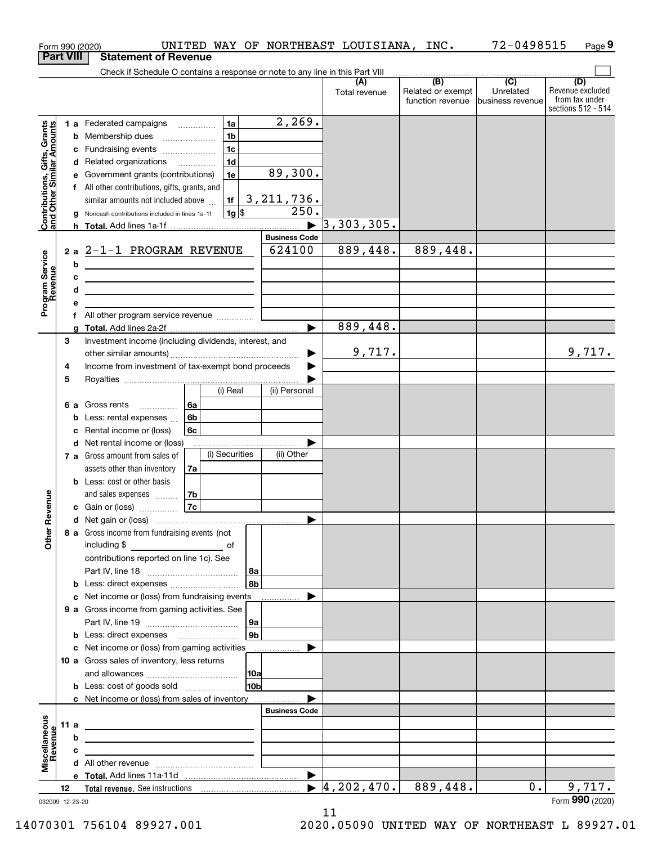|                                                           |      |   | UNITED WAY OF NORTHEAST LOUISIANA, INC.<br>Form 990 (2020)                                                                                                                                                                           |                        |                                  |                                                                                                                                                                                                                                                                                                                                                                                                                              | 72-0498515                    | Page 9                                                          |
|-----------------------------------------------------------|------|---|--------------------------------------------------------------------------------------------------------------------------------------------------------------------------------------------------------------------------------------|------------------------|----------------------------------|------------------------------------------------------------------------------------------------------------------------------------------------------------------------------------------------------------------------------------------------------------------------------------------------------------------------------------------------------------------------------------------------------------------------------|-------------------------------|-----------------------------------------------------------------|
| <b>Part VIII</b>                                          |      |   | <b>Statement of Revenue</b>                                                                                                                                                                                                          |                        |                                  |                                                                                                                                                                                                                                                                                                                                                                                                                              |                               |                                                                 |
|                                                           |      |   | Check if Schedule O contains a response or note to any line in this Part VIII                                                                                                                                                        |                        |                                  | $\begin{array}{c c c c c c} \hline \textbf{1} & \textbf{(B)} & \textbf{1} & \textbf{(C)} & \textbf{1} & \textbf{1} & \textbf{1} & \textbf{1} & \textbf{1} & \textbf{1} & \textbf{1} & \textbf{1} & \textbf{1} & \textbf{1} & \textbf{1} & \textbf{1} & \textbf{1} & \textbf{1} & \textbf{1} & \textbf{1} & \textbf{1} & \textbf{1} & \textbf{1} & \textbf{1} & \textbf{1} & \textbf{1} & \textbf{1} & \textbf{1} & \textbf{$ |                               |                                                                 |
|                                                           |      |   |                                                                                                                                                                                                                                      |                        | (A)<br>Total revenue             | Related or exempt<br>function revenue                                                                                                                                                                                                                                                                                                                                                                                        | Unrelated<br>business revenue | (D)<br>Revenue excluded<br>from tax under<br>sections 512 - 514 |
|                                                           |      |   | 1a<br>1 a Federated campaigns                                                                                                                                                                                                        | 2, 269.                |                                  |                                                                                                                                                                                                                                                                                                                                                                                                                              |                               |                                                                 |
|                                                           |      |   | 1 <sub>b</sub><br><b>b</b> Membership dues                                                                                                                                                                                           |                        |                                  |                                                                                                                                                                                                                                                                                                                                                                                                                              |                               |                                                                 |
|                                                           |      |   | 1 <sub>c</sub><br>c Fundraising events                                                                                                                                                                                               |                        |                                  |                                                                                                                                                                                                                                                                                                                                                                                                                              |                               |                                                                 |
|                                                           |      |   | 1d<br>d Related organizations                                                                                                                                                                                                        |                        |                                  |                                                                                                                                                                                                                                                                                                                                                                                                                              |                               |                                                                 |
|                                                           |      |   | e Government grants (contributions)<br>1e                                                                                                                                                                                            | 89,300.                |                                  |                                                                                                                                                                                                                                                                                                                                                                                                                              |                               |                                                                 |
| Contributions, Gifts, Grants<br>and Other Similar Amounts |      |   | f All other contributions, gifts, grants, and<br>similar amounts not included above<br>1f                                                                                                                                            | 3, 211, 736.           |                                  |                                                                                                                                                                                                                                                                                                                                                                                                                              |                               |                                                                 |
|                                                           |      |   | $1g$ \$<br>g Noncash contributions included in lines 1a-1f                                                                                                                                                                           | 250.                   |                                  |                                                                                                                                                                                                                                                                                                                                                                                                                              |                               |                                                                 |
|                                                           |      |   |                                                                                                                                                                                                                                      | $\blacktriangleright$  | $\vert 3, 303, 305.$             |                                                                                                                                                                                                                                                                                                                                                                                                                              |                               |                                                                 |
|                                                           |      |   |                                                                                                                                                                                                                                      | <b>Business Code</b>   |                                  |                                                                                                                                                                                                                                                                                                                                                                                                                              |                               |                                                                 |
|                                                           |      |   | $2a$ 2-1-1 PROGRAM REVENUE                                                                                                                                                                                                           | 624100                 | 889,448.                         | 889,448.                                                                                                                                                                                                                                                                                                                                                                                                                     |                               |                                                                 |
| Program Service<br>Revenue                                |      | b |                                                                                                                                                                                                                                      |                        |                                  |                                                                                                                                                                                                                                                                                                                                                                                                                              |                               |                                                                 |
|                                                           |      | c | <u>experience</u> and the contract of the contract of the contract of the contract of the contract of the contract of                                                                                                                |                        |                                  |                                                                                                                                                                                                                                                                                                                                                                                                                              |                               |                                                                 |
|                                                           |      | d | the control of the control of the control of the control of the control of                                                                                                                                                           |                        |                                  |                                                                                                                                                                                                                                                                                                                                                                                                                              |                               |                                                                 |
|                                                           |      | е |                                                                                                                                                                                                                                      |                        |                                  |                                                                                                                                                                                                                                                                                                                                                                                                                              |                               |                                                                 |
|                                                           |      |   |                                                                                                                                                                                                                                      |                        |                                  |                                                                                                                                                                                                                                                                                                                                                                                                                              |                               |                                                                 |
|                                                           |      |   |                                                                                                                                                                                                                                      | $\blacktriangleright$  | 889,448.                         |                                                                                                                                                                                                                                                                                                                                                                                                                              |                               |                                                                 |
|                                                           | З    |   | Investment income (including dividends, interest, and                                                                                                                                                                                |                        |                                  |                                                                                                                                                                                                                                                                                                                                                                                                                              |                               |                                                                 |
|                                                           |      |   |                                                                                                                                                                                                                                      | ▶                      | 9,717.                           |                                                                                                                                                                                                                                                                                                                                                                                                                              |                               | 9,717.                                                          |
|                                                           | 4    |   | Income from investment of tax-exempt bond proceeds                                                                                                                                                                                   |                        |                                  |                                                                                                                                                                                                                                                                                                                                                                                                                              |                               |                                                                 |
|                                                           | 5    |   |                                                                                                                                                                                                                                      |                        |                                  |                                                                                                                                                                                                                                                                                                                                                                                                                              |                               |                                                                 |
|                                                           |      |   | (i) Real                                                                                                                                                                                                                             | (ii) Personal          |                                  |                                                                                                                                                                                                                                                                                                                                                                                                                              |                               |                                                                 |
|                                                           |      |   | <b>6 a</b> Gross rents<br>6a                                                                                                                                                                                                         |                        |                                  |                                                                                                                                                                                                                                                                                                                                                                                                                              |                               |                                                                 |
|                                                           |      |   | 6 <sub>b</sub><br><b>b</b> Less: rental expenses                                                                                                                                                                                     |                        |                                  |                                                                                                                                                                                                                                                                                                                                                                                                                              |                               |                                                                 |
|                                                           |      |   | c Rental income or (loss)<br>6с                                                                                                                                                                                                      |                        |                                  |                                                                                                                                                                                                                                                                                                                                                                                                                              |                               |                                                                 |
|                                                           |      |   | <b>d</b> Net rental income or (loss)                                                                                                                                                                                                 |                        |                                  |                                                                                                                                                                                                                                                                                                                                                                                                                              |                               |                                                                 |
|                                                           |      |   | (i) Securities<br>7 a Gross amount from sales of                                                                                                                                                                                     | (ii) Other             |                                  |                                                                                                                                                                                                                                                                                                                                                                                                                              |                               |                                                                 |
|                                                           |      |   | assets other than inventory<br>7a                                                                                                                                                                                                    |                        |                                  |                                                                                                                                                                                                                                                                                                                                                                                                                              |                               |                                                                 |
|                                                           |      |   | <b>b</b> Less: cost or other basis                                                                                                                                                                                                   |                        |                                  |                                                                                                                                                                                                                                                                                                                                                                                                                              |                               |                                                                 |
| evenue                                                    |      |   | 7b<br>and sales expenses                                                                                                                                                                                                             |                        |                                  |                                                                                                                                                                                                                                                                                                                                                                                                                              |                               |                                                                 |
|                                                           |      |   | 7c<br>c Gain or (loss)                                                                                                                                                                                                               |                        |                                  |                                                                                                                                                                                                                                                                                                                                                                                                                              |                               |                                                                 |
| Other R                                                   |      |   | 8 a Gross income from fundraising events (not                                                                                                                                                                                        |                        |                                  |                                                                                                                                                                                                                                                                                                                                                                                                                              |                               |                                                                 |
|                                                           |      |   | including \$                                                                                                                                                                                                                         |                        |                                  |                                                                                                                                                                                                                                                                                                                                                                                                                              |                               |                                                                 |
|                                                           |      |   | contributions reported on line 1c). See                                                                                                                                                                                              |                        |                                  |                                                                                                                                                                                                                                                                                                                                                                                                                              |                               |                                                                 |
|                                                           |      |   |                                                                                                                                                                                                                                      | 8a                     |                                  |                                                                                                                                                                                                                                                                                                                                                                                                                              |                               |                                                                 |
|                                                           |      |   |                                                                                                                                                                                                                                      | 8b                     |                                  |                                                                                                                                                                                                                                                                                                                                                                                                                              |                               |                                                                 |
|                                                           |      |   | c Net income or (loss) from fundraising events                                                                                                                                                                                       |                        |                                  |                                                                                                                                                                                                                                                                                                                                                                                                                              |                               |                                                                 |
|                                                           |      |   | 9 a Gross income from gaming activities. See                                                                                                                                                                                         |                        |                                  |                                                                                                                                                                                                                                                                                                                                                                                                                              |                               |                                                                 |
|                                                           |      |   |                                                                                                                                                                                                                                      | 9a                     |                                  |                                                                                                                                                                                                                                                                                                                                                                                                                              |                               |                                                                 |
|                                                           |      |   | <b>b</b> Less: direct expenses <b>manually</b>                                                                                                                                                                                       | 9 <sub>b</sub>         |                                  |                                                                                                                                                                                                                                                                                                                                                                                                                              |                               |                                                                 |
|                                                           |      |   | c Net income or (loss) from gaming activities                                                                                                                                                                                        | .                      |                                  |                                                                                                                                                                                                                                                                                                                                                                                                                              |                               |                                                                 |
|                                                           |      |   | 10 a Gross sales of inventory, less returns                                                                                                                                                                                          |                        |                                  |                                                                                                                                                                                                                                                                                                                                                                                                                              |                               |                                                                 |
|                                                           |      |   |                                                                                                                                                                                                                                      | 10a<br>10 <sub>b</sub> |                                  |                                                                                                                                                                                                                                                                                                                                                                                                                              |                               |                                                                 |
|                                                           |      |   |                                                                                                                                                                                                                                      |                        |                                  |                                                                                                                                                                                                                                                                                                                                                                                                                              |                               |                                                                 |
|                                                           |      |   | c Net income or (loss) from sales of inventory                                                                                                                                                                                       | <b>Business Code</b>   |                                  |                                                                                                                                                                                                                                                                                                                                                                                                                              |                               |                                                                 |
|                                                           |      |   |                                                                                                                                                                                                                                      |                        |                                  |                                                                                                                                                                                                                                                                                                                                                                                                                              |                               |                                                                 |
|                                                           | 11 a |   | <u> 1989 - Andrea Stadt Britain, amerikansk politiker (</u>                                                                                                                                                                          |                        |                                  |                                                                                                                                                                                                                                                                                                                                                                                                                              |                               |                                                                 |
| Miscellaneous<br>Revenue                                  |      | b | <u>and the contract of the contract of the contract of the contract of the contract of the contract of the contract of the contract of the contract of the contract of the contract of the contract of the contract of the contr</u> |                        |                                  |                                                                                                                                                                                                                                                                                                                                                                                                                              |                               |                                                                 |
|                                                           |      | c | <u> 1989 - Johann Stein, mars an deus Amerikaansk kommunister (</u>                                                                                                                                                                  |                        |                                  |                                                                                                                                                                                                                                                                                                                                                                                                                              |                               |                                                                 |
|                                                           |      |   |                                                                                                                                                                                                                                      | $\blacktriangleright$  |                                  |                                                                                                                                                                                                                                                                                                                                                                                                                              |                               |                                                                 |
|                                                           | 12   |   |                                                                                                                                                                                                                                      |                        | $\blacktriangleright$ 4,202,470. | 889,448.                                                                                                                                                                                                                                                                                                                                                                                                                     | $0$ .                         | 9,717.                                                          |
| 032009 12-23-20                                           |      |   |                                                                                                                                                                                                                                      |                        |                                  |                                                                                                                                                                                                                                                                                                                                                                                                                              |                               | Form 990 (2020)                                                 |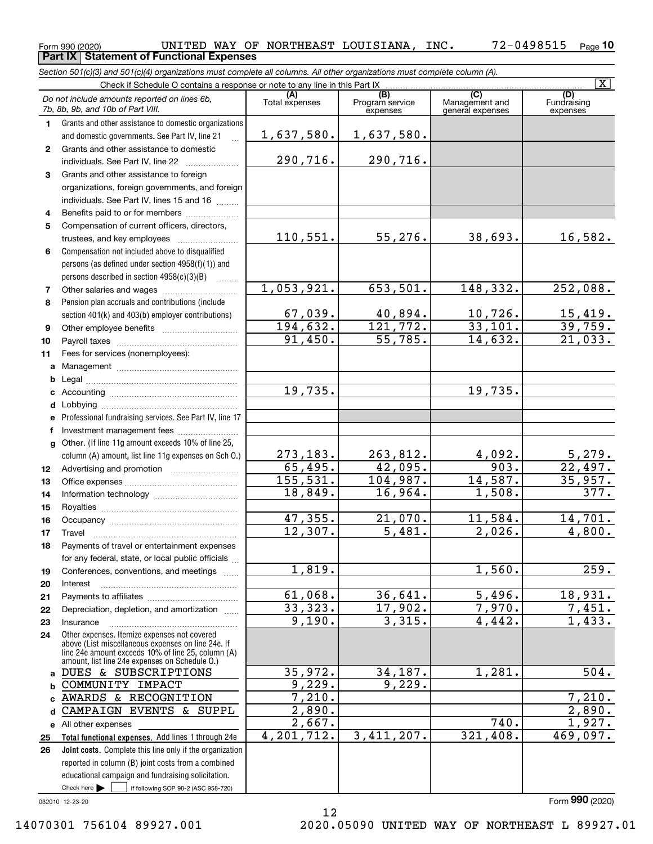### $_{\rm Form}$   $_{990}$   $_{(2020)}$   $_{\rm W1}$   $_{\rm W1}$   $_{\rm H2}$   $_{\rm W1}$   $_{\rm O2}$   $_{\rm W1}$   $_{\rm H2}$   $_{\rm H2}$   $_{\rm H2}$   $_{\rm H2}$   $_{\rm H2}$   $_{\rm H2}$   $_{\rm H2}$   $_{\rm H2}$   $_{\rm H2}$   $_{\rm H2}$   $_{\rm H2}$   $_{\rm H2}$   $_{\rm H2}$   $_{\rm H2}$   $_{\rm H2}$   $_{\rm H2$ **10 Part IX Statement of Functional Expenses**

*Section 501(c)(3) and 501(c)(4) organizations must complete all columns. All other organizations must complete column (A).*

|                  | Check if Schedule O contains a response or note to any line in this Part IX                                                                              |                            |                                    |                                           | $\overline{\mathbf{x}}$         |
|------------------|----------------------------------------------------------------------------------------------------------------------------------------------------------|----------------------------|------------------------------------|-------------------------------------------|---------------------------------|
|                  | Do not include amounts reported on lines 6b,<br>7b, 8b, 9b, and 10b of Part VIII.                                                                        | (A)<br>Total expenses      | (B)<br>Program service<br>expenses | (C)<br>Management and<br>general expenses | (D)<br>Fundraising<br>expenses  |
| $\mathbf{1}$     | Grants and other assistance to domestic organizations                                                                                                    |                            |                                    |                                           |                                 |
|                  | and domestic governments. See Part IV, line 21                                                                                                           | 1,637,580.                 | 1,637,580.                         |                                           |                                 |
| $\mathbf{2}$     | Grants and other assistance to domestic                                                                                                                  |                            |                                    |                                           |                                 |
|                  | individuals. See Part IV, line 22                                                                                                                        | 290,716.                   | 290,716.                           |                                           |                                 |
| 3                | Grants and other assistance to foreign                                                                                                                   |                            |                                    |                                           |                                 |
|                  | organizations, foreign governments, and foreign                                                                                                          |                            |                                    |                                           |                                 |
|                  | individuals. See Part IV, lines 15 and 16                                                                                                                |                            |                                    |                                           |                                 |
| 4                | Benefits paid to or for members                                                                                                                          |                            |                                    |                                           |                                 |
| 5                | Compensation of current officers, directors,                                                                                                             |                            |                                    |                                           |                                 |
|                  | trustees, and key employees                                                                                                                              | 110,551.                   | 55, 276.                           | 38,693.                                   | 16,582.                         |
| 6                | Compensation not included above to disqualified                                                                                                          |                            |                                    |                                           |                                 |
|                  | persons (as defined under section 4958(f)(1)) and                                                                                                        |                            |                                    |                                           |                                 |
|                  | persons described in section 4958(c)(3)(B)<br>$\overline{\phantom{a}}$                                                                                   |                            |                                    |                                           |                                 |
| 7                |                                                                                                                                                          | 1,053,921.                 | 653,501.                           | 148,332.                                  | 252,088.                        |
| 8                | Pension plan accruals and contributions (include                                                                                                         |                            |                                    |                                           |                                 |
|                  | section 401(k) and 403(b) employer contributions)                                                                                                        | $\frac{67,039.}{194,632.}$ | <u>40,894.</u>                     | $\frac{10,726}{33,101}$ .                 | <u>15,419.</u><br>39,759.       |
| 9                |                                                                                                                                                          |                            | 121, 772.                          |                                           | $\overline{21,033}$ .           |
| 10               |                                                                                                                                                          | 91,450.                    | 55,785.                            | 14,632.                                   |                                 |
| 11               | Fees for services (nonemployees):                                                                                                                        |                            |                                    |                                           |                                 |
| a                |                                                                                                                                                          |                            |                                    |                                           |                                 |
| b                |                                                                                                                                                          | 19,735.                    |                                    | 19,735.                                   |                                 |
| c                |                                                                                                                                                          |                            |                                    |                                           |                                 |
| d<br>е           | Professional fundraising services. See Part IV, line 17                                                                                                  |                            |                                    |                                           |                                 |
| f                | Investment management fees                                                                                                                               |                            |                                    |                                           |                                 |
|                  | g Other. (If line 11g amount exceeds 10% of line 25,                                                                                                     |                            |                                    |                                           |                                 |
|                  | column (A) amount, list line 11g expenses on Sch O.)                                                                                                     | 273,183.                   | 263,812.                           | 4,092.                                    |                                 |
| 12 <sup>12</sup> |                                                                                                                                                          | 65,495.                    | 42,095.                            | 903.                                      | $\frac{5,279}{22,497}$          |
| 13               |                                                                                                                                                          | 155,531.                   | 104,987.                           | 14,587.                                   | 35,957.                         |
| 14               |                                                                                                                                                          | 18,849.                    | 16,964.                            | 1,508.                                    | $\overline{377}$ .              |
| 15               |                                                                                                                                                          |                            |                                    |                                           |                                 |
| 16               |                                                                                                                                                          | 47,355.                    | 21,070.                            | 11,584.                                   | 14,701.                         |
| 17               | Travel                                                                                                                                                   | 12,307.                    | 5,481.                             | 2,026.                                    | 4,800.                          |
| 18               | Payments of travel or entertainment expenses                                                                                                             |                            |                                    |                                           |                                 |
|                  | for any federal, state, or local public officials                                                                                                        |                            |                                    |                                           |                                 |
| 19               | Conferences, conventions, and meetings                                                                                                                   | 1,819.                     |                                    | 1,560.                                    | 259.                            |
| 20               | Interest                                                                                                                                                 |                            |                                    |                                           |                                 |
| 21               |                                                                                                                                                          | 61,068.                    | 36,641.                            | 5,496.                                    | 18,931.                         |
| 22               | Depreciation, depletion, and amortization                                                                                                                | 33,323.                    | 17,902.                            | 7,970.                                    | 7,451.                          |
| 23               | Insurance                                                                                                                                                | 9,190.                     | 3,315.                             | 4,442.                                    | 1,433.                          |
| 24               | Other expenses. Itemize expenses not covered<br>above (List miscellaneous expenses on line 24e. If<br>line 24e amount exceeds 10% of line 25, column (A) |                            |                                    |                                           |                                 |
|                  | amount, list line 24e expenses on Schedule O.)<br>DUES & SUBSCRIPTIONS                                                                                   | 35,972.                    | 34,187.                            | 1,281.                                    | 504.                            |
| a                | COMMUNITY IMPACT                                                                                                                                         | 9,229.                     | 9,229.                             |                                           |                                 |
| b<br>C           | AWARDS & RECOGNITION                                                                                                                                     | 7,210.                     |                                    |                                           | 7,210.                          |
| d                | CAMPAIGN EVENTS & SUPPL                                                                                                                                  | $\overline{2,890}$ .       |                                    |                                           | 2,890.                          |
|                  | e All other expenses                                                                                                                                     | $\overline{2,667}$ .       |                                    | 740.                                      | 1,927.                          |
| 25               | Total functional expenses. Add lines 1 through 24e                                                                                                       | 4,201,712.                 | 3,411,207.                         | 321,408.                                  | $\overline{469}$ , 0 <u>97.</u> |
| 26               | Joint costs. Complete this line only if the organization                                                                                                 |                            |                                    |                                           |                                 |
|                  | reported in column (B) joint costs from a combined                                                                                                       |                            |                                    |                                           |                                 |
|                  | educational campaign and fundraising solicitation.                                                                                                       |                            |                                    |                                           |                                 |
|                  | Check here $\blacktriangleright$<br>if following SOP 98-2 (ASC 958-720)                                                                                  |                            |                                    |                                           |                                 |

12

032010 12-23-20

Form (2020) **990**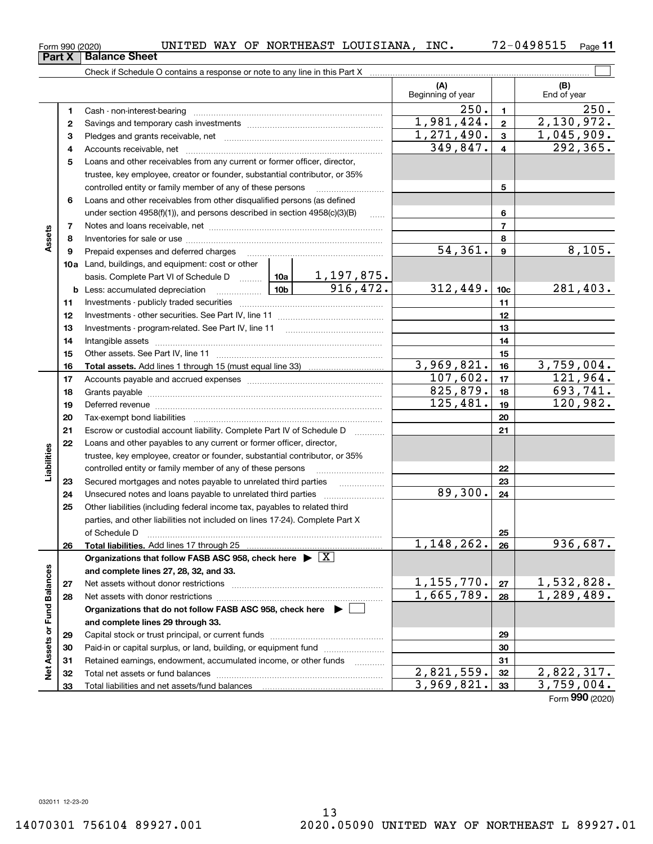Check if Schedule O contains a response or note to any line in this Part X **Part X** | Balance Sheet

> Cash - non-interest-bearing ~~~~~~~~~~~~~~~~~~~~~~~~~ Savings and temporary cash investments ~~~~~~~~~~~~~~~~~~

 $_{\rm Form}$   $_{990}$   $_{(2020)}$   $_{\rm W1}$   $_{\rm W1}$   $_{\rm H2}$   $_{\rm W1}$   $_{\rm O2}$   $_{\rm W1}$   $_{\rm H2}$   $_{\rm H2}$   $_{\rm H2}$   $_{\rm H2}$   $_{\rm H2}$   $_{\rm H2}$   $_{\rm H2}$   $_{\rm H2}$   $_{\rm H2}$   $_{\rm H2}$   $_{\rm H2}$   $_{\rm H2}$   $_{\rm H2}$   $_{\rm H2}$   $_{\rm H2}$   $_{\rm H2$ **11**

 $250.$  1  $250.$ 

(B)<br>End of year

 $\mathcal{L}^{\text{max}}$ 

**(A) (B)**

Beginning of year | | End of year

**12**

1,981,424. 2,130,972.

|                    | 3  |                                                                                                                                          |                               | <u>1,271,490.</u> | $\mathbf{3}$         | $\frac{1,045,909.}{292,365.}$ |
|--------------------|----|------------------------------------------------------------------------------------------------------------------------------------------|-------------------------------|-------------------|----------------------|-------------------------------|
|                    | 4  |                                                                                                                                          |                               | 349,847.          | $\overline{4}$       |                               |
|                    | 5  | Loans and other receivables from any current or former officer, director,                                                                |                               |                   |                      |                               |
|                    |    | trustee, key employee, creator or founder, substantial contributor, or 35%                                                               |                               |                   |                      |                               |
|                    |    | controlled entity or family member of any of these persons                                                                               |                               |                   | 5                    |                               |
|                    | 6  | Loans and other receivables from other disqualified persons (as defined                                                                  |                               |                   |                      |                               |
|                    |    | under section 4958(f)(1)), and persons described in section 4958(c)(3)(B)                                                                | $\ldots$                      |                   | 6                    |                               |
|                    | 7  |                                                                                                                                          |                               |                   | $\overline{7}$       |                               |
| Assets             | 8  |                                                                                                                                          |                               |                   | 8                    |                               |
|                    | 9  | Prepaid expenses and deferred charges                                                                                                    |                               | 54,361.           | $\boldsymbol{9}$     | 8,105.                        |
|                    |    | 10a Land, buildings, and equipment: cost or other                                                                                        |                               |                   |                      |                               |
|                    |    | basis. Complete Part VI of Schedule D  10a                                                                                               | $\frac{1,197,875.}{916,472.}$ |                   |                      |                               |
|                    | b  | 10 <sub>b</sub><br>Less: accumulated depreciation<br>$\ldots \ldots \ldots \ldots \ldots$                                                |                               | 312,449.          | 10 <sub>c</sub>      | 281,403.                      |
|                    | 11 |                                                                                                                                          |                               |                   | 11                   |                               |
|                    | 12 |                                                                                                                                          |                               |                   | 12                   |                               |
|                    | 13 |                                                                                                                                          |                               |                   | 13                   |                               |
|                    | 14 |                                                                                                                                          |                               |                   | 14                   |                               |
|                    | 15 |                                                                                                                                          |                               | 15                |                      |                               |
|                    | 16 |                                                                                                                                          | 3,969,821.                    | 16                | 3,759,004.           |                               |
|                    | 17 |                                                                                                                                          | 107,602.<br>825, 879.         | 17                | 121,964.<br>693,741. |                               |
|                    | 18 |                                                                                                                                          |                               | 125,481.          | 18                   | 120,982.                      |
|                    | 19 | Deferred revenue manual contracts and contracts are all the contracts and contracts are contracted and contracts                         |                               |                   | 19                   |                               |
|                    | 20 |                                                                                                                                          |                               | 20                |                      |                               |
|                    | 21 | Escrow or custodial account liability. Complete Part IV of Schedule D                                                                    |                               | 21                |                      |                               |
|                    | 22 | Loans and other payables to any current or former officer, director,                                                                     |                               |                   |                      |                               |
| Liabilities        |    | trustee, key employee, creator or founder, substantial contributor, or 35%<br>controlled entity or family member of any of these persons |                               |                   | 22                   |                               |
|                    | 23 | Secured mortgages and notes payable to unrelated third parties                                                                           |                               |                   | 23                   |                               |
|                    | 24 | Unsecured notes and loans payable to unrelated third parties                                                                             |                               | 89,300.           | 24                   |                               |
|                    | 25 | Other liabilities (including federal income tax, payables to related third                                                               |                               |                   |                      |                               |
|                    |    | parties, and other liabilities not included on lines 17-24). Complete Part X                                                             |                               |                   |                      |                               |
|                    |    | of Schedule D                                                                                                                            |                               |                   | 25                   |                               |
|                    | 26 |                                                                                                                                          |                               | 1,148,262.        | 26                   | 936,687.                      |
|                    |    | Organizations that follow FASB ASC 958, check here $\triangleright \lfloor X \rfloor$                                                    |                               |                   |                      |                               |
|                    |    | and complete lines 27, 28, 32, and 33.                                                                                                   |                               |                   |                      |                               |
| <b>Balances</b>    | 27 |                                                                                                                                          |                               | 1, 155, 770.      | 27                   | 1,532,828.                    |
|                    | 28 |                                                                                                                                          |                               | 1,665,789.        | 28                   | 1,289,489.                    |
|                    |    | Organizations that do not follow FASB ASC 958, check here $\blacktriangleright$                                                          |                               |                   |                      |                               |
|                    |    | and complete lines 29 through 33.                                                                                                        |                               |                   |                      |                               |
| Net Assets or Fund | 29 |                                                                                                                                          |                               |                   | 29                   |                               |
|                    | 30 | Paid-in or capital surplus, or land, building, or equipment fund                                                                         |                               |                   | 30                   |                               |
|                    | 31 | Retained earnings, endowment, accumulated income, or other funds                                                                         |                               |                   | 31                   |                               |
|                    | 32 |                                                                                                                                          |                               | 2,821,559.        | 32                   | 2,822,317.                    |
|                    | 33 | Total liabilities and net assets/fund balances                                                                                           |                               | 3,969,821.        | 33                   | 3,759,004.                    |
|                    |    |                                                                                                                                          |                               |                   |                      | Form 990 (2020)               |

**12**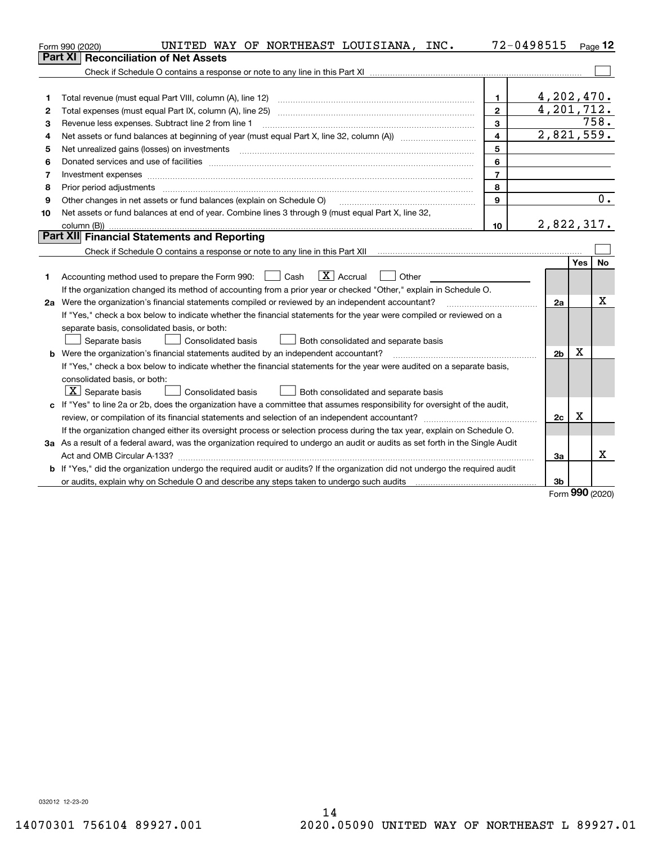|    | UNITED WAY OF NORTHEAST LOUISIANA, INC.<br>Form 990 (2020)                                                                                                                                                                     | 72-0498515     |                |            | Page $12$ |
|----|--------------------------------------------------------------------------------------------------------------------------------------------------------------------------------------------------------------------------------|----------------|----------------|------------|-----------|
|    | <b>Reconciliation of Net Assets</b><br>Part XI                                                                                                                                                                                 |                |                |            |           |
|    |                                                                                                                                                                                                                                |                |                |            |           |
|    |                                                                                                                                                                                                                                |                |                |            |           |
| 1  | Total revenue (must equal Part VIII, column (A), line 12)                                                                                                                                                                      | 1              | 4,202,470.     |            |           |
| 2  |                                                                                                                                                                                                                                | $\overline{2}$ | 4,201,712.     |            |           |
| з  | Revenue less expenses. Subtract line 2 from line 1                                                                                                                                                                             | 3              |                |            | 758.      |
| 4  |                                                                                                                                                                                                                                | $\overline{4}$ | 2,821,559.     |            |           |
| 5  | Net unrealized gains (losses) on investments                                                                                                                                                                                   | 5              |                |            |           |
| 6  | Donated services and use of facilities [111] Donated and the service of facilities [11] Donated services and use of facilities [11] Donated and the service of the service of the service of the service of the service of the | 6              |                |            |           |
| 7  | Investment expenses www.communication.communication.com/www.communication.com/www.communication.com                                                                                                                            | $\overline{7}$ |                |            |           |
| 8  | Prior period adjustments                                                                                                                                                                                                       | 8              |                |            |           |
| 9  | Other changes in net assets or fund balances (explain on Schedule O)                                                                                                                                                           | $\mathbf{Q}$   |                |            | 0.        |
| 10 | Net assets or fund balances at end of year. Combine lines 3 through 9 (must equal Part X, line 32,                                                                                                                             |                |                |            |           |
|    | column (B)).                                                                                                                                                                                                                   | 10             | 2,822,317.     |            |           |
|    | Part XII Financial Statements and Reporting                                                                                                                                                                                    |                |                |            |           |
|    |                                                                                                                                                                                                                                |                |                |            |           |
|    |                                                                                                                                                                                                                                |                |                | <b>Yes</b> | No        |
| 1. | $ X $ Accrual<br>Accounting method used to prepare the Form 990: <u>I</u> Cash<br>Other                                                                                                                                        |                |                |            |           |
|    | If the organization changed its method of accounting from a prior year or checked "Other," explain in Schedule O.                                                                                                              |                |                |            |           |
|    | 2a Were the organization's financial statements compiled or reviewed by an independent accountant?                                                                                                                             |                | 2a             |            | Χ         |
|    | If "Yes," check a box below to indicate whether the financial statements for the year were compiled or reviewed on a                                                                                                           |                |                |            |           |
|    | separate basis, consolidated basis, or both:                                                                                                                                                                                   |                |                |            |           |
|    | Separate basis<br><b>Consolidated basis</b><br>Both consolidated and separate basis                                                                                                                                            |                |                |            |           |
|    | <b>b</b> Were the organization's financial statements audited by an independent accountant?                                                                                                                                    |                | 2 <sub>b</sub> | Χ          |           |
|    | If "Yes," check a box below to indicate whether the financial statements for the year were audited on a separate basis,                                                                                                        |                |                |            |           |
|    | consolidated basis, or both:                                                                                                                                                                                                   |                |                |            |           |
|    | $ \mathbf{X} $ Separate basis<br><b>Consolidated basis</b><br>Both consolidated and separate basis                                                                                                                             |                |                |            |           |
|    | c If "Yes" to line 2a or 2b, does the organization have a committee that assumes responsibility for oversight of the audit,                                                                                                    |                |                |            |           |
|    |                                                                                                                                                                                                                                |                | 2c             | х          |           |
|    | If the organization changed either its oversight process or selection process during the tax year, explain on Schedule O.                                                                                                      |                |                |            |           |
|    | 3a As a result of a federal award, was the organization required to undergo an audit or audits as set forth in the Single Audit                                                                                                |                |                |            |           |
|    |                                                                                                                                                                                                                                |                | За             |            | x         |
|    | b If "Yes," did the organization undergo the required audit or audits? If the organization did not undergo the required audit                                                                                                  |                |                |            |           |
|    | or audits, explain why on Schedule O and describe any steps taken to undergo such audits                                                                                                                                       |                | 3b             |            |           |

Form (2020) **990**

032012 12-23-20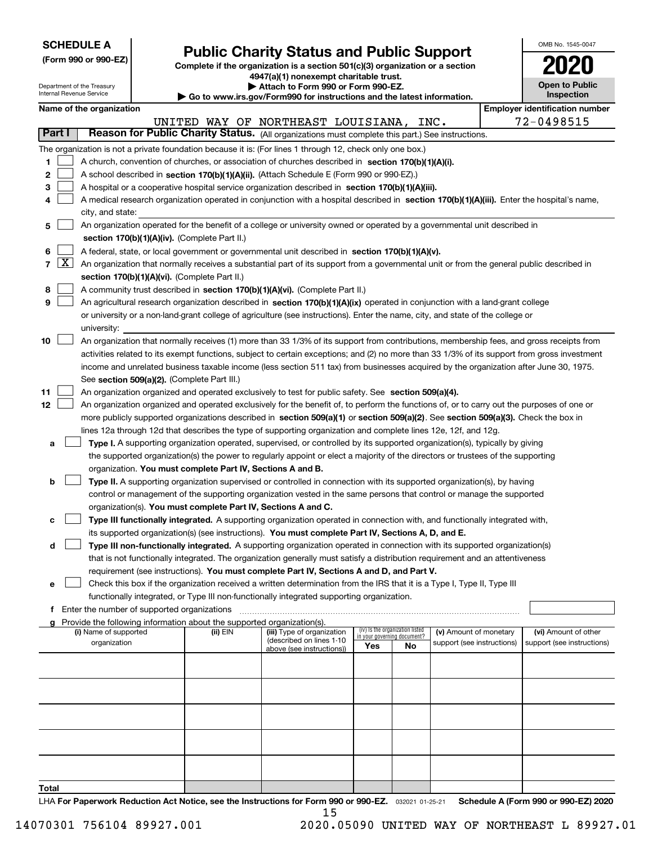| <b>SCHEDULE A</b> |
|-------------------|
|-------------------|

Department of the Treasury

**(Form 990 or 990-EZ)**

# **Public Charity Status and Public Support**

**Complete if the organization is a section 501(c)(3) organization or a section 4947(a)(1) nonexempt charitable trust. | Attach to Form 990 or Form 990-EZ.** 

| $\cdot$ www.irs.gov/Form990 for instructions and the latest information. |  |  |
|--------------------------------------------------------------------------|--|--|

| OMB No 1545-0047             |
|------------------------------|
| 2020                         |
| Open to Public<br>Inspection |

٦

|       |               | Internal Revenue Service |                                               |                                                                        | $\blacktriangleright$ Go to www.irs.gov/Form990 for instructions and the latest information.                                                               |                                                                                                                           |                                 |                            |  |            | <b>Inspection</b>                     |  |
|-------|---------------|--------------------------|-----------------------------------------------|------------------------------------------------------------------------|------------------------------------------------------------------------------------------------------------------------------------------------------------|---------------------------------------------------------------------------------------------------------------------------|---------------------------------|----------------------------|--|------------|---------------------------------------|--|
|       |               | Name of the organization |                                               |                                                                        |                                                                                                                                                            |                                                                                                                           |                                 |                            |  |            | <b>Employer identification number</b> |  |
|       |               |                          |                                               |                                                                        | UNITED WAY OF NORTHEAST LOUISIANA, INC.                                                                                                                    |                                                                                                                           |                                 |                            |  | 72-0498515 |                                       |  |
|       | <b>Part I</b> |                          |                                               |                                                                        | Reason for Public Charity Status. (All organizations must complete this part.) See instructions.                                                           |                                                                                                                           |                                 |                            |  |            |                                       |  |
|       |               |                          |                                               |                                                                        | The organization is not a private foundation because it is: (For lines 1 through 12, check only one box.)                                                  |                                                                                                                           |                                 |                            |  |            |                                       |  |
| 1     |               |                          |                                               |                                                                        | A church, convention of churches, or association of churches described in section 170(b)(1)(A)(i).                                                         |                                                                                                                           |                                 |                            |  |            |                                       |  |
| 2     |               |                          |                                               |                                                                        | A school described in section 170(b)(1)(A)(ii). (Attach Schedule E (Form 990 or 990-EZ).)                                                                  |                                                                                                                           |                                 |                            |  |            |                                       |  |
| з     |               |                          |                                               |                                                                        | A hospital or a cooperative hospital service organization described in section 170(b)(1)(A)(iii).                                                          |                                                                                                                           |                                 |                            |  |            |                                       |  |
| 4     |               |                          |                                               |                                                                        | A medical research organization operated in conjunction with a hospital described in section 170(b)(1)(A)(iii). Enter the hospital's name,                 |                                                                                                                           |                                 |                            |  |            |                                       |  |
|       |               | city, and state:         |                                               |                                                                        |                                                                                                                                                            |                                                                                                                           |                                 |                            |  |            |                                       |  |
| 5     |               |                          |                                               |                                                                        | An organization operated for the benefit of a college or university owned or operated by a governmental unit described in                                  |                                                                                                                           |                                 |                            |  |            |                                       |  |
|       |               |                          |                                               | section 170(b)(1)(A)(iv). (Complete Part II.)                          |                                                                                                                                                            |                                                                                                                           |                                 |                            |  |            |                                       |  |
| 6     |               |                          |                                               |                                                                        | A federal, state, or local government or governmental unit described in section 170(b)(1)(A)(v).                                                           |                                                                                                                           |                                 |                            |  |            |                                       |  |
|       |               |                          |                                               |                                                                        | $7 \overline{X}$ An organization that normally receives a substantial part of its support from a governmental unit or from the general public described in |                                                                                                                           |                                 |                            |  |            |                                       |  |
|       |               |                          |                                               | section 170(b)(1)(A)(vi). (Complete Part II.)                          |                                                                                                                                                            |                                                                                                                           |                                 |                            |  |            |                                       |  |
| 8     |               |                          |                                               |                                                                        | A community trust described in section 170(b)(1)(A)(vi). (Complete Part II.)                                                                               |                                                                                                                           |                                 |                            |  |            |                                       |  |
| 9     |               |                          |                                               |                                                                        | An agricultural research organization described in section 170(b)(1)(A)(ix) operated in conjunction with a land-grant college                              |                                                                                                                           |                                 |                            |  |            |                                       |  |
|       |               |                          |                                               |                                                                        | or university or a non-land-grant college of agriculture (see instructions). Enter the name, city, and state of the college or                             |                                                                                                                           |                                 |                            |  |            |                                       |  |
|       |               |                          |                                               |                                                                        |                                                                                                                                                            |                                                                                                                           |                                 |                            |  |            |                                       |  |
|       |               | university:              |                                               |                                                                        | An organization that normally receives (1) more than 33 1/3% of its support from contributions, membership fees, and gross receipts from                   |                                                                                                                           |                                 |                            |  |            |                                       |  |
| 10    |               |                          |                                               |                                                                        |                                                                                                                                                            |                                                                                                                           |                                 |                            |  |            |                                       |  |
|       |               |                          |                                               |                                                                        | activities related to its exempt functions, subject to certain exceptions; and (2) no more than 33 1/3% of its support from gross investment               |                                                                                                                           |                                 |                            |  |            |                                       |  |
|       |               |                          |                                               |                                                                        | income and unrelated business taxable income (less section 511 tax) from businesses acquired by the organization after June 30, 1975.                      |                                                                                                                           |                                 |                            |  |            |                                       |  |
|       |               |                          |                                               | See section 509(a)(2). (Complete Part III.)                            |                                                                                                                                                            |                                                                                                                           |                                 |                            |  |            |                                       |  |
| 11    |               |                          |                                               |                                                                        | An organization organized and operated exclusively to test for public safety. See section 509(a)(4).                                                       |                                                                                                                           |                                 |                            |  |            |                                       |  |
| 12    |               |                          |                                               |                                                                        | An organization organized and operated exclusively for the benefit of, to perform the functions of, or to carry out the purposes of one or                 |                                                                                                                           |                                 |                            |  |            |                                       |  |
|       |               |                          |                                               |                                                                        | more publicly supported organizations described in section 509(a)(1) or section 509(a)(2). See section 509(a)(3). Check the box in                         |                                                                                                                           |                                 |                            |  |            |                                       |  |
|       |               |                          |                                               |                                                                        | lines 12a through 12d that describes the type of supporting organization and complete lines 12e, 12f, and 12g.                                             |                                                                                                                           |                                 |                            |  |            |                                       |  |
| а     |               |                          |                                               |                                                                        | Type I. A supporting organization operated, supervised, or controlled by its supported organization(s), typically by giving                                |                                                                                                                           |                                 |                            |  |            |                                       |  |
|       |               |                          |                                               |                                                                        | the supported organization(s) the power to regularly appoint or elect a majority of the directors or trustees of the supporting                            |                                                                                                                           |                                 |                            |  |            |                                       |  |
|       |               |                          |                                               | organization. You must complete Part IV, Sections A and B.             |                                                                                                                                                            |                                                                                                                           |                                 |                            |  |            |                                       |  |
| b     |               |                          |                                               |                                                                        | Type II. A supporting organization supervised or controlled in connection with its supported organization(s), by having                                    |                                                                                                                           |                                 |                            |  |            |                                       |  |
|       |               |                          |                                               |                                                                        | control or management of the supporting organization vested in the same persons that control or manage the supported                                       |                                                                                                                           |                                 |                            |  |            |                                       |  |
|       |               |                          |                                               | organization(s). You must complete Part IV, Sections A and C.          |                                                                                                                                                            |                                                                                                                           |                                 |                            |  |            |                                       |  |
| с     |               |                          |                                               |                                                                        | Type III functionally integrated. A supporting organization operated in connection with, and functionally integrated with,                                 |                                                                                                                           |                                 |                            |  |            |                                       |  |
|       |               |                          |                                               |                                                                        | its supported organization(s) (see instructions). You must complete Part IV, Sections A, D, and E.                                                         |                                                                                                                           |                                 |                            |  |            |                                       |  |
| d     |               |                          |                                               |                                                                        |                                                                                                                                                            | Type III non-functionally integrated. A supporting organization operated in connection with its supported organization(s) |                                 |                            |  |            |                                       |  |
|       |               |                          |                                               |                                                                        | that is not functionally integrated. The organization generally must satisfy a distribution requirement and an attentiveness                               |                                                                                                                           |                                 |                            |  |            |                                       |  |
|       |               |                          |                                               |                                                                        | requirement (see instructions). You must complete Part IV, Sections A and D, and Part V.                                                                   |                                                                                                                           |                                 |                            |  |            |                                       |  |
| е     |               |                          |                                               |                                                                        | Check this box if the organization received a written determination from the IRS that it is a Type I, Type II, Type III                                    |                                                                                                                           |                                 |                            |  |            |                                       |  |
|       |               |                          |                                               |                                                                        | functionally integrated, or Type III non-functionally integrated supporting organization.                                                                  |                                                                                                                           |                                 |                            |  |            |                                       |  |
|       |               |                          | f Enter the number of supported organizations |                                                                        |                                                                                                                                                            |                                                                                                                           |                                 |                            |  |            |                                       |  |
|       |               |                          |                                               | Provide the following information about the supported organization(s). |                                                                                                                                                            |                                                                                                                           |                                 |                            |  |            |                                       |  |
|       |               | (i) Name of supported    |                                               | (ii) EIN                                                               | (iii) Type of organization<br>(described on lines 1-10                                                                                                     | in your governing document?                                                                                               | (iv) Is the organization listed | (v) Amount of monetary     |  |            | (vi) Amount of other                  |  |
|       |               | organization             |                                               |                                                                        | above (see instructions))                                                                                                                                  | Yes                                                                                                                       | No                              | support (see instructions) |  |            | support (see instructions)            |  |
|       |               |                          |                                               |                                                                        |                                                                                                                                                            |                                                                                                                           |                                 |                            |  |            |                                       |  |
|       |               |                          |                                               |                                                                        |                                                                                                                                                            |                                                                                                                           |                                 |                            |  |            |                                       |  |
|       |               |                          |                                               |                                                                        |                                                                                                                                                            |                                                                                                                           |                                 |                            |  |            |                                       |  |
|       |               |                          |                                               |                                                                        |                                                                                                                                                            |                                                                                                                           |                                 |                            |  |            |                                       |  |
|       |               |                          |                                               |                                                                        |                                                                                                                                                            |                                                                                                                           |                                 |                            |  |            |                                       |  |
|       |               |                          |                                               |                                                                        |                                                                                                                                                            |                                                                                                                           |                                 |                            |  |            |                                       |  |
|       |               |                          |                                               |                                                                        |                                                                                                                                                            |                                                                                                                           |                                 |                            |  |            |                                       |  |
|       |               |                          |                                               |                                                                        |                                                                                                                                                            |                                                                                                                           |                                 |                            |  |            |                                       |  |
|       |               |                          |                                               |                                                                        |                                                                                                                                                            |                                                                                                                           |                                 |                            |  |            |                                       |  |
|       |               |                          |                                               |                                                                        |                                                                                                                                                            |                                                                                                                           |                                 |                            |  |            |                                       |  |
| Total |               |                          |                                               |                                                                        |                                                                                                                                                            |                                                                                                                           |                                 |                            |  |            |                                       |  |

LHA For Paperwork Reduction Act Notice, see the Instructions for Form 990 or 990-EZ. <sub>032021</sub> o1-25-21 Schedule A (Form 990 or 990-EZ) 2020 15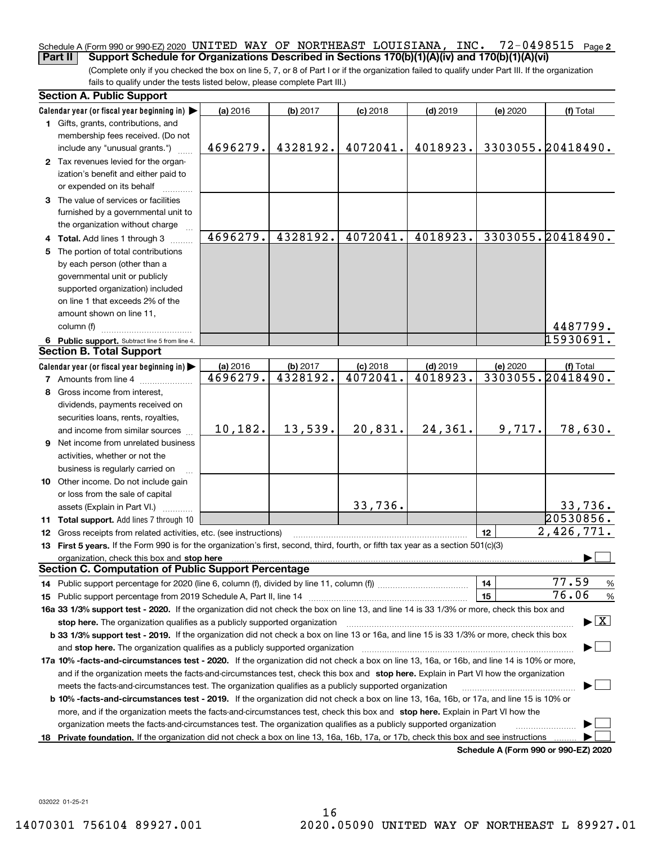#### 72-0498515 <sub>Page 2</sub> Schedule A (Form 990 or 990-EZ) 2020 <code>UNITED WAY OF NORTHEAST LOUISIANA, INC.  $72\text{--}0498515$  Page</code> **Part II Support Schedule for Organizations Described in Sections 170(b)(1)(A)(iv) and 170(b)(1)(A)(vi)**

(Complete only if you checked the box on line 5, 7, or 8 of Part I or if the organization failed to qualify under Part III. If the organization fails to qualify under the tests listed below, please complete Part III.)

|    | <b>Section A. Public Support</b>                                                                                                                                                                                               |                      |                      |                        |                        |          |                                          |
|----|--------------------------------------------------------------------------------------------------------------------------------------------------------------------------------------------------------------------------------|----------------------|----------------------|------------------------|------------------------|----------|------------------------------------------|
|    | Calendar year (or fiscal year beginning in)                                                                                                                                                                                    | (a) 2016             | (b) 2017             | $(c)$ 2018             | $(d)$ 2019             | (e) 2020 | (f) Total                                |
|    | 1 Gifts, grants, contributions, and                                                                                                                                                                                            |                      |                      |                        |                        |          |                                          |
|    | membership fees received. (Do not<br>include any "unusual grants.")                                                                                                                                                            | 4696279.             | 4328192.             | 4072041.               | 4018923.               |          | 3303055.20418490.                        |
|    | 2 Tax revenues levied for the organ-                                                                                                                                                                                           |                      |                      |                        |                        |          |                                          |
|    | ization's benefit and either paid to                                                                                                                                                                                           |                      |                      |                        |                        |          |                                          |
|    | or expended on its behalf                                                                                                                                                                                                      |                      |                      |                        |                        |          |                                          |
|    | 3 The value of services or facilities                                                                                                                                                                                          |                      |                      |                        |                        |          |                                          |
|    | furnished by a governmental unit to                                                                                                                                                                                            |                      |                      |                        |                        |          |                                          |
|    | the organization without charge                                                                                                                                                                                                |                      |                      |                        |                        |          |                                          |
|    | 4 Total. Add lines 1 through 3                                                                                                                                                                                                 | 4696279.             | 4328192.             | 4072041.               | 4018923.               |          | 3303055.20418490.                        |
| 5. | The portion of total contributions                                                                                                                                                                                             |                      |                      |                        |                        |          |                                          |
|    | by each person (other than a                                                                                                                                                                                                   |                      |                      |                        |                        |          |                                          |
|    | governmental unit or publicly                                                                                                                                                                                                  |                      |                      |                        |                        |          |                                          |
|    | supported organization) included                                                                                                                                                                                               |                      |                      |                        |                        |          |                                          |
|    | on line 1 that exceeds 2% of the                                                                                                                                                                                               |                      |                      |                        |                        |          |                                          |
|    | amount shown on line 11,                                                                                                                                                                                                       |                      |                      |                        |                        |          |                                          |
|    | column (f)                                                                                                                                                                                                                     |                      |                      |                        |                        |          | 4487799.                                 |
|    | 6 Public support. Subtract line 5 from line 4.<br><b>Section B. Total Support</b>                                                                                                                                              |                      |                      |                        |                        |          | 15930691.                                |
|    |                                                                                                                                                                                                                                |                      |                      |                        |                        |          |                                          |
|    | Calendar year (or fiscal year beginning in)                                                                                                                                                                                    | (a) 2016<br>4696279. | (b) 2017<br>4328192. | $(c)$ 2018<br>4072041. | $(d)$ 2019<br>4018923. | (e) 2020 | (f) Total<br>3303055.20418490.           |
|    | <b>7</b> Amounts from line 4                                                                                                                                                                                                   |                      |                      |                        |                        |          |                                          |
|    | 8 Gross income from interest,                                                                                                                                                                                                  |                      |                      |                        |                        |          |                                          |
|    | dividends, payments received on                                                                                                                                                                                                |                      |                      |                        |                        |          |                                          |
|    | securities loans, rents, royalties,                                                                                                                                                                                            | 10,182.              | 13,539.              | 20,831.                | 24,361.                | 9,717.   | 78,630.                                  |
|    | and income from similar sources                                                                                                                                                                                                |                      |                      |                        |                        |          |                                          |
|    | 9 Net income from unrelated business<br>activities, whether or not the                                                                                                                                                         |                      |                      |                        |                        |          |                                          |
|    | business is regularly carried on                                                                                                                                                                                               |                      |                      |                        |                        |          |                                          |
|    | 10 Other income. Do not include gain                                                                                                                                                                                           |                      |                      |                        |                        |          |                                          |
|    | or loss from the sale of capital                                                                                                                                                                                               |                      |                      |                        |                        |          |                                          |
|    | assets (Explain in Part VI.)                                                                                                                                                                                                   |                      |                      | 33,736.                |                        |          | 33,736.                                  |
|    | 11 Total support. Add lines 7 through 10                                                                                                                                                                                       |                      |                      |                        |                        |          | 20530856.                                |
|    | 12 Gross receipts from related activities, etc. (see instructions)                                                                                                                                                             |                      |                      |                        |                        | 12       | 2,426,771.                               |
|    | 13 First 5 years. If the Form 990 is for the organization's first, second, third, fourth, or fifth tax year as a section 501(c)(3)                                                                                             |                      |                      |                        |                        |          |                                          |
|    | organization, check this box and stop here manufactured and stop here and stop here are all the control of the state of the state of the control of the state of the state of the state of the state of the state of the state |                      |                      |                        |                        |          |                                          |
|    | Section C. Computation of Public Support Percentage                                                                                                                                                                            |                      |                      |                        |                        |          |                                          |
|    |                                                                                                                                                                                                                                |                      |                      |                        |                        | 14       | 77.59<br>$\%$                            |
|    |                                                                                                                                                                                                                                |                      |                      |                        |                        | 15       | 76.06<br>$\%$                            |
|    | 16a 33 1/3% support test - 2020. If the organization did not check the box on line 13, and line 14 is 33 1/3% or more, check this box and                                                                                      |                      |                      |                        |                        |          |                                          |
|    | stop here. The organization qualifies as a publicly supported organization                                                                                                                                                     |                      |                      |                        |                        |          | $\blacktriangleright$ $\boxed{\text{X}}$ |
|    | b 33 1/3% support test - 2019. If the organization did not check a box on line 13 or 16a, and line 15 is 33 1/3% or more, check this box                                                                                       |                      |                      |                        |                        |          |                                          |
|    | and stop here. The organization qualifies as a publicly supported organization                                                                                                                                                 |                      |                      |                        |                        |          |                                          |
|    | 17a 10% -facts-and-circumstances test - 2020. If the organization did not check a box on line 13, 16a, or 16b, and line 14 is 10% or more,                                                                                     |                      |                      |                        |                        |          |                                          |
|    | and if the organization meets the facts-and-circumstances test, check this box and stop here. Explain in Part VI how the organization                                                                                          |                      |                      |                        |                        |          |                                          |
|    | meets the facts-and-circumstances test. The organization qualifies as a publicly supported organization                                                                                                                        |                      |                      |                        |                        |          |                                          |
|    | <b>b 10% -facts-and-circumstances test - 2019.</b> If the organization did not check a box on line 13, 16a, 16b, or 17a, and line 15 is 10% or                                                                                 |                      |                      |                        |                        |          |                                          |
|    | more, and if the organization meets the facts-and-circumstances test, check this box and stop here. Explain in Part VI how the                                                                                                 |                      |                      |                        |                        |          |                                          |
|    | organization meets the facts-and-circumstances test. The organization qualifies as a publicly supported organization                                                                                                           |                      |                      |                        |                        |          |                                          |
| 18 | Private foundation. If the organization did not check a box on line 13, 16a, 16b, 17a, or 17b, check this box and see instructions                                                                                             |                      |                      |                        |                        |          |                                          |
|    |                                                                                                                                                                                                                                |                      |                      |                        |                        |          | Schedule A (Form 990 or 990-EZ) 2020     |

032022 01-25-21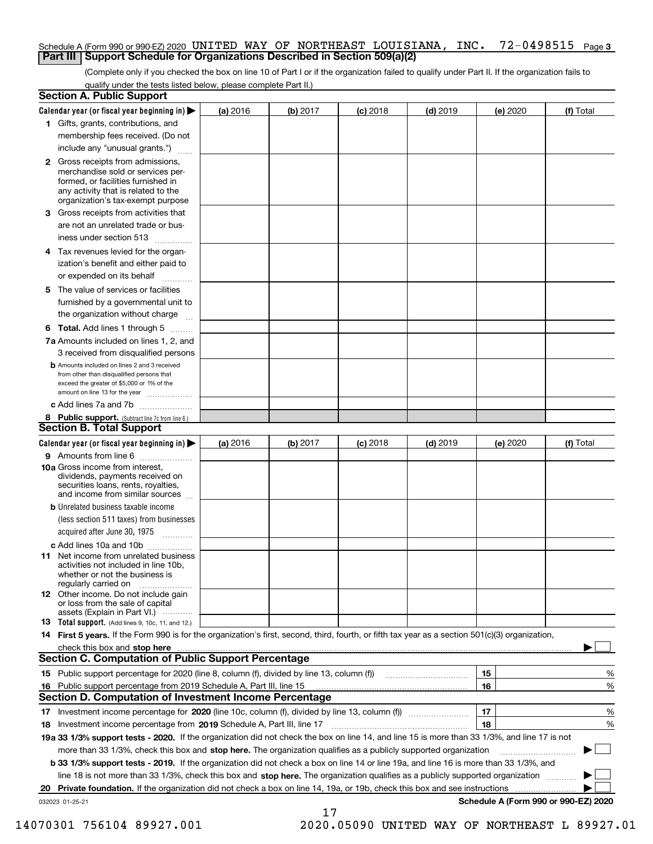## Schedule A (Form 990 or 990-EZ) 2020 <code>UNITED WAY OF NORTHEAST LOUISIANA, INC. 72-0498515 Page 3</code> **Part III Support Schedule for Organizations Described in Section 509(a)(2)**

(Complete only if you checked the box on line 10 of Part I or if the organization failed to qualify under Part II. If the organization fails to qualify under the tests listed below, please complete Part II.)

| <b>Section A. Public Support</b>                                                                                                                                                                                               |          |          |            |            |                                      |           |
|--------------------------------------------------------------------------------------------------------------------------------------------------------------------------------------------------------------------------------|----------|----------|------------|------------|--------------------------------------|-----------|
| Calendar year (or fiscal year beginning in)                                                                                                                                                                                    | (a) 2016 | (b) 2017 | $(c)$ 2018 | $(d)$ 2019 | (e) 2020                             | (f) Total |
| 1 Gifts, grants, contributions, and                                                                                                                                                                                            |          |          |            |            |                                      |           |
| membership fees received. (Do not                                                                                                                                                                                              |          |          |            |            |                                      |           |
| include any "unusual grants.")                                                                                                                                                                                                 |          |          |            |            |                                      |           |
| <b>2</b> Gross receipts from admissions,                                                                                                                                                                                       |          |          |            |            |                                      |           |
| merchandise sold or services per-                                                                                                                                                                                              |          |          |            |            |                                      |           |
| formed, or facilities furnished in<br>any activity that is related to the                                                                                                                                                      |          |          |            |            |                                      |           |
| organization's tax-exempt purpose                                                                                                                                                                                              |          |          |            |            |                                      |           |
| 3 Gross receipts from activities that                                                                                                                                                                                          |          |          |            |            |                                      |           |
| are not an unrelated trade or bus-                                                                                                                                                                                             |          |          |            |            |                                      |           |
| iness under section 513                                                                                                                                                                                                        |          |          |            |            |                                      |           |
| 4 Tax revenues levied for the organ-                                                                                                                                                                                           |          |          |            |            |                                      |           |
| ization's benefit and either paid to                                                                                                                                                                                           |          |          |            |            |                                      |           |
| or expended on its behalf                                                                                                                                                                                                      |          |          |            |            |                                      |           |
| 5 The value of services or facilities                                                                                                                                                                                          |          |          |            |            |                                      |           |
| furnished by a governmental unit to                                                                                                                                                                                            |          |          |            |            |                                      |           |
|                                                                                                                                                                                                                                |          |          |            |            |                                      |           |
| the organization without charge                                                                                                                                                                                                |          |          |            |            |                                      |           |
| <b>6 Total.</b> Add lines 1 through 5                                                                                                                                                                                          |          |          |            |            |                                      |           |
| 7a Amounts included on lines 1, 2, and                                                                                                                                                                                         |          |          |            |            |                                      |           |
| 3 received from disqualified persons                                                                                                                                                                                           |          |          |            |            |                                      |           |
| <b>b</b> Amounts included on lines 2 and 3 received<br>from other than disqualified persons that                                                                                                                               |          |          |            |            |                                      |           |
| exceed the greater of \$5,000 or 1% of the                                                                                                                                                                                     |          |          |            |            |                                      |           |
| amount on line 13 for the year                                                                                                                                                                                                 |          |          |            |            |                                      |           |
| c Add lines 7a and 7b                                                                                                                                                                                                          |          |          |            |            |                                      |           |
| 8 Public support. (Subtract line 7c from line 6.)                                                                                                                                                                              |          |          |            |            |                                      |           |
| <b>Section B. Total Support</b>                                                                                                                                                                                                |          |          |            |            |                                      |           |
| Calendar year (or fiscal year beginning in) >                                                                                                                                                                                  | (a) 2016 | (b) 2017 | $(c)$ 2018 | $(d)$ 2019 | (e) 2020                             | (f) Total |
| <b>9</b> Amounts from line 6<br>$\overline{\phantom{a}}$                                                                                                                                                                       |          |          |            |            |                                      |           |
| 10a Gross income from interest,<br>dividends, payments received on                                                                                                                                                             |          |          |            |            |                                      |           |
| securities loans, rents, royalties,                                                                                                                                                                                            |          |          |            |            |                                      |           |
| and income from similar sources                                                                                                                                                                                                |          |          |            |            |                                      |           |
| <b>b</b> Unrelated business taxable income                                                                                                                                                                                     |          |          |            |            |                                      |           |
| (less section 511 taxes) from businesses                                                                                                                                                                                       |          |          |            |            |                                      |           |
| acquired after June 30, 1975<br>1.1.1.1.1.1.1.1.1.1                                                                                                                                                                            |          |          |            |            |                                      |           |
| c Add lines 10a and 10b                                                                                                                                                                                                        |          |          |            |            |                                      |           |
| 11 Net income from unrelated business                                                                                                                                                                                          |          |          |            |            |                                      |           |
| activities not included in line 10b,<br>whether or not the business is                                                                                                                                                         |          |          |            |            |                                      |           |
| regularly carried on                                                                                                                                                                                                           |          |          |            |            |                                      |           |
| <b>12</b> Other income. Do not include gain                                                                                                                                                                                    |          |          |            |            |                                      |           |
| or loss from the sale of capital<br>assets (Explain in Part VI.)                                                                                                                                                               |          |          |            |            |                                      |           |
| <b>13</b> Total support. (Add lines 9, 10c, 11, and 12.)                                                                                                                                                                       |          |          |            |            |                                      |           |
| 14 First 5 years. If the Form 990 is for the organization's first, second, third, fourth, or fifth tax year as a section 501(c)(3) organization,                                                                               |          |          |            |            |                                      |           |
| check this box and stop here measurements and contain the state of the state of the state of the state of the state of the state of the state of the state of the state of the state of the state of the state of the state of |          |          |            |            |                                      |           |
| <b>Section C. Computation of Public Support Percentage</b>                                                                                                                                                                     |          |          |            |            |                                      |           |
| 15 Public support percentage for 2020 (line 8, column (f), divided by line 13, column (f))                                                                                                                                     |          |          |            |            | 15                                   | %         |
| 16 Public support percentage from 2019 Schedule A, Part III, line 15                                                                                                                                                           |          |          |            |            | 16                                   | %         |
| <b>Section D. Computation of Investment Income Percentage</b>                                                                                                                                                                  |          |          |            |            |                                      |           |
|                                                                                                                                                                                                                                |          |          |            |            | 17                                   | %         |
| 18 Investment income percentage from 2019 Schedule A, Part III, line 17                                                                                                                                                        |          |          |            |            | 18                                   | %         |
| 19a 33 1/3% support tests - 2020. If the organization did not check the box on line 14, and line 15 is more than 33 1/3%, and line 17 is not                                                                                   |          |          |            |            |                                      |           |
| more than 33 1/3%, check this box and stop here. The organization qualifies as a publicly supported organization                                                                                                               |          |          |            |            |                                      |           |
| b 33 1/3% support tests - 2019. If the organization did not check a box on line 14 or line 19a, and line 16 is more than 33 1/3%, and                                                                                          |          |          |            |            |                                      |           |
| line 18 is not more than 33 1/3%, check this box and stop here. The organization qualifies as a publicly supported organization                                                                                                |          |          |            |            |                                      |           |
| <b>Private foundation.</b> If the organization did not check a box on line 14, 19a, or 19b, check this box and see instructions<br>20                                                                                          |          |          |            |            |                                      |           |
| 032023 01-25-21                                                                                                                                                                                                                |          |          |            |            | Schedule A (Form 990 or 990-EZ) 2020 |           |

17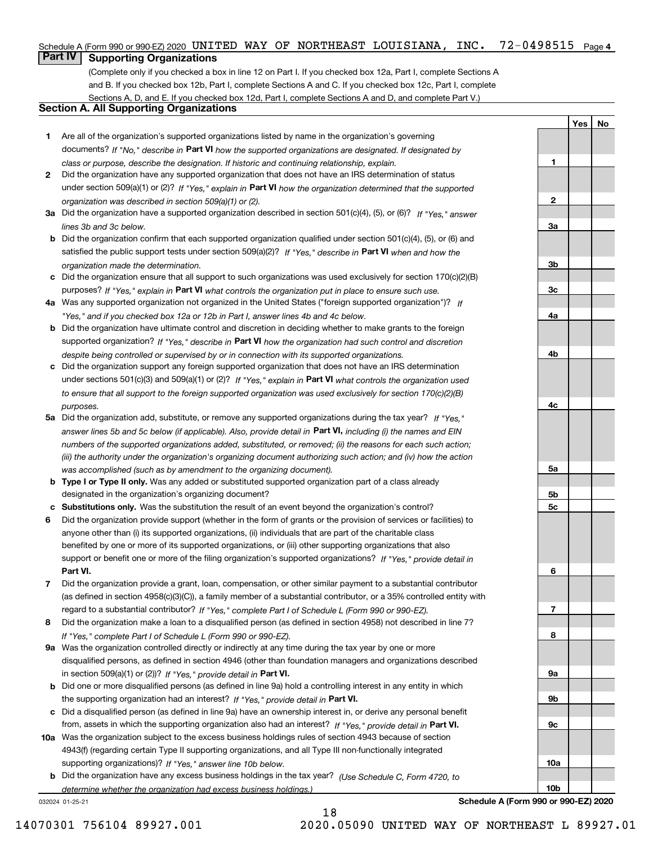#### $72 - 0498515$  Page 4 Schedule A (Form 990 or 990-EZ) 2020 <code>UNITED WAY OF NORTHEAST LOUISIANA, INC.  $72\text{--}0498515$  Page</code>

# **Part IV Supporting Organizations**

(Complete only if you checked a box in line 12 on Part I. If you checked box 12a, Part I, complete Sections A and B. If you checked box 12b, Part I, complete Sections A and C. If you checked box 12c, Part I, complete Sections A, D, and E. If you checked box 12d, Part I, complete Sections A and D, and complete Part V.)

## **Section A. All Supporting Organizations**

- **1** Are all of the organization's supported organizations listed by name in the organization's governing documents? If "No," describe in **Part VI** how the supported organizations are designated. If designated by *class or purpose, describe the designation. If historic and continuing relationship, explain.*
- **2** Did the organization have any supported organization that does not have an IRS determination of status under section 509(a)(1) or (2)? If "Yes," explain in Part VI how the organization determined that the supported *organization was described in section 509(a)(1) or (2).*
- **3a** Did the organization have a supported organization described in section 501(c)(4), (5), or (6)? If "Yes," answer *lines 3b and 3c below.*
- **b** Did the organization confirm that each supported organization qualified under section 501(c)(4), (5), or (6) and satisfied the public support tests under section 509(a)(2)? If "Yes," describe in **Part VI** when and how the *organization made the determination.*
- **c**Did the organization ensure that all support to such organizations was used exclusively for section 170(c)(2)(B) purposes? If "Yes," explain in **Part VI** what controls the organization put in place to ensure such use.
- **4a***If* Was any supported organization not organized in the United States ("foreign supported organization")? *"Yes," and if you checked box 12a or 12b in Part I, answer lines 4b and 4c below.*
- **b** Did the organization have ultimate control and discretion in deciding whether to make grants to the foreign supported organization? If "Yes," describe in **Part VI** how the organization had such control and discretion *despite being controlled or supervised by or in connection with its supported organizations.*
- **c** Did the organization support any foreign supported organization that does not have an IRS determination under sections 501(c)(3) and 509(a)(1) or (2)? If "Yes," explain in **Part VI** what controls the organization used *to ensure that all support to the foreign supported organization was used exclusively for section 170(c)(2)(B) purposes.*
- **5a** Did the organization add, substitute, or remove any supported organizations during the tax year? If "Yes," answer lines 5b and 5c below (if applicable). Also, provide detail in **Part VI,** including (i) the names and EIN *numbers of the supported organizations added, substituted, or removed; (ii) the reasons for each such action; (iii) the authority under the organization's organizing document authorizing such action; and (iv) how the action was accomplished (such as by amendment to the organizing document).*
- **b** Type I or Type II only. Was any added or substituted supported organization part of a class already designated in the organization's organizing document?
- **cSubstitutions only.**  Was the substitution the result of an event beyond the organization's control?
- **6** Did the organization provide support (whether in the form of grants or the provision of services or facilities) to **Part VI.** *If "Yes," provide detail in* support or benefit one or more of the filing organization's supported organizations? anyone other than (i) its supported organizations, (ii) individuals that are part of the charitable class benefited by one or more of its supported organizations, or (iii) other supporting organizations that also
- **7**Did the organization provide a grant, loan, compensation, or other similar payment to a substantial contributor *If "Yes," complete Part I of Schedule L (Form 990 or 990-EZ).* regard to a substantial contributor? (as defined in section 4958(c)(3)(C)), a family member of a substantial contributor, or a 35% controlled entity with
- **8** Did the organization make a loan to a disqualified person (as defined in section 4958) not described in line 7? *If "Yes," complete Part I of Schedule L (Form 990 or 990-EZ).*
- **9a** Was the organization controlled directly or indirectly at any time during the tax year by one or more in section 509(a)(1) or (2))? If "Yes," *provide detail in* <code>Part VI.</code> disqualified persons, as defined in section 4946 (other than foundation managers and organizations described
- **b** Did one or more disqualified persons (as defined in line 9a) hold a controlling interest in any entity in which the supporting organization had an interest? If "Yes," provide detail in P**art VI**.
- **c**Did a disqualified person (as defined in line 9a) have an ownership interest in, or derive any personal benefit from, assets in which the supporting organization also had an interest? If "Yes," provide detail in P**art VI.**
- **10a** Was the organization subject to the excess business holdings rules of section 4943 because of section supporting organizations)? If "Yes," answer line 10b below. 4943(f) (regarding certain Type II supporting organizations, and all Type III non-functionally integrated
- **b** Did the organization have any excess business holdings in the tax year? (Use Schedule C, Form 4720, to *determine whether the organization had excess business holdings.)*

18

032024 01-25-21

**Schedule A (Form 990 or 990-EZ) 2020**

**YesNo**

**1**

**2**

**3a**

**3b**

**3c**

**4a**

**4b**

**4c**

**5a**

**5b5c**

**6**

**7**

**8**

**9a**

**9b**

**9c**

**10a**

**10b**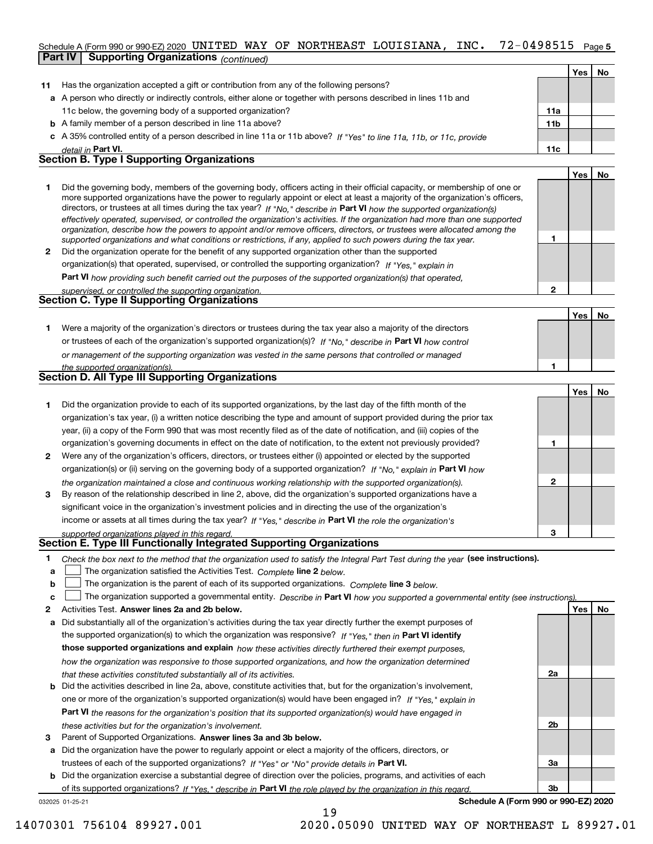#### 72-0498515 Page 5 Schedule A (Form 990 or 990-EZ) 2020 <code>UNITED WAY OF NORTHEAST LOUISIANA, INC.  $72\text{--}0498515$  Page</code> **Part IV Supporting Organizations** *(continued)*

|    |                                                                                                                                     |                 | Yes | No |
|----|-------------------------------------------------------------------------------------------------------------------------------------|-----------------|-----|----|
| 11 | Has the organization accepted a gift or contribution from any of the following persons?                                             |                 |     |    |
|    | a A person who directly or indirectly controls, either alone or together with persons described in lines 11b and                    |                 |     |    |
|    | 11c below, the governing body of a supported organization?                                                                          | 11a             |     |    |
|    | <b>b</b> A family member of a person described in line 11a above?                                                                   | 11 <sub>b</sub> |     |    |
|    | c A 35% controlled entity of a person described in line 11a or 11b above? If "Yes" to line 11a, 11b, or 11c, provide                |                 |     |    |
|    | detail in Part VI.                                                                                                                  | 11c             |     |    |
|    | <b>Section B. Type I Supporting Organizations</b>                                                                                   |                 |     |    |
|    |                                                                                                                                     |                 | Yes | No |
|    | . Did the more dealership are compared the more dealership officers without the their efficiel more with a more because of more are |                 |     |    |

|   | Did the governing body, members of the governing body, officers acting in their official capacity, or membership of one or<br>more supported organizations have the power to regularly appoint or elect at least a majority of the organization's officers,<br>directors, or trustees at all times during the tax year? If "No," describe in Part VI how the supported organization(s)<br>effectively operated, supervised, or controlled the organization's activities. If the organization had more than one supported<br>organization, describe how the powers to appoint and/or remove officers, directors, or trustees were allocated among the |  |
|---|------------------------------------------------------------------------------------------------------------------------------------------------------------------------------------------------------------------------------------------------------------------------------------------------------------------------------------------------------------------------------------------------------------------------------------------------------------------------------------------------------------------------------------------------------------------------------------------------------------------------------------------------------|--|
|   | supported organizations and what conditions or restrictions, if any, applied to such powers during the tax year.                                                                                                                                                                                                                                                                                                                                                                                                                                                                                                                                     |  |
| 2 | Did the organization operate for the benefit of any supported organization other than the supported                                                                                                                                                                                                                                                                                                                                                                                                                                                                                                                                                  |  |
|   | organization(s) that operated, supervised, or controlled the supporting organization? If "Yes," explain in                                                                                                                                                                                                                                                                                                                                                                                                                                                                                                                                           |  |

**Part VI**  *how providing such benefit carried out the purposes of the supported organization(s) that operated,*

| supervised, or controlled the supporting organization. |  |
|--------------------------------------------------------|--|
| <b>Section C. Type II Supporting Organizations</b>     |  |

**Yes No 1**or trustees of each of the organization's supported organization(s)? If "No," describe in **Part VI** how control **1***or management of the supporting organization was vested in the same persons that controlled or managed the supported organization(s).* Were a majority of the organization's directors or trustees during the tax year also a majority of the directors

| Section D. All Type III Supporting Organizations |  |  |  |  |  |  |  |
|--------------------------------------------------|--|--|--|--|--|--|--|
|                                                  |  |  |  |  |  |  |  |
|                                                  |  |  |  |  |  |  |  |

|              |                                                                                                                        |   | Yes   No |  |
|--------------|------------------------------------------------------------------------------------------------------------------------|---|----------|--|
|              | Did the organization provide to each of its supported organizations, by the last day of the fifth month of the         |   |          |  |
|              | organization's tax year, (i) a written notice describing the type and amount of support provided during the prior tax  |   |          |  |
|              | year, (ii) a copy of the Form 990 that was most recently filed as of the date of notification, and (iii) copies of the |   |          |  |
|              | organization's governing documents in effect on the date of notification, to the extent not previously provided?       |   |          |  |
| $\mathbf{2}$ | Were any of the organization's officers, directors, or trustees either (i) appointed or elected by the supported       |   |          |  |
|              | organization(s) or (ii) serving on the governing body of a supported organization? If "No," explain in Part VI how     |   |          |  |
|              | the organization maintained a close and continuous working relationship with the supported organization(s).            | 2 |          |  |
| 3            | By reason of the relationship described in line 2, above, did the organization's supported organizations have a        |   |          |  |
|              | significant voice in the organization's investment policies and in directing the use of the organization's             |   |          |  |
|              | income or assets at all times during the tax year? If "Yes," describe in Part VI the role the organization's           |   |          |  |
|              | supported organizations played in this regard                                                                          |   |          |  |

# *supported organizations played in this regard.* **Section E. Type III Functionally Integrated Supporting Organizations**

| Check the box next to the method that the organization used to satisfy the Integral Part Test during the year (see instructions). |  |
|-----------------------------------------------------------------------------------------------------------------------------------|--|
|                                                                                                                                   |  |

- **a**The organization satisfied the Activities Test. *Complete* line 2 below.  $\mathcal{L}^{\text{max}}$
- **b**The organization is the parent of each of its supported organizations. *Complete* line 3 *below.*  $\mathcal{L}^{\text{max}}$

|  |  |  | The organization supported a governmental entity. Describe in Part VI how you supported a governmental entity (see instructions) |  |
|--|--|--|----------------------------------------------------------------------------------------------------------------------------------|--|
|--|--|--|----------------------------------------------------------------------------------------------------------------------------------|--|

19

- **2Answer lines 2a and 2b below. Yes No** Activities Test.
- **a** Did substantially all of the organization's activities during the tax year directly further the exempt purposes of the supported organization(s) to which the organization was responsive? If "Yes," then in **Part VI identify those supported organizations and explain**  *how these activities directly furthered their exempt purposes, how the organization was responsive to those supported organizations, and how the organization determined that these activities constituted substantially all of its activities.*
- **b** Did the activities described in line 2a, above, constitute activities that, but for the organization's involvement, **Part VI**  *the reasons for the organization's position that its supported organization(s) would have engaged in* one or more of the organization's supported organization(s) would have been engaged in? If "Yes," e*xplain in these activities but for the organization's involvement.*
- **3** Parent of Supported Organizations. Answer lines 3a and 3b below.

**a** Did the organization have the power to regularly appoint or elect a majority of the officers, directors, or trustees of each of the supported organizations? If "Yes" or "No" provide details in **Part VI.** 

**b** Did the organization exercise a substantial degree of direction over the policies, programs, and activities of each of its supported organizations? If "Yes," describe in Part VI the role played by the organization in this regard.

032025 01-25-21

**Schedule A (Form 990 or 990-EZ) 2020**

**2a**

**2b**

**3a**

**3b**

**2**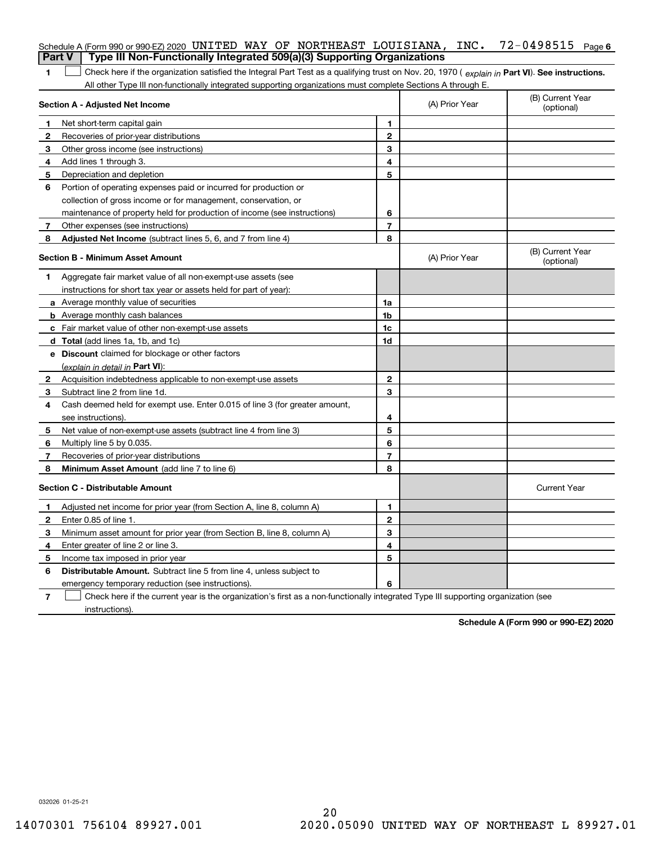|               | Schedule A (Form 990 or 990-EZ) 2020 UNITED WAY OF NORTHEAST LOUISIANA, INC.<br>Type III Non-Functionally Integrated 509(a)(3) Supporting Organizations |                |                | 72-0498515<br>Page 6           |
|---------------|---------------------------------------------------------------------------------------------------------------------------------------------------------|----------------|----------------|--------------------------------|
| <b>Part V</b> |                                                                                                                                                         |                |                |                                |
| 1             | Check here if the organization satisfied the Integral Part Test as a qualifying trust on Nov. 20, 1970 (explain in Part VI). See instructions.          |                |                |                                |
|               | All other Type III non-functionally integrated supporting organizations must complete Sections A through E.                                             |                |                |                                |
|               | Section A - Adjusted Net Income                                                                                                                         |                | (A) Prior Year | (B) Current Year<br>(optional) |
| 1             | Net short-term capital gain                                                                                                                             | 1              |                |                                |
| 2             | Recoveries of prior-year distributions                                                                                                                  | $\mathbf{2}$   |                |                                |
| з             | Other gross income (see instructions)                                                                                                                   | 3              |                |                                |
| 4             | Add lines 1 through 3.                                                                                                                                  | 4              |                |                                |
| 5             | Depreciation and depletion                                                                                                                              | 5              |                |                                |
| 6             | Portion of operating expenses paid or incurred for production or                                                                                        |                |                |                                |
|               | collection of gross income or for management, conservation, or                                                                                          |                |                |                                |
|               | maintenance of property held for production of income (see instructions)                                                                                | 6              |                |                                |
| 7             | Other expenses (see instructions)                                                                                                                       | $\overline{7}$ |                |                                |
| 8             | Adjusted Net Income (subtract lines 5, 6, and 7 from line 4)                                                                                            | 8              |                |                                |
|               | <b>Section B - Minimum Asset Amount</b>                                                                                                                 |                | (A) Prior Year | (B) Current Year<br>(optional) |
| 1.            | Aggregate fair market value of all non-exempt-use assets (see                                                                                           |                |                |                                |
|               | instructions for short tax year or assets held for part of year):                                                                                       |                |                |                                |
|               | <b>a</b> Average monthly value of securities                                                                                                            | 1a             |                |                                |
|               | <b>b</b> Average monthly cash balances                                                                                                                  | 1b             |                |                                |
|               | c Fair market value of other non-exempt-use assets                                                                                                      | 1c             |                |                                |
|               | d Total (add lines 1a, 1b, and 1c)                                                                                                                      | 1d             |                |                                |
|               | e Discount claimed for blockage or other factors                                                                                                        |                |                |                                |
|               | (explain in detail in Part VI):                                                                                                                         |                |                |                                |
| 2             | Acquisition indebtedness applicable to non-exempt-use assets                                                                                            | $\mathbf{2}$   |                |                                |
| 3             | Subtract line 2 from line 1d.                                                                                                                           | 3              |                |                                |
| 4             | Cash deemed held for exempt use. Enter 0.015 of line 3 (for greater amount,                                                                             |                |                |                                |
|               | see instructions).                                                                                                                                      | 4              |                |                                |
| 5             | Net value of non-exempt-use assets (subtract line 4 from line 3)                                                                                        | 5              |                |                                |
| 6             | Multiply line 5 by 0.035.                                                                                                                               | 6              |                |                                |
| 7             | Recoveries of prior-year distributions                                                                                                                  | $\overline{7}$ |                |                                |
| 8             | <b>Minimum Asset Amount</b> (add line 7 to line 6)                                                                                                      | 8              |                |                                |
|               | <b>Section C - Distributable Amount</b>                                                                                                                 |                |                | <b>Current Year</b>            |
|               | Adjusted net income for prior year (from Section A, line 8, column A)                                                                                   | 1              |                |                                |
| 2             | Enter 0.85 of line 1.                                                                                                                                   | 2              |                |                                |
| 3             | Minimum asset amount for prior year (from Section B, line 8, column A)                                                                                  | 3              |                |                                |
| 4             | Enter greater of line 2 or line 3.                                                                                                                      | 4              |                |                                |
| 5             | Income tax imposed in prior year                                                                                                                        | 5              |                |                                |
| 6             | <b>Distributable Amount.</b> Subtract line 5 from line 4, unless subject to                                                                             |                |                |                                |
|               | emergency temporary reduction (see instructions).                                                                                                       | 6              |                |                                |
| 7             | Check here if the current year is the organization's first as a non-functionally integrated Type III supporting organization (see                       |                |                |                                |

instructions).

**Schedule A (Form 990 or 990-EZ) 2020**

032026 01-25-21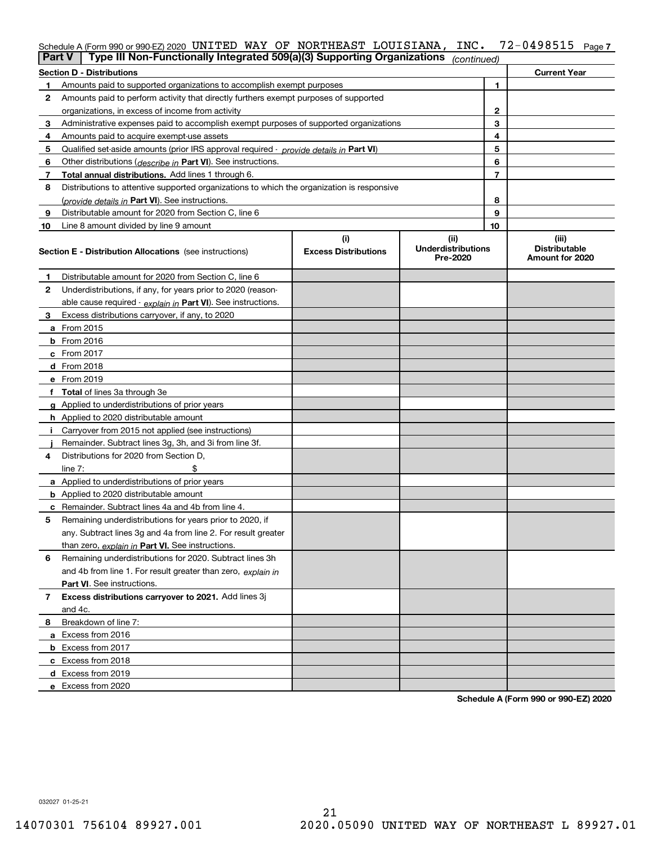|        | Schedule A (Form 990 or 990-EZ) 2020 UNITED WAY OF NORTHEAST LOUISIANA,<br>Type III Non-Functionally Integrated 509(a)(3) Supporting Organizations<br><b>Part V</b> |                                    | INC.                                          |    | 72-0498515<br>Page 7                             |
|--------|---------------------------------------------------------------------------------------------------------------------------------------------------------------------|------------------------------------|-----------------------------------------------|----|--------------------------------------------------|
|        | <b>Section D - Distributions</b>                                                                                                                                    |                                    | (continued)                                   |    |                                                  |
|        |                                                                                                                                                                     |                                    |                                               | 1  | <b>Current Year</b>                              |
| 1.     | Amounts paid to supported organizations to accomplish exempt purposes                                                                                               |                                    |                                               |    |                                                  |
| 2      | Amounts paid to perform activity that directly furthers exempt purposes of supported<br>organizations, in excess of income from activity                            |                                    |                                               | 2  |                                                  |
|        |                                                                                                                                                                     |                                    |                                               | 3  |                                                  |
| 3.     | Administrative expenses paid to accomplish exempt purposes of supported organizations                                                                               |                                    |                                               | 4  |                                                  |
| 4      | Amounts paid to acquire exempt-use assets                                                                                                                           |                                    |                                               | 5  |                                                  |
| 5      | Qualified set aside amounts (prior IRS approval required - provide details in Part VI)<br>Other distributions ( <i>describe in</i> Part VI). See instructions.      |                                    |                                               | 6  |                                                  |
| 6      | Total annual distributions. Add lines 1 through 6.                                                                                                                  |                                    |                                               | 7  |                                                  |
| 7<br>8 | Distributions to attentive supported organizations to which the organization is responsive                                                                          |                                    |                                               |    |                                                  |
|        |                                                                                                                                                                     |                                    |                                               | 8  |                                                  |
| 9      | (provide details in Part VI). See instructions.<br>Distributable amount for 2020 from Section C, line 6                                                             |                                    |                                               | 9  |                                                  |
| 10     |                                                                                                                                                                     |                                    |                                               | 10 |                                                  |
|        | Line 8 amount divided by line 9 amount                                                                                                                              |                                    |                                               |    |                                                  |
|        | <b>Section E - Distribution Allocations</b> (see instructions)                                                                                                      | (i)<br><b>Excess Distributions</b> | (ii)<br><b>Underdistributions</b><br>Pre-2020 |    | (iii)<br><b>Distributable</b><br>Amount for 2020 |
| 1.     | Distributable amount for 2020 from Section C, line 6                                                                                                                |                                    |                                               |    |                                                  |
| 2      | Underdistributions, if any, for years prior to 2020 (reason-                                                                                                        |                                    |                                               |    |                                                  |
|        | able cause required - explain in Part VI). See instructions.                                                                                                        |                                    |                                               |    |                                                  |
| 3.     | Excess distributions carryover, if any, to 2020                                                                                                                     |                                    |                                               |    |                                                  |
|        | <b>a</b> From 2015                                                                                                                                                  |                                    |                                               |    |                                                  |
|        | $b$ From 2016                                                                                                                                                       |                                    |                                               |    |                                                  |
|        | c From 2017                                                                                                                                                         |                                    |                                               |    |                                                  |
|        | d From 2018                                                                                                                                                         |                                    |                                               |    |                                                  |
|        | e From 2019                                                                                                                                                         |                                    |                                               |    |                                                  |
|        | f Total of lines 3a through 3e                                                                                                                                      |                                    |                                               |    |                                                  |
|        | g Applied to underdistributions of prior years                                                                                                                      |                                    |                                               |    |                                                  |
|        | <b>h</b> Applied to 2020 distributable amount                                                                                                                       |                                    |                                               |    |                                                  |
|        | i Carryover from 2015 not applied (see instructions)                                                                                                                |                                    |                                               |    |                                                  |
|        | Remainder. Subtract lines 3g, 3h, and 3i from line 3f.                                                                                                              |                                    |                                               |    |                                                  |
| 4      | Distributions for 2020 from Section D.                                                                                                                              |                                    |                                               |    |                                                  |
|        | line $7:$                                                                                                                                                           |                                    |                                               |    |                                                  |
|        | <b>a</b> Applied to underdistributions of prior years                                                                                                               |                                    |                                               |    |                                                  |
|        | <b>b</b> Applied to 2020 distributable amount                                                                                                                       |                                    |                                               |    |                                                  |
|        | <b>c</b> Remainder. Subtract lines 4a and 4b from line 4.                                                                                                           |                                    |                                               |    |                                                  |
|        | Remaining underdistributions for years prior to 2020, if                                                                                                            |                                    |                                               |    |                                                  |
|        | any. Subtract lines 3g and 4a from line 2. For result greater                                                                                                       |                                    |                                               |    |                                                  |
|        | than zero, explain in Part VI. See instructions.                                                                                                                    |                                    |                                               |    |                                                  |
| 6      | Remaining underdistributions for 2020. Subtract lines 3h                                                                                                            |                                    |                                               |    |                                                  |
|        | and 4b from line 1. For result greater than zero, explain in                                                                                                        |                                    |                                               |    |                                                  |
|        | <b>Part VI.</b> See instructions.                                                                                                                                   |                                    |                                               |    |                                                  |
| 7      | Excess distributions carryover to 2021. Add lines 3j                                                                                                                |                                    |                                               |    |                                                  |
|        | and 4c.                                                                                                                                                             |                                    |                                               |    |                                                  |
| 8      | Breakdown of line 7:                                                                                                                                                |                                    |                                               |    |                                                  |
|        | a Excess from 2016                                                                                                                                                  |                                    |                                               |    |                                                  |
|        | <b>b</b> Excess from 2017                                                                                                                                           |                                    |                                               |    |                                                  |
|        | c Excess from 2018                                                                                                                                                  |                                    |                                               |    |                                                  |
|        | d Excess from 2019                                                                                                                                                  |                                    |                                               |    |                                                  |
|        | e Excess from 2020                                                                                                                                                  |                                    |                                               |    |                                                  |

**Schedule A (Form 990 or 990-EZ) 2020**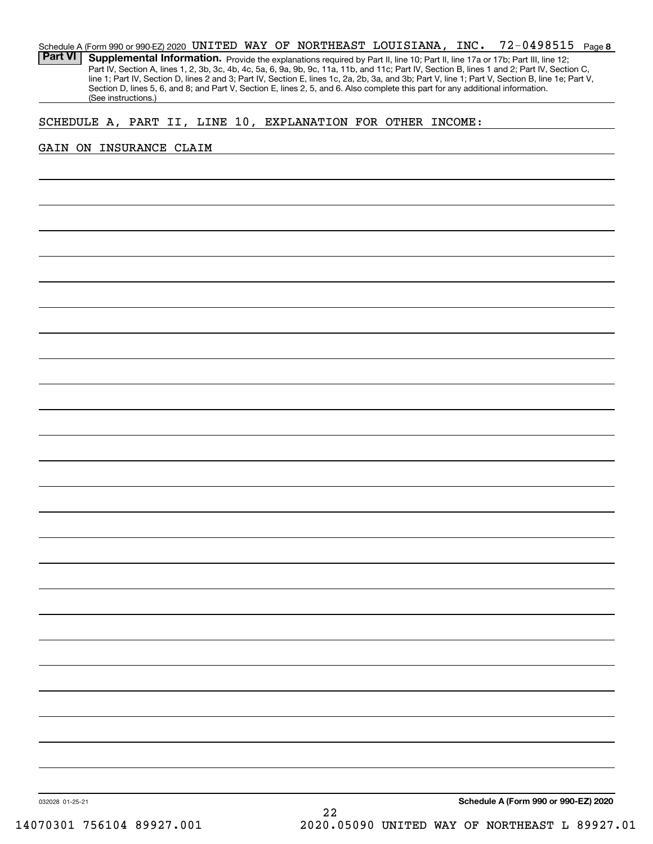### **8**72-0498515 Schedule A (Form 990 or 990-EZ) 2020 <code>UNITED WAY OF NORTHEAST LOUISIANA, INC.  $72$ –0498515  $\,$  Page  $\,$ </code> Part VI | Supplemental Information. Provide the explanations required by Part II, line 10; Part II, line 17a or 17b; Part III, line 12; Part IV, Section A, lines 1, 2, 3b, 3c, 4b, 4c, 5a, 6, 9a, 9b, 9c, 11a, 11b, and 11c; Part IV, Section B, lines 1 and 2; Part IV, Section C, line 1; Part IV, Section D, lines 2 and 3; Part IV, Section E, lines 1c, 2a, 2b, 3a, and 3b; Part V, line 1; Part V, Section B, line 1e; Part V, Section D, lines 5, 6, and 8; and Part V, Section E, lines 2, 5, and 6. Also complete this part for any additional information. (See instructions.)

## SCHEDULE A, PART II, LINE 10, EXPLANATION FOR OTHER INCOME:

## GAIN ON INSURANCE CLAIM

**Schedule A (Form 990 or 990-EZ) 2020**

032028 01-25-21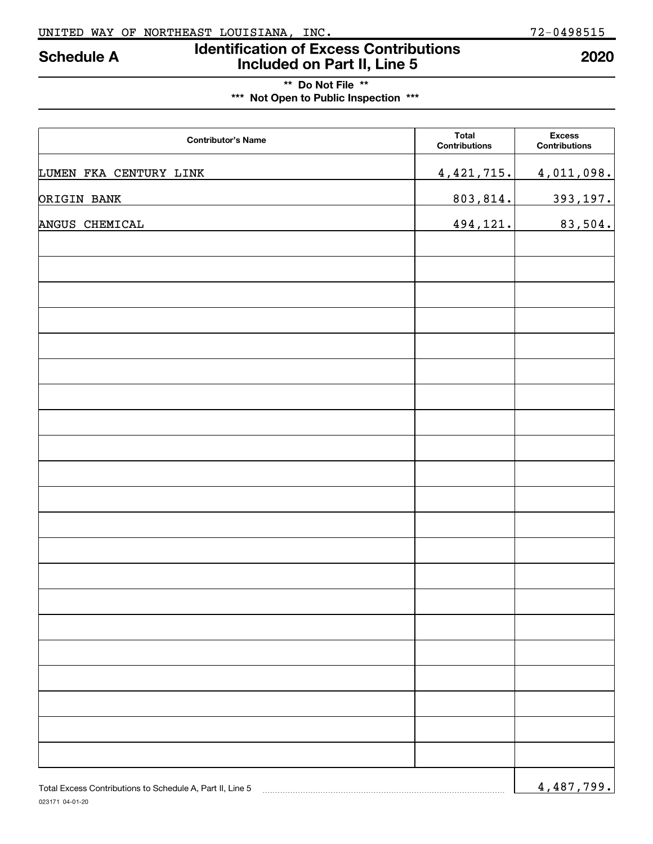**Identification of Excess Contributions Included on Part II, Line 5 Schedule A 2020**

# **\*\* Do Not File \*\* \*\*\* Not Open to Public Inspection \*\*\***

| <b>Contributor's Name</b>                                 | <b>Total</b><br>Contributions | <b>Excess</b><br><b>Contributions</b> |
|-----------------------------------------------------------|-------------------------------|---------------------------------------|
| LUMEN FKA CENTURY LINK                                    | 4, 421, 715.                  | 4,011,098.                            |
| ORIGIN BANK                                               | 803,814.                      | 393,197.                              |
| ANGUS CHEMICAL                                            | 494,121.                      | 83,504.                               |
|                                                           |                               |                                       |
|                                                           |                               |                                       |
|                                                           |                               |                                       |
|                                                           |                               |                                       |
|                                                           |                               |                                       |
|                                                           |                               |                                       |
|                                                           |                               |                                       |
|                                                           |                               |                                       |
|                                                           |                               |                                       |
|                                                           |                               |                                       |
|                                                           |                               |                                       |
|                                                           |                               |                                       |
|                                                           |                               |                                       |
|                                                           |                               |                                       |
|                                                           |                               |                                       |
|                                                           |                               |                                       |
|                                                           |                               |                                       |
|                                                           |                               |                                       |
|                                                           |                               |                                       |
|                                                           |                               |                                       |
| Total Excess Contributions to Schedule A, Part II, Line 5 |                               | 4,487,799.                            |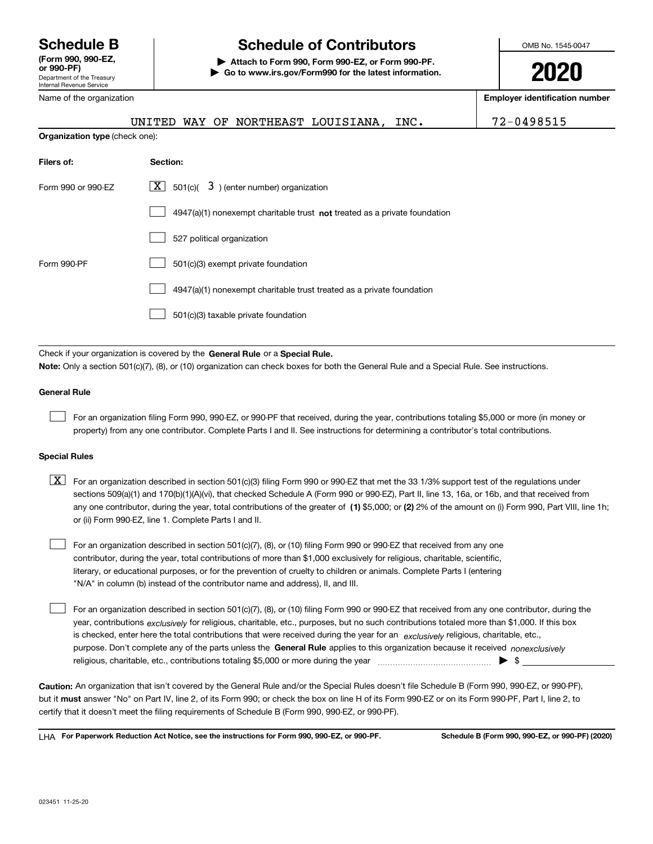Department of the Treasury Internal Revenue Service **(Form 990, 990-EZ, or 990-PF)** Name of the organization

# **Schedule B Schedule of Contributors**

**| Attach to Form 990, Form 990-EZ, or Form 990-PF. | Go to www.irs.gov/Form990 for the latest information.** OMB No. 1545-0047

**2020**

**Employer identification number**

|                                       | WAY OF NORTHEAST LOUISIANA, INC.<br>UNITED                                         | 72-0498515 |
|---------------------------------------|------------------------------------------------------------------------------------|------------|
| <b>Organization type (check one):</b> |                                                                                    |            |
| Filers of:                            | Section:                                                                           |            |
| Form 990 or 990-EZ                    | $X \mid$<br>$3$ ) (enter number) organization<br>501(c)(                           |            |
|                                       | $4947(a)(1)$ nonexempt charitable trust <b>not</b> treated as a private foundation |            |
|                                       | 527 political organization                                                         |            |
| Form 990-PF                           | 501(c)(3) exempt private foundation                                                |            |
|                                       |                                                                                    |            |

 $\Box$  4947(a)(1) nonexempt charitable trust treated as a private foundation

501(c)(3) taxable private foundation  $\mathcal{L}^{\text{max}}$ 

Check if your organization is covered by the **General Rule** or a **Special Rule. Note:**  Only a section 501(c)(7), (8), or (10) organization can check boxes for both the General Rule and a Special Rule. See instructions.

## **General Rule**

 $\mathcal{L}^{\text{max}}$ 

For an organization filing Form 990, 990-EZ, or 990-PF that received, during the year, contributions totaling \$5,000 or more (in money or property) from any one contributor. Complete Parts I and II. See instructions for determining a contributor's total contributions.

## **Special Rules**

any one contributor, during the year, total contributions of the greater of  $\,$  (1) \$5,000; or **(2)** 2% of the amount on (i) Form 990, Part VIII, line 1h;  $\boxed{\textbf{X}}$  For an organization described in section 501(c)(3) filing Form 990 or 990-EZ that met the 33 1/3% support test of the regulations under sections 509(a)(1) and 170(b)(1)(A)(vi), that checked Schedule A (Form 990 or 990-EZ), Part II, line 13, 16a, or 16b, and that received from or (ii) Form 990-EZ, line 1. Complete Parts I and II.

For an organization described in section 501(c)(7), (8), or (10) filing Form 990 or 990-EZ that received from any one contributor, during the year, total contributions of more than \$1,000 exclusively for religious, charitable, scientific, literary, or educational purposes, or for the prevention of cruelty to children or animals. Complete Parts I (entering "N/A" in column (b) instead of the contributor name and address), II, and III.  $\mathcal{L}^{\text{max}}$ 

purpose. Don't complete any of the parts unless the **General Rule** applies to this organization because it received *nonexclusively* year, contributions <sub>exclusively</sub> for religious, charitable, etc., purposes, but no such contributions totaled more than \$1,000. If this box is checked, enter here the total contributions that were received during the year for an  $\;$ exclusively religious, charitable, etc., For an organization described in section 501(c)(7), (8), or (10) filing Form 990 or 990-EZ that received from any one contributor, during the religious, charitable, etc., contributions totaling \$5,000 or more during the year  $\Box$ — $\Box$   $\Box$   $\Box$  $\mathcal{L}^{\text{max}}$ 

**Caution:**  An organization that isn't covered by the General Rule and/or the Special Rules doesn't file Schedule B (Form 990, 990-EZ, or 990-PF),  **must** but it answer "No" on Part IV, line 2, of its Form 990; or check the box on line H of its Form 990-EZ or on its Form 990-PF, Part I, line 2, to certify that it doesn't meet the filing requirements of Schedule B (Form 990, 990-EZ, or 990-PF).

**For Paperwork Reduction Act Notice, see the instructions for Form 990, 990-EZ, or 990-PF. Schedule B (Form 990, 990-EZ, or 990-PF) (2020)** LHA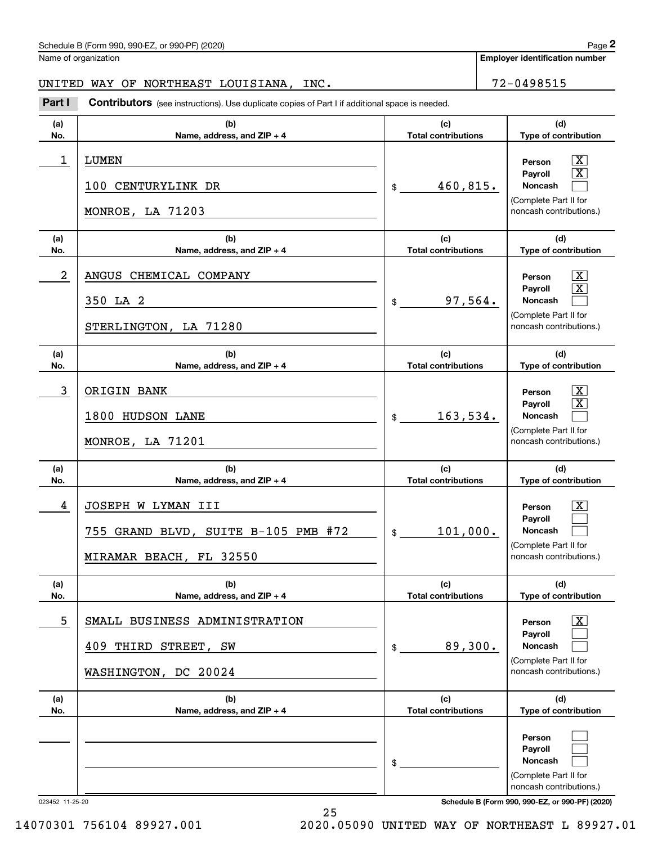| Schedule B (Form 990, 990-EZ, or 990-PF) (2020) | Page |
|-------------------------------------------------|------|
|-------------------------------------------------|------|

Name of organization

UNITED WAY OF NORTHEAST LOUISIANA, INC. 72-0498515

(shedule B (Form 990, 990-EZ, or 990-PF) (2020)<br> **2** alame of organization<br> **2Part I 2000 WAY OF NORTHEAST LOUISIANA, INC.**<br> **2Part I Contributors** (see instructions). Use duplicate copies of Part I if additional space

| (a)             | (b)                                                                                  | (c)                               | (d)                                                                                                                                      |
|-----------------|--------------------------------------------------------------------------------------|-----------------------------------|------------------------------------------------------------------------------------------------------------------------------------------|
| No.             | Name, address, and ZIP + 4                                                           | <b>Total contributions</b>        | Type of contribution                                                                                                                     |
| 1               | <b>LUMEN</b><br>100 CENTURYLINK DR<br>MONROE, LA 71203                               | 460,815.<br>\$                    | $\boxed{\text{X}}$<br>Person<br>$\overline{\mathbf{X}}$<br>Payroll<br><b>Noncash</b><br>(Complete Part II for<br>noncash contributions.) |
| (a)<br>No.      | (b)<br>Name, address, and ZIP + 4                                                    | (c)<br><b>Total contributions</b> | (d)<br>Type of contribution                                                                                                              |
| 2               | ANGUS CHEMICAL COMPANY<br>350 LA 2<br>STERLINGTON, LA 71280                          | 97,564.<br>\$                     | $\boxed{\text{X}}$<br>Person<br>$\boxed{\text{X}}$<br>Payroll<br>Noncash<br>(Complete Part II for<br>noncash contributions.)             |
| (a)<br>No.      | (b)<br>Name, address, and ZIP + 4                                                    | (c)<br><b>Total contributions</b> | (d)<br>Type of contribution                                                                                                              |
| 3               | ORIGIN BANK<br>1800 HUDSON LANE<br>MONROE, LA 71201                                  | 163,534.<br>\$                    | $\boxed{\text{X}}$<br>Person<br>$\boxed{\text{X}}$<br>Payroll<br>Noncash<br>(Complete Part II for<br>noncash contributions.)             |
| (a)<br>No.      | (b)<br>Name, address, and ZIP + 4                                                    | (c)<br><b>Total contributions</b> | (d)<br>Type of contribution                                                                                                              |
| 4               | JOSEPH W LYMAN III<br>755 GRAND BLVD, SUITE B-105 PMB #72<br>MIRAMAR BEACH, FL 32550 | 101,000.<br>\$                    | $\mathbf{X}$<br>Person<br>Payroll<br><b>Noncash</b><br>(Complete Part II for<br>noncash contributions.)                                  |
| (a)<br>No.      | (b)<br>Name, address, and ZIP + 4                                                    | (c)<br><b>Total contributions</b> | (d)<br>Type of contribution                                                                                                              |
| 5               | SMALL BUSINESS ADMINISTRATION<br>409 THIRD STREET, SW<br>WASHINGTON, DC 20024        | 89,300.<br>\$                     | $\boxed{\text{X}}$<br>Person<br>Payroll<br><b>Noncash</b><br>(Complete Part II for<br>noncash contributions.)                            |
| (a)<br>No.      | (b)<br>Name, address, and ZIP + 4                                                    | (c)<br><b>Total contributions</b> | (d)<br>Type of contribution                                                                                                              |
|                 |                                                                                      |                                   | Person                                                                                                                                   |
| 023452 11-25-20 |                                                                                      | \$                                | Payroll<br><b>Noncash</b><br>(Complete Part II for<br>noncash contributions.)<br>Schedule B (Form 990, 990-EZ, or 990-PF) (2020)         |

25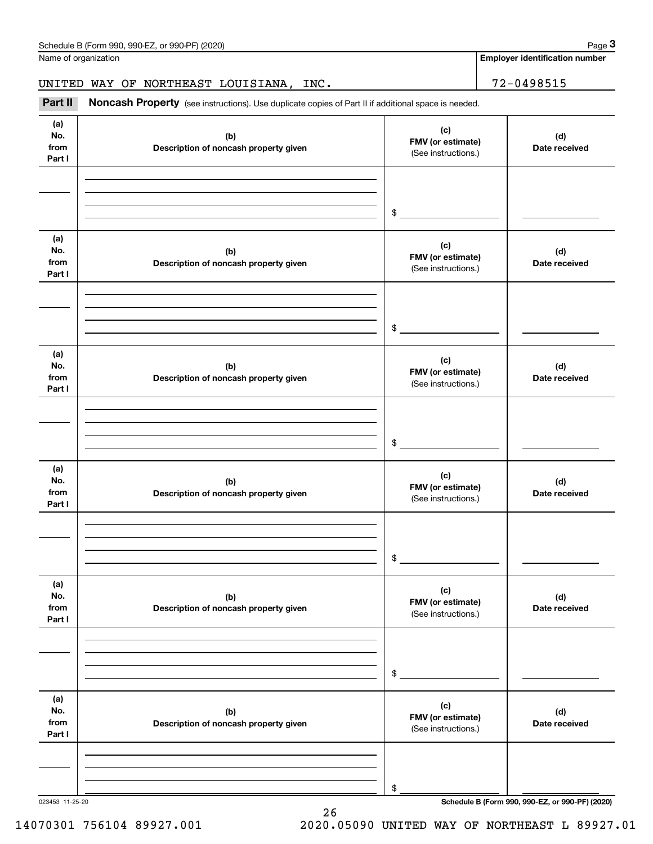| Schedule B (Form 990, 990-EZ, or 990-PF) (2020) | Page |
|-------------------------------------------------|------|
|-------------------------------------------------|------|

|                              | Schedule B (Form 990, 990-EZ, or 990-PF) (2020)                                                     |                                                 | Page 3                                |
|------------------------------|-----------------------------------------------------------------------------------------------------|-------------------------------------------------|---------------------------------------|
| Name of organization         |                                                                                                     |                                                 | <b>Employer identification number</b> |
|                              | UNITED WAY OF NORTHEAST LOUISIANA, INC.                                                             |                                                 | 72-0498515                            |
| Part II                      | Noncash Property (see instructions). Use duplicate copies of Part II if additional space is needed. |                                                 |                                       |
| (a)<br>No.<br>from<br>Part I | (b)<br>Description of noncash property given                                                        | (c)<br>FMV (or estimate)<br>(See instructions.) | (d)<br>Date received                  |
|                              |                                                                                                     | \$                                              |                                       |
| (a)<br>No.<br>from<br>Part I | (b)<br>Description of noncash property given                                                        | (c)<br>FMV (or estimate)<br>(See instructions.) | (d)<br>Date received                  |
|                              |                                                                                                     | \$                                              |                                       |
| (a)<br>No.<br>from<br>Part I | (b)<br>Description of noncash property given                                                        | (c)<br>FMV (or estimate)<br>(See instructions.) | (d)<br>Date received                  |
|                              |                                                                                                     | \$                                              |                                       |
| (a)<br>No.<br>from<br>Part I | (b)<br>Description of noncash property given                                                        | (c)<br>FMV (or estimate)<br>(See instructions.) | (d)<br>Date received                  |
|                              |                                                                                                     | \$                                              |                                       |
| (a)<br>No.<br>from<br>Part I | (b)<br>Description of noncash property given                                                        | (c)<br>FMV (or estimate)<br>(See instructions.) | (d)<br>Date received                  |
|                              |                                                                                                     | \$                                              |                                       |
| (a)<br>No.<br>from<br>Part I | (b)<br>Description of noncash property given                                                        | (c)<br>FMV (or estimate)<br>(See instructions.) | (d)<br>Date received                  |
|                              |                                                                                                     | \$                                              |                                       |

023453 11-25-20 **Schedule B (Form 990, 990-EZ, or 990-PF) (2020)**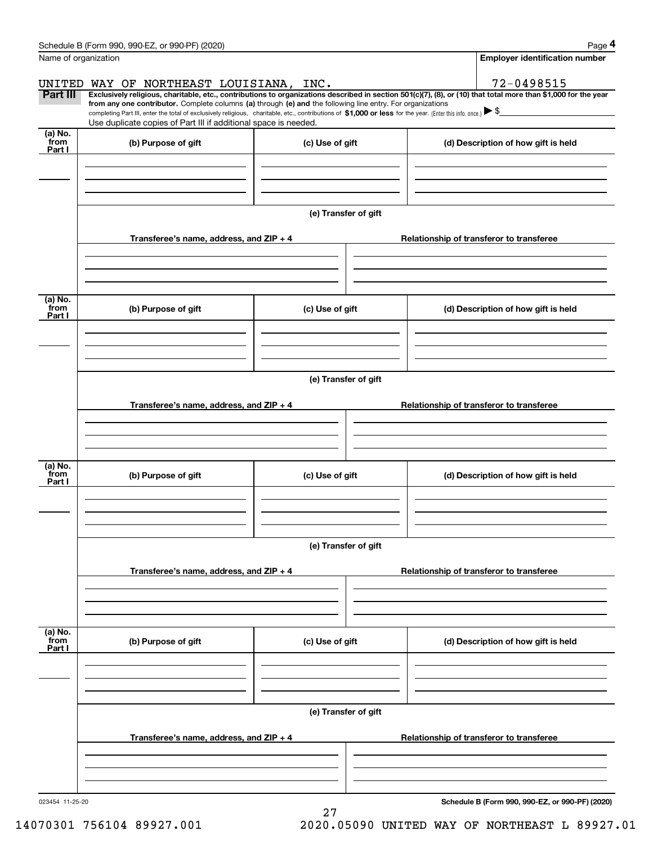|                             | Schedule B (Form 990, 990-EZ, or 990-PF) (2020)                                                                                                                                                                                                      |                      | Page 4                                                                                                                                                         |  |  |  |
|-----------------------------|------------------------------------------------------------------------------------------------------------------------------------------------------------------------------------------------------------------------------------------------------|----------------------|----------------------------------------------------------------------------------------------------------------------------------------------------------------|--|--|--|
| Name of organization        |                                                                                                                                                                                                                                                      |                      | <b>Employer identification number</b>                                                                                                                          |  |  |  |
|                             | UNITED WAY OF NORTHEAST LOUISIANA, INC.                                                                                                                                                                                                              |                      | 72-0498515                                                                                                                                                     |  |  |  |
| Part III                    | from any one contributor. Complete columns (a) through (e) and the following line entry. For organizations                                                                                                                                           |                      | Exclusively religious, charitable, etc., contributions to organizations described in section 501(c)(7), (8), or (10) that total more than \$1,000 for the year |  |  |  |
|                             | completing Part III, enter the total of exclusively religious, charitable, etc., contributions of \$1,000 or less for the year. (Enter this info. once.) $\blacktriangleright$ \$<br>Use duplicate copies of Part III if additional space is needed. |                      |                                                                                                                                                                |  |  |  |
| $(a)$ No.<br>from<br>Part I | (b) Purpose of gift                                                                                                                                                                                                                                  | (c) Use of gift      | (d) Description of how gift is held                                                                                                                            |  |  |  |
|                             |                                                                                                                                                                                                                                                      |                      |                                                                                                                                                                |  |  |  |
|                             |                                                                                                                                                                                                                                                      |                      |                                                                                                                                                                |  |  |  |
|                             |                                                                                                                                                                                                                                                      | (e) Transfer of gift |                                                                                                                                                                |  |  |  |
|                             | Transferee's name, address, and ZIP + 4                                                                                                                                                                                                              |                      | Relationship of transferor to transferee                                                                                                                       |  |  |  |
|                             |                                                                                                                                                                                                                                                      |                      |                                                                                                                                                                |  |  |  |
| (a) No.<br>from             | (b) Purpose of gift                                                                                                                                                                                                                                  | (c) Use of gift      | (d) Description of how gift is held                                                                                                                            |  |  |  |
| Part I                      |                                                                                                                                                                                                                                                      |                      |                                                                                                                                                                |  |  |  |
|                             |                                                                                                                                                                                                                                                      |                      |                                                                                                                                                                |  |  |  |
|                             |                                                                                                                                                                                                                                                      | (e) Transfer of gift |                                                                                                                                                                |  |  |  |
|                             | Transferee's name, address, and ZIP + 4                                                                                                                                                                                                              |                      | Relationship of transferor to transferee                                                                                                                       |  |  |  |
|                             |                                                                                                                                                                                                                                                      |                      |                                                                                                                                                                |  |  |  |
| (a) No.                     |                                                                                                                                                                                                                                                      |                      |                                                                                                                                                                |  |  |  |
| from<br>Part I              | (b) Purpose of gift                                                                                                                                                                                                                                  | (c) Use of gift      | (d) Description of how gift is held                                                                                                                            |  |  |  |
|                             |                                                                                                                                                                                                                                                      |                      |                                                                                                                                                                |  |  |  |
|                             |                                                                                                                                                                                                                                                      |                      |                                                                                                                                                                |  |  |  |
|                             |                                                                                                                                                                                                                                                      | (e) Transfer of gift |                                                                                                                                                                |  |  |  |
|                             | Transferee's name, address, and $ZIP + 4$                                                                                                                                                                                                            |                      | Relationship of transferor to transferee                                                                                                                       |  |  |  |
|                             |                                                                                                                                                                                                                                                      |                      |                                                                                                                                                                |  |  |  |
| (a) No.<br>from<br>Part I   | (b) Purpose of gift                                                                                                                                                                                                                                  | (c) Use of gift      | (d) Description of how gift is held                                                                                                                            |  |  |  |
|                             |                                                                                                                                                                                                                                                      |                      |                                                                                                                                                                |  |  |  |
|                             |                                                                                                                                                                                                                                                      |                      |                                                                                                                                                                |  |  |  |
|                             |                                                                                                                                                                                                                                                      | (e) Transfer of gift |                                                                                                                                                                |  |  |  |
|                             | Transferee's name, address, and ZIP + 4                                                                                                                                                                                                              |                      | Relationship of transferor to transferee                                                                                                                       |  |  |  |
|                             |                                                                                                                                                                                                                                                      |                      |                                                                                                                                                                |  |  |  |
| 023454 11-25-20             |                                                                                                                                                                                                                                                      |                      | Schedule B (Form 990, 990-EZ, or 990-PF) (2020)                                                                                                                |  |  |  |
|                             |                                                                                                                                                                                                                                                      | 27                   |                                                                                                                                                                |  |  |  |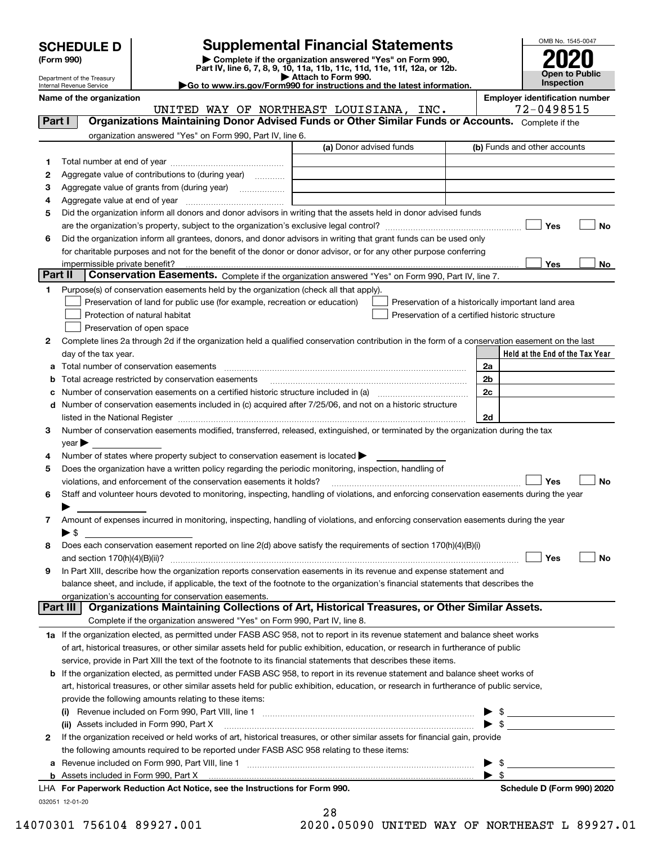| <b>SCHEDULE D</b> |  |
|-------------------|--|
|-------------------|--|

| (Form 990) |  |
|------------|--|
|------------|--|

# **Supplemental Financial Statements**

(Form 990)<br>
Pepartment of the Treasury<br>
Department of the Treasury<br>
Department of the Treasury<br>
Department of the Treasury<br> **Co to www.irs.gov/Form990 for instructions and the latest information.**<br> **Co to www.irs.gov/Form9** 



Department of the Treasury Internal Revenue Service

**Name of the organization Employer identification number** UNITED WAY OF NORTHEAST LOUISIANA, INC. | 72-0498515

| Part I  | <b>Organizations Maintaining Donor Advised Funds or Other Similar Funds or Accounts.</b> Complete if the                                       |                         |                                                                                |
|---------|------------------------------------------------------------------------------------------------------------------------------------------------|-------------------------|--------------------------------------------------------------------------------|
|         | organization answered "Yes" on Form 990, Part IV, line 6.                                                                                      |                         |                                                                                |
|         |                                                                                                                                                | (a) Donor advised funds | (b) Funds and other accounts                                                   |
| 1.      |                                                                                                                                                |                         |                                                                                |
| 2       | Aggregate value of contributions to (during year)                                                                                              |                         |                                                                                |
| з       | Aggregate value of grants from (during year)                                                                                                   |                         |                                                                                |
| 4       |                                                                                                                                                |                         |                                                                                |
| 5       | Did the organization inform all donors and donor advisors in writing that the assets held in donor advised funds                               |                         |                                                                                |
|         |                                                                                                                                                |                         | Yes<br>No                                                                      |
| 6       | Did the organization inform all grantees, donors, and donor advisors in writing that grant funds can be used only                              |                         |                                                                                |
|         | for charitable purposes and not for the benefit of the donor or donor advisor, or for any other purpose conferring                             |                         |                                                                                |
| Part II |                                                                                                                                                |                         | Yes<br>No                                                                      |
|         | Conservation Easements. Complete if the organization answered "Yes" on Form 990, Part IV, line 7.                                              |                         |                                                                                |
| 1.      | Purpose(s) of conservation easements held by the organization (check all that apply).                                                          |                         |                                                                                |
|         | Preservation of land for public use (for example, recreation or education)                                                                     |                         | Preservation of a historically important land area                             |
|         | Protection of natural habitat                                                                                                                  |                         | Preservation of a certified historic structure                                 |
|         | Preservation of open space                                                                                                                     |                         |                                                                                |
| 2       | Complete lines 2a through 2d if the organization held a qualified conservation contribution in the form of a conservation easement on the last |                         |                                                                                |
|         | day of the tax year.                                                                                                                           |                         | Held at the End of the Tax Year                                                |
|         |                                                                                                                                                |                         | 2a                                                                             |
|         | <b>b</b> Total acreage restricted by conservation easements                                                                                    |                         | 2b                                                                             |
|         |                                                                                                                                                |                         | 2c                                                                             |
|         | d Number of conservation easements included in (c) acquired after 7/25/06, and not on a historic structure                                     |                         |                                                                                |
|         |                                                                                                                                                |                         | 2d                                                                             |
| 3       | Number of conservation easements modified, transferred, released, extinguished, or terminated by the organization during the tax               |                         |                                                                                |
| 4       | $year \blacktriangleright$<br>Number of states where property subject to conservation easement is located $\blacktriangleright$                |                         |                                                                                |
| 5       | Does the organization have a written policy regarding the periodic monitoring, inspection, handling of                                         |                         |                                                                                |
|         | violations, and enforcement of the conservation easements it holds?                                                                            |                         | Yes<br><b>No</b>                                                               |
| 6       | Staff and volunteer hours devoted to monitoring, inspecting, handling of violations, and enforcing conservation easements during the year      |                         |                                                                                |
|         |                                                                                                                                                |                         |                                                                                |
| 7       | Amount of expenses incurred in monitoring, inspecting, handling of violations, and enforcing conservation easements during the year            |                         |                                                                                |
|         | $\blacktriangleright$ \$                                                                                                                       |                         |                                                                                |
| 8       | Does each conservation easement reported on line 2(d) above satisfy the requirements of section 170(h)(4)(B)(i)                                |                         |                                                                                |
|         |                                                                                                                                                |                         | Yes<br>No                                                                      |
| 9       | In Part XIII, describe how the organization reports conservation easements in its revenue and expense statement and                            |                         |                                                                                |
|         | balance sheet, and include, if applicable, the text of the footnote to the organization's financial statements that describes the              |                         |                                                                                |
|         | organization's accounting for conservation easements.                                                                                          |                         |                                                                                |
|         | Organizations Maintaining Collections of Art, Historical Treasures, or Other Similar Assets.<br>Part III                                       |                         |                                                                                |
|         | Complete if the organization answered "Yes" on Form 990, Part IV, line 8.                                                                      |                         |                                                                                |
|         | 1a If the organization elected, as permitted under FASB ASC 958, not to report in its revenue statement and balance sheet works                |                         |                                                                                |
|         | of art, historical treasures, or other similar assets held for public exhibition, education, or research in furtherance of public              |                         |                                                                                |
|         | service, provide in Part XIII the text of the footnote to its financial statements that describes these items.                                 |                         |                                                                                |
|         | <b>b</b> If the organization elected, as permitted under FASB ASC 958, to report in its revenue statement and balance sheet works of           |                         |                                                                                |
|         | art, historical treasures, or other similar assets held for public exhibition, education, or research in furtherance of public service,        |                         |                                                                                |
|         | provide the following amounts relating to these items:                                                                                         |                         |                                                                                |
|         |                                                                                                                                                |                         | $\frac{1}{2}$                                                                  |
|         | (ii) Assets included in Form 990, Part X                                                                                                       |                         | $\blacktriangleright$ \$<br><u> 1990 - Jan Barbara Barat, prima politik po</u> |
| 2       | If the organization received or held works of art, historical treasures, or other similar assets for financial gain, provide                   |                         |                                                                                |
|         | the following amounts required to be reported under FASB ASC 958 relating to these items:                                                      |                         |                                                                                |
|         | a Revenue included on Form 990, Part VIII, line 1 [2000] [2000] [2000] [2000] [2000] [2000] [2000] [2000] [2000                                |                         | $\frac{1}{\sqrt{2}}$                                                           |
|         | <b>b</b> Assets included in Form 990, Part X                                                                                                   |                         | $\blacktriangleright$ s                                                        |
|         | LHA For Paperwork Reduction Act Notice, see the Instructions for Form 990.                                                                     |                         | Schedule D (Form 990) 2020                                                     |
|         | 032051 12-01-20                                                                                                                                |                         |                                                                                |

|   | 28 |  |
|---|----|--|
| - |    |  |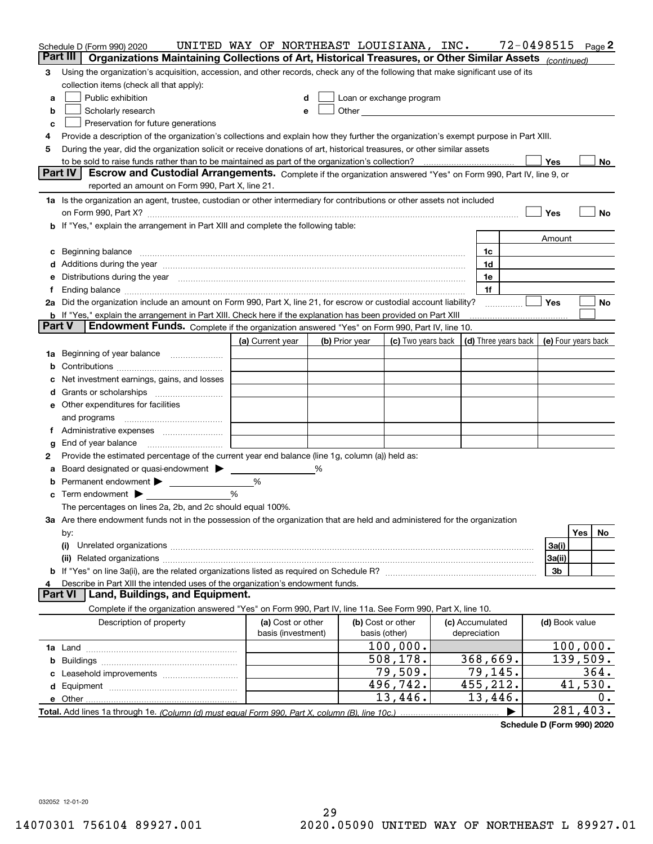| Part III<br>Organizations Maintaining Collections of Art, Historical Treasures, or Other Similar Assets (continued)<br>Using the organization's acquisition, accession, and other records, check any of the following that make significant use of its<br>3<br>collection items (check all that apply):<br>Public exhibition<br>Loan or exchange program<br>a<br>d<br>Other and the contract of the contract of the contract of the contract of the contract of the contract of the contract of the contract of the contract of the contract of the contract of the contract of the contract of the<br>Scholarly research<br>b<br>е<br>Preservation for future generations<br>c<br>Provide a description of the organization's collections and explain how they further the organization's exempt purpose in Part XIII.<br>4<br>During the year, did the organization solicit or receive donations of art, historical treasures, or other similar assets<br>5<br>Yes<br>No<br>Part IV<br>Escrow and Custodial Arrangements. Complete if the organization answered "Yes" on Form 990, Part IV, line 9, or<br>reported an amount on Form 990, Part X, line 21.<br>1a Is the organization an agent, trustee, custodian or other intermediary for contributions or other assets not included<br>Yes<br>No<br>If "Yes," explain the arrangement in Part XIII and complete the following table:<br>b<br>Amount<br>Beginning balance <b>contract the contract of the contract of the contract of the contract of the contract of the contract of the contract of the contract of the contract of the contract of the contract of the contract of th</b><br>1c<br>c<br>Additions during the year manufactured and an annual contract of the year manufactured and all the year manufactured and all the year manufactured and all the year manufactured and all the year manufactured and all the yea<br>1d<br>Distributions during the year manufactured and continuum and contact the year manufactured and contact the year<br>1e<br>1f<br>f<br>2a Did the organization include an amount on Form 990, Part X, line 21, for escrow or custodial account liability?<br>Yes<br>No<br><b>b</b> If "Yes," explain the arrangement in Part XIII. Check here if the explanation has been provided on Part XIII<br><b>Part V</b><br>Endowment Funds. Complete if the organization answered "Yes" on Form 990, Part IV, line 10.<br>(b) Prior year<br>(c) Two years back $\vert$ (d) Three years back $\vert$<br>(e) Four years back<br>(a) Current year<br>Beginning of year balance<br>1a<br>b<br>Net investment earnings, gains, and losses<br>d<br><b>e</b> Other expenditures for facilities<br>and programs<br>Administrative expenses<br>1.<br>End of year balance<br>g<br>Provide the estimated percentage of the current year end balance (line 1g, column (a)) held as:<br>2<br>Board designated or quasi-endowment ><br>а<br>Permanent endowment<br>%<br>b<br>%<br>Term endowment $\blacktriangleright$<br>с<br>The percentages on lines 2a, 2b, and 2c should equal 100%.<br>3a Are there endowment funds not in the possession of the organization that are held and administered for the organization<br>Yes<br>No<br>by:<br>3a(i)<br>(i)<br>3a(ii)<br>3b<br>Describe in Part XIII the intended uses of the organization's endowment funds.<br><b>Part VI</b><br>Land, Buildings, and Equipment.<br>Complete if the organization answered "Yes" on Form 990, Part IV, line 11a. See Form 990, Part X, line 10.<br>(b) Cost or other<br>Description of property<br>(a) Cost or other<br>(c) Accumulated<br>(d) Book value<br>basis (investment)<br>depreciation<br>basis (other)<br>100,000.<br>100,000.<br>508,178.<br>139,509.<br>368,669.<br>79,509.<br>79,145.<br>364.<br>41,530.<br>496,742.<br>455,212.<br>13,446.<br>13,446.<br>υ.<br>281,403. | Schedule D (Form 990) 2020 | UNITED WAY OF NORTHEAST LOUISIANA, INC. |  |  |  | 72-0498515 | Page 2 |
|-------------------------------------------------------------------------------------------------------------------------------------------------------------------------------------------------------------------------------------------------------------------------------------------------------------------------------------------------------------------------------------------------------------------------------------------------------------------------------------------------------------------------------------------------------------------------------------------------------------------------------------------------------------------------------------------------------------------------------------------------------------------------------------------------------------------------------------------------------------------------------------------------------------------------------------------------------------------------------------------------------------------------------------------------------------------------------------------------------------------------------------------------------------------------------------------------------------------------------------------------------------------------------------------------------------------------------------------------------------------------------------------------------------------------------------------------------------------------------------------------------------------------------------------------------------------------------------------------------------------------------------------------------------------------------------------------------------------------------------------------------------------------------------------------------------------------------------------------------------------------------------------------------------------------------------------------------------------------------------------------------------------------------------------------------------------------------------------------------------------------------------------------------------------------------------------------------------------------------------------------------------------------------------------------------------------------------------------------------------------------------------------------------------------------------------------------------------------------------------------------------------------------------------------------------------------------------------------------------------------------------------------------------------------------------------------------------------------------------------------------------------------------------------------------------------------------------------------------------------------------------------------------------------------------------------------------------------------------------------------------------------------------------------------------------------------------------------------------------------------------------------------------------------------------------------------------------------------------------------------------------------------------------------------------------------------------------------------------------------------------------------------------------------------------------------------------------------------------------------------------------------------------------------------------------------------------------------------------------------------------------------------------------------------------------------------------------------------------------------------------------------------------------------------------------------------------------------------------------|----------------------------|-----------------------------------------|--|--|--|------------|--------|
|                                                                                                                                                                                                                                                                                                                                                                                                                                                                                                                                                                                                                                                                                                                                                                                                                                                                                                                                                                                                                                                                                                                                                                                                                                                                                                                                                                                                                                                                                                                                                                                                                                                                                                                                                                                                                                                                                                                                                                                                                                                                                                                                                                                                                                                                                                                                                                                                                                                                                                                                                                                                                                                                                                                                                                                                                                                                                                                                                                                                                                                                                                                                                                                                                                                                                                                                                                                                                                                                                                                                                                                                                                                                                                                                                                                                                                                       |                            |                                         |  |  |  |            |        |
|                                                                                                                                                                                                                                                                                                                                                                                                                                                                                                                                                                                                                                                                                                                                                                                                                                                                                                                                                                                                                                                                                                                                                                                                                                                                                                                                                                                                                                                                                                                                                                                                                                                                                                                                                                                                                                                                                                                                                                                                                                                                                                                                                                                                                                                                                                                                                                                                                                                                                                                                                                                                                                                                                                                                                                                                                                                                                                                                                                                                                                                                                                                                                                                                                                                                                                                                                                                                                                                                                                                                                                                                                                                                                                                                                                                                                                                       |                            |                                         |  |  |  |            |        |
|                                                                                                                                                                                                                                                                                                                                                                                                                                                                                                                                                                                                                                                                                                                                                                                                                                                                                                                                                                                                                                                                                                                                                                                                                                                                                                                                                                                                                                                                                                                                                                                                                                                                                                                                                                                                                                                                                                                                                                                                                                                                                                                                                                                                                                                                                                                                                                                                                                                                                                                                                                                                                                                                                                                                                                                                                                                                                                                                                                                                                                                                                                                                                                                                                                                                                                                                                                                                                                                                                                                                                                                                                                                                                                                                                                                                                                                       |                            |                                         |  |  |  |            |        |
|                                                                                                                                                                                                                                                                                                                                                                                                                                                                                                                                                                                                                                                                                                                                                                                                                                                                                                                                                                                                                                                                                                                                                                                                                                                                                                                                                                                                                                                                                                                                                                                                                                                                                                                                                                                                                                                                                                                                                                                                                                                                                                                                                                                                                                                                                                                                                                                                                                                                                                                                                                                                                                                                                                                                                                                                                                                                                                                                                                                                                                                                                                                                                                                                                                                                                                                                                                                                                                                                                                                                                                                                                                                                                                                                                                                                                                                       |                            |                                         |  |  |  |            |        |
|                                                                                                                                                                                                                                                                                                                                                                                                                                                                                                                                                                                                                                                                                                                                                                                                                                                                                                                                                                                                                                                                                                                                                                                                                                                                                                                                                                                                                                                                                                                                                                                                                                                                                                                                                                                                                                                                                                                                                                                                                                                                                                                                                                                                                                                                                                                                                                                                                                                                                                                                                                                                                                                                                                                                                                                                                                                                                                                                                                                                                                                                                                                                                                                                                                                                                                                                                                                                                                                                                                                                                                                                                                                                                                                                                                                                                                                       |                            |                                         |  |  |  |            |        |
|                                                                                                                                                                                                                                                                                                                                                                                                                                                                                                                                                                                                                                                                                                                                                                                                                                                                                                                                                                                                                                                                                                                                                                                                                                                                                                                                                                                                                                                                                                                                                                                                                                                                                                                                                                                                                                                                                                                                                                                                                                                                                                                                                                                                                                                                                                                                                                                                                                                                                                                                                                                                                                                                                                                                                                                                                                                                                                                                                                                                                                                                                                                                                                                                                                                                                                                                                                                                                                                                                                                                                                                                                                                                                                                                                                                                                                                       |                            |                                         |  |  |  |            |        |
|                                                                                                                                                                                                                                                                                                                                                                                                                                                                                                                                                                                                                                                                                                                                                                                                                                                                                                                                                                                                                                                                                                                                                                                                                                                                                                                                                                                                                                                                                                                                                                                                                                                                                                                                                                                                                                                                                                                                                                                                                                                                                                                                                                                                                                                                                                                                                                                                                                                                                                                                                                                                                                                                                                                                                                                                                                                                                                                                                                                                                                                                                                                                                                                                                                                                                                                                                                                                                                                                                                                                                                                                                                                                                                                                                                                                                                                       |                            |                                         |  |  |  |            |        |
|                                                                                                                                                                                                                                                                                                                                                                                                                                                                                                                                                                                                                                                                                                                                                                                                                                                                                                                                                                                                                                                                                                                                                                                                                                                                                                                                                                                                                                                                                                                                                                                                                                                                                                                                                                                                                                                                                                                                                                                                                                                                                                                                                                                                                                                                                                                                                                                                                                                                                                                                                                                                                                                                                                                                                                                                                                                                                                                                                                                                                                                                                                                                                                                                                                                                                                                                                                                                                                                                                                                                                                                                                                                                                                                                                                                                                                                       |                            |                                         |  |  |  |            |        |
|                                                                                                                                                                                                                                                                                                                                                                                                                                                                                                                                                                                                                                                                                                                                                                                                                                                                                                                                                                                                                                                                                                                                                                                                                                                                                                                                                                                                                                                                                                                                                                                                                                                                                                                                                                                                                                                                                                                                                                                                                                                                                                                                                                                                                                                                                                                                                                                                                                                                                                                                                                                                                                                                                                                                                                                                                                                                                                                                                                                                                                                                                                                                                                                                                                                                                                                                                                                                                                                                                                                                                                                                                                                                                                                                                                                                                                                       |                            |                                         |  |  |  |            |        |
|                                                                                                                                                                                                                                                                                                                                                                                                                                                                                                                                                                                                                                                                                                                                                                                                                                                                                                                                                                                                                                                                                                                                                                                                                                                                                                                                                                                                                                                                                                                                                                                                                                                                                                                                                                                                                                                                                                                                                                                                                                                                                                                                                                                                                                                                                                                                                                                                                                                                                                                                                                                                                                                                                                                                                                                                                                                                                                                                                                                                                                                                                                                                                                                                                                                                                                                                                                                                                                                                                                                                                                                                                                                                                                                                                                                                                                                       |                            |                                         |  |  |  |            |        |
|                                                                                                                                                                                                                                                                                                                                                                                                                                                                                                                                                                                                                                                                                                                                                                                                                                                                                                                                                                                                                                                                                                                                                                                                                                                                                                                                                                                                                                                                                                                                                                                                                                                                                                                                                                                                                                                                                                                                                                                                                                                                                                                                                                                                                                                                                                                                                                                                                                                                                                                                                                                                                                                                                                                                                                                                                                                                                                                                                                                                                                                                                                                                                                                                                                                                                                                                                                                                                                                                                                                                                                                                                                                                                                                                                                                                                                                       |                            |                                         |  |  |  |            |        |
|                                                                                                                                                                                                                                                                                                                                                                                                                                                                                                                                                                                                                                                                                                                                                                                                                                                                                                                                                                                                                                                                                                                                                                                                                                                                                                                                                                                                                                                                                                                                                                                                                                                                                                                                                                                                                                                                                                                                                                                                                                                                                                                                                                                                                                                                                                                                                                                                                                                                                                                                                                                                                                                                                                                                                                                                                                                                                                                                                                                                                                                                                                                                                                                                                                                                                                                                                                                                                                                                                                                                                                                                                                                                                                                                                                                                                                                       |                            |                                         |  |  |  |            |        |
|                                                                                                                                                                                                                                                                                                                                                                                                                                                                                                                                                                                                                                                                                                                                                                                                                                                                                                                                                                                                                                                                                                                                                                                                                                                                                                                                                                                                                                                                                                                                                                                                                                                                                                                                                                                                                                                                                                                                                                                                                                                                                                                                                                                                                                                                                                                                                                                                                                                                                                                                                                                                                                                                                                                                                                                                                                                                                                                                                                                                                                                                                                                                                                                                                                                                                                                                                                                                                                                                                                                                                                                                                                                                                                                                                                                                                                                       |                            |                                         |  |  |  |            |        |
|                                                                                                                                                                                                                                                                                                                                                                                                                                                                                                                                                                                                                                                                                                                                                                                                                                                                                                                                                                                                                                                                                                                                                                                                                                                                                                                                                                                                                                                                                                                                                                                                                                                                                                                                                                                                                                                                                                                                                                                                                                                                                                                                                                                                                                                                                                                                                                                                                                                                                                                                                                                                                                                                                                                                                                                                                                                                                                                                                                                                                                                                                                                                                                                                                                                                                                                                                                                                                                                                                                                                                                                                                                                                                                                                                                                                                                                       |                            |                                         |  |  |  |            |        |
|                                                                                                                                                                                                                                                                                                                                                                                                                                                                                                                                                                                                                                                                                                                                                                                                                                                                                                                                                                                                                                                                                                                                                                                                                                                                                                                                                                                                                                                                                                                                                                                                                                                                                                                                                                                                                                                                                                                                                                                                                                                                                                                                                                                                                                                                                                                                                                                                                                                                                                                                                                                                                                                                                                                                                                                                                                                                                                                                                                                                                                                                                                                                                                                                                                                                                                                                                                                                                                                                                                                                                                                                                                                                                                                                                                                                                                                       |                            |                                         |  |  |  |            |        |
|                                                                                                                                                                                                                                                                                                                                                                                                                                                                                                                                                                                                                                                                                                                                                                                                                                                                                                                                                                                                                                                                                                                                                                                                                                                                                                                                                                                                                                                                                                                                                                                                                                                                                                                                                                                                                                                                                                                                                                                                                                                                                                                                                                                                                                                                                                                                                                                                                                                                                                                                                                                                                                                                                                                                                                                                                                                                                                                                                                                                                                                                                                                                                                                                                                                                                                                                                                                                                                                                                                                                                                                                                                                                                                                                                                                                                                                       |                            |                                         |  |  |  |            |        |
|                                                                                                                                                                                                                                                                                                                                                                                                                                                                                                                                                                                                                                                                                                                                                                                                                                                                                                                                                                                                                                                                                                                                                                                                                                                                                                                                                                                                                                                                                                                                                                                                                                                                                                                                                                                                                                                                                                                                                                                                                                                                                                                                                                                                                                                                                                                                                                                                                                                                                                                                                                                                                                                                                                                                                                                                                                                                                                                                                                                                                                                                                                                                                                                                                                                                                                                                                                                                                                                                                                                                                                                                                                                                                                                                                                                                                                                       |                            |                                         |  |  |  |            |        |
|                                                                                                                                                                                                                                                                                                                                                                                                                                                                                                                                                                                                                                                                                                                                                                                                                                                                                                                                                                                                                                                                                                                                                                                                                                                                                                                                                                                                                                                                                                                                                                                                                                                                                                                                                                                                                                                                                                                                                                                                                                                                                                                                                                                                                                                                                                                                                                                                                                                                                                                                                                                                                                                                                                                                                                                                                                                                                                                                                                                                                                                                                                                                                                                                                                                                                                                                                                                                                                                                                                                                                                                                                                                                                                                                                                                                                                                       |                            |                                         |  |  |  |            |        |
|                                                                                                                                                                                                                                                                                                                                                                                                                                                                                                                                                                                                                                                                                                                                                                                                                                                                                                                                                                                                                                                                                                                                                                                                                                                                                                                                                                                                                                                                                                                                                                                                                                                                                                                                                                                                                                                                                                                                                                                                                                                                                                                                                                                                                                                                                                                                                                                                                                                                                                                                                                                                                                                                                                                                                                                                                                                                                                                                                                                                                                                                                                                                                                                                                                                                                                                                                                                                                                                                                                                                                                                                                                                                                                                                                                                                                                                       |                            |                                         |  |  |  |            |        |
|                                                                                                                                                                                                                                                                                                                                                                                                                                                                                                                                                                                                                                                                                                                                                                                                                                                                                                                                                                                                                                                                                                                                                                                                                                                                                                                                                                                                                                                                                                                                                                                                                                                                                                                                                                                                                                                                                                                                                                                                                                                                                                                                                                                                                                                                                                                                                                                                                                                                                                                                                                                                                                                                                                                                                                                                                                                                                                                                                                                                                                                                                                                                                                                                                                                                                                                                                                                                                                                                                                                                                                                                                                                                                                                                                                                                                                                       |                            |                                         |  |  |  |            |        |
|                                                                                                                                                                                                                                                                                                                                                                                                                                                                                                                                                                                                                                                                                                                                                                                                                                                                                                                                                                                                                                                                                                                                                                                                                                                                                                                                                                                                                                                                                                                                                                                                                                                                                                                                                                                                                                                                                                                                                                                                                                                                                                                                                                                                                                                                                                                                                                                                                                                                                                                                                                                                                                                                                                                                                                                                                                                                                                                                                                                                                                                                                                                                                                                                                                                                                                                                                                                                                                                                                                                                                                                                                                                                                                                                                                                                                                                       |                            |                                         |  |  |  |            |        |
|                                                                                                                                                                                                                                                                                                                                                                                                                                                                                                                                                                                                                                                                                                                                                                                                                                                                                                                                                                                                                                                                                                                                                                                                                                                                                                                                                                                                                                                                                                                                                                                                                                                                                                                                                                                                                                                                                                                                                                                                                                                                                                                                                                                                                                                                                                                                                                                                                                                                                                                                                                                                                                                                                                                                                                                                                                                                                                                                                                                                                                                                                                                                                                                                                                                                                                                                                                                                                                                                                                                                                                                                                                                                                                                                                                                                                                                       |                            |                                         |  |  |  |            |        |
|                                                                                                                                                                                                                                                                                                                                                                                                                                                                                                                                                                                                                                                                                                                                                                                                                                                                                                                                                                                                                                                                                                                                                                                                                                                                                                                                                                                                                                                                                                                                                                                                                                                                                                                                                                                                                                                                                                                                                                                                                                                                                                                                                                                                                                                                                                                                                                                                                                                                                                                                                                                                                                                                                                                                                                                                                                                                                                                                                                                                                                                                                                                                                                                                                                                                                                                                                                                                                                                                                                                                                                                                                                                                                                                                                                                                                                                       |                            |                                         |  |  |  |            |        |
|                                                                                                                                                                                                                                                                                                                                                                                                                                                                                                                                                                                                                                                                                                                                                                                                                                                                                                                                                                                                                                                                                                                                                                                                                                                                                                                                                                                                                                                                                                                                                                                                                                                                                                                                                                                                                                                                                                                                                                                                                                                                                                                                                                                                                                                                                                                                                                                                                                                                                                                                                                                                                                                                                                                                                                                                                                                                                                                                                                                                                                                                                                                                                                                                                                                                                                                                                                                                                                                                                                                                                                                                                                                                                                                                                                                                                                                       |                            |                                         |  |  |  |            |        |
|                                                                                                                                                                                                                                                                                                                                                                                                                                                                                                                                                                                                                                                                                                                                                                                                                                                                                                                                                                                                                                                                                                                                                                                                                                                                                                                                                                                                                                                                                                                                                                                                                                                                                                                                                                                                                                                                                                                                                                                                                                                                                                                                                                                                                                                                                                                                                                                                                                                                                                                                                                                                                                                                                                                                                                                                                                                                                                                                                                                                                                                                                                                                                                                                                                                                                                                                                                                                                                                                                                                                                                                                                                                                                                                                                                                                                                                       |                            |                                         |  |  |  |            |        |
|                                                                                                                                                                                                                                                                                                                                                                                                                                                                                                                                                                                                                                                                                                                                                                                                                                                                                                                                                                                                                                                                                                                                                                                                                                                                                                                                                                                                                                                                                                                                                                                                                                                                                                                                                                                                                                                                                                                                                                                                                                                                                                                                                                                                                                                                                                                                                                                                                                                                                                                                                                                                                                                                                                                                                                                                                                                                                                                                                                                                                                                                                                                                                                                                                                                                                                                                                                                                                                                                                                                                                                                                                                                                                                                                                                                                                                                       |                            |                                         |  |  |  |            |        |
|                                                                                                                                                                                                                                                                                                                                                                                                                                                                                                                                                                                                                                                                                                                                                                                                                                                                                                                                                                                                                                                                                                                                                                                                                                                                                                                                                                                                                                                                                                                                                                                                                                                                                                                                                                                                                                                                                                                                                                                                                                                                                                                                                                                                                                                                                                                                                                                                                                                                                                                                                                                                                                                                                                                                                                                                                                                                                                                                                                                                                                                                                                                                                                                                                                                                                                                                                                                                                                                                                                                                                                                                                                                                                                                                                                                                                                                       |                            |                                         |  |  |  |            |        |
|                                                                                                                                                                                                                                                                                                                                                                                                                                                                                                                                                                                                                                                                                                                                                                                                                                                                                                                                                                                                                                                                                                                                                                                                                                                                                                                                                                                                                                                                                                                                                                                                                                                                                                                                                                                                                                                                                                                                                                                                                                                                                                                                                                                                                                                                                                                                                                                                                                                                                                                                                                                                                                                                                                                                                                                                                                                                                                                                                                                                                                                                                                                                                                                                                                                                                                                                                                                                                                                                                                                                                                                                                                                                                                                                                                                                                                                       |                            |                                         |  |  |  |            |        |
|                                                                                                                                                                                                                                                                                                                                                                                                                                                                                                                                                                                                                                                                                                                                                                                                                                                                                                                                                                                                                                                                                                                                                                                                                                                                                                                                                                                                                                                                                                                                                                                                                                                                                                                                                                                                                                                                                                                                                                                                                                                                                                                                                                                                                                                                                                                                                                                                                                                                                                                                                                                                                                                                                                                                                                                                                                                                                                                                                                                                                                                                                                                                                                                                                                                                                                                                                                                                                                                                                                                                                                                                                                                                                                                                                                                                                                                       |                            |                                         |  |  |  |            |        |
|                                                                                                                                                                                                                                                                                                                                                                                                                                                                                                                                                                                                                                                                                                                                                                                                                                                                                                                                                                                                                                                                                                                                                                                                                                                                                                                                                                                                                                                                                                                                                                                                                                                                                                                                                                                                                                                                                                                                                                                                                                                                                                                                                                                                                                                                                                                                                                                                                                                                                                                                                                                                                                                                                                                                                                                                                                                                                                                                                                                                                                                                                                                                                                                                                                                                                                                                                                                                                                                                                                                                                                                                                                                                                                                                                                                                                                                       |                            |                                         |  |  |  |            |        |
|                                                                                                                                                                                                                                                                                                                                                                                                                                                                                                                                                                                                                                                                                                                                                                                                                                                                                                                                                                                                                                                                                                                                                                                                                                                                                                                                                                                                                                                                                                                                                                                                                                                                                                                                                                                                                                                                                                                                                                                                                                                                                                                                                                                                                                                                                                                                                                                                                                                                                                                                                                                                                                                                                                                                                                                                                                                                                                                                                                                                                                                                                                                                                                                                                                                                                                                                                                                                                                                                                                                                                                                                                                                                                                                                                                                                                                                       |                            |                                         |  |  |  |            |        |
|                                                                                                                                                                                                                                                                                                                                                                                                                                                                                                                                                                                                                                                                                                                                                                                                                                                                                                                                                                                                                                                                                                                                                                                                                                                                                                                                                                                                                                                                                                                                                                                                                                                                                                                                                                                                                                                                                                                                                                                                                                                                                                                                                                                                                                                                                                                                                                                                                                                                                                                                                                                                                                                                                                                                                                                                                                                                                                                                                                                                                                                                                                                                                                                                                                                                                                                                                                                                                                                                                                                                                                                                                                                                                                                                                                                                                                                       |                            |                                         |  |  |  |            |        |
|                                                                                                                                                                                                                                                                                                                                                                                                                                                                                                                                                                                                                                                                                                                                                                                                                                                                                                                                                                                                                                                                                                                                                                                                                                                                                                                                                                                                                                                                                                                                                                                                                                                                                                                                                                                                                                                                                                                                                                                                                                                                                                                                                                                                                                                                                                                                                                                                                                                                                                                                                                                                                                                                                                                                                                                                                                                                                                                                                                                                                                                                                                                                                                                                                                                                                                                                                                                                                                                                                                                                                                                                                                                                                                                                                                                                                                                       |                            |                                         |  |  |  |            |        |
|                                                                                                                                                                                                                                                                                                                                                                                                                                                                                                                                                                                                                                                                                                                                                                                                                                                                                                                                                                                                                                                                                                                                                                                                                                                                                                                                                                                                                                                                                                                                                                                                                                                                                                                                                                                                                                                                                                                                                                                                                                                                                                                                                                                                                                                                                                                                                                                                                                                                                                                                                                                                                                                                                                                                                                                                                                                                                                                                                                                                                                                                                                                                                                                                                                                                                                                                                                                                                                                                                                                                                                                                                                                                                                                                                                                                                                                       |                            |                                         |  |  |  |            |        |
|                                                                                                                                                                                                                                                                                                                                                                                                                                                                                                                                                                                                                                                                                                                                                                                                                                                                                                                                                                                                                                                                                                                                                                                                                                                                                                                                                                                                                                                                                                                                                                                                                                                                                                                                                                                                                                                                                                                                                                                                                                                                                                                                                                                                                                                                                                                                                                                                                                                                                                                                                                                                                                                                                                                                                                                                                                                                                                                                                                                                                                                                                                                                                                                                                                                                                                                                                                                                                                                                                                                                                                                                                                                                                                                                                                                                                                                       |                            |                                         |  |  |  |            |        |
|                                                                                                                                                                                                                                                                                                                                                                                                                                                                                                                                                                                                                                                                                                                                                                                                                                                                                                                                                                                                                                                                                                                                                                                                                                                                                                                                                                                                                                                                                                                                                                                                                                                                                                                                                                                                                                                                                                                                                                                                                                                                                                                                                                                                                                                                                                                                                                                                                                                                                                                                                                                                                                                                                                                                                                                                                                                                                                                                                                                                                                                                                                                                                                                                                                                                                                                                                                                                                                                                                                                                                                                                                                                                                                                                                                                                                                                       |                            |                                         |  |  |  |            |        |
|                                                                                                                                                                                                                                                                                                                                                                                                                                                                                                                                                                                                                                                                                                                                                                                                                                                                                                                                                                                                                                                                                                                                                                                                                                                                                                                                                                                                                                                                                                                                                                                                                                                                                                                                                                                                                                                                                                                                                                                                                                                                                                                                                                                                                                                                                                                                                                                                                                                                                                                                                                                                                                                                                                                                                                                                                                                                                                                                                                                                                                                                                                                                                                                                                                                                                                                                                                                                                                                                                                                                                                                                                                                                                                                                                                                                                                                       |                            |                                         |  |  |  |            |        |
|                                                                                                                                                                                                                                                                                                                                                                                                                                                                                                                                                                                                                                                                                                                                                                                                                                                                                                                                                                                                                                                                                                                                                                                                                                                                                                                                                                                                                                                                                                                                                                                                                                                                                                                                                                                                                                                                                                                                                                                                                                                                                                                                                                                                                                                                                                                                                                                                                                                                                                                                                                                                                                                                                                                                                                                                                                                                                                                                                                                                                                                                                                                                                                                                                                                                                                                                                                                                                                                                                                                                                                                                                                                                                                                                                                                                                                                       |                            |                                         |  |  |  |            |        |
|                                                                                                                                                                                                                                                                                                                                                                                                                                                                                                                                                                                                                                                                                                                                                                                                                                                                                                                                                                                                                                                                                                                                                                                                                                                                                                                                                                                                                                                                                                                                                                                                                                                                                                                                                                                                                                                                                                                                                                                                                                                                                                                                                                                                                                                                                                                                                                                                                                                                                                                                                                                                                                                                                                                                                                                                                                                                                                                                                                                                                                                                                                                                                                                                                                                                                                                                                                                                                                                                                                                                                                                                                                                                                                                                                                                                                                                       |                            |                                         |  |  |  |            |        |
|                                                                                                                                                                                                                                                                                                                                                                                                                                                                                                                                                                                                                                                                                                                                                                                                                                                                                                                                                                                                                                                                                                                                                                                                                                                                                                                                                                                                                                                                                                                                                                                                                                                                                                                                                                                                                                                                                                                                                                                                                                                                                                                                                                                                                                                                                                                                                                                                                                                                                                                                                                                                                                                                                                                                                                                                                                                                                                                                                                                                                                                                                                                                                                                                                                                                                                                                                                                                                                                                                                                                                                                                                                                                                                                                                                                                                                                       |                            |                                         |  |  |  |            |        |
|                                                                                                                                                                                                                                                                                                                                                                                                                                                                                                                                                                                                                                                                                                                                                                                                                                                                                                                                                                                                                                                                                                                                                                                                                                                                                                                                                                                                                                                                                                                                                                                                                                                                                                                                                                                                                                                                                                                                                                                                                                                                                                                                                                                                                                                                                                                                                                                                                                                                                                                                                                                                                                                                                                                                                                                                                                                                                                                                                                                                                                                                                                                                                                                                                                                                                                                                                                                                                                                                                                                                                                                                                                                                                                                                                                                                                                                       |                            |                                         |  |  |  |            |        |
|                                                                                                                                                                                                                                                                                                                                                                                                                                                                                                                                                                                                                                                                                                                                                                                                                                                                                                                                                                                                                                                                                                                                                                                                                                                                                                                                                                                                                                                                                                                                                                                                                                                                                                                                                                                                                                                                                                                                                                                                                                                                                                                                                                                                                                                                                                                                                                                                                                                                                                                                                                                                                                                                                                                                                                                                                                                                                                                                                                                                                                                                                                                                                                                                                                                                                                                                                                                                                                                                                                                                                                                                                                                                                                                                                                                                                                                       |                            |                                         |  |  |  |            |        |
|                                                                                                                                                                                                                                                                                                                                                                                                                                                                                                                                                                                                                                                                                                                                                                                                                                                                                                                                                                                                                                                                                                                                                                                                                                                                                                                                                                                                                                                                                                                                                                                                                                                                                                                                                                                                                                                                                                                                                                                                                                                                                                                                                                                                                                                                                                                                                                                                                                                                                                                                                                                                                                                                                                                                                                                                                                                                                                                                                                                                                                                                                                                                                                                                                                                                                                                                                                                                                                                                                                                                                                                                                                                                                                                                                                                                                                                       |                            |                                         |  |  |  |            |        |
|                                                                                                                                                                                                                                                                                                                                                                                                                                                                                                                                                                                                                                                                                                                                                                                                                                                                                                                                                                                                                                                                                                                                                                                                                                                                                                                                                                                                                                                                                                                                                                                                                                                                                                                                                                                                                                                                                                                                                                                                                                                                                                                                                                                                                                                                                                                                                                                                                                                                                                                                                                                                                                                                                                                                                                                                                                                                                                                                                                                                                                                                                                                                                                                                                                                                                                                                                                                                                                                                                                                                                                                                                                                                                                                                                                                                                                                       |                            |                                         |  |  |  |            |        |
|                                                                                                                                                                                                                                                                                                                                                                                                                                                                                                                                                                                                                                                                                                                                                                                                                                                                                                                                                                                                                                                                                                                                                                                                                                                                                                                                                                                                                                                                                                                                                                                                                                                                                                                                                                                                                                                                                                                                                                                                                                                                                                                                                                                                                                                                                                                                                                                                                                                                                                                                                                                                                                                                                                                                                                                                                                                                                                                                                                                                                                                                                                                                                                                                                                                                                                                                                                                                                                                                                                                                                                                                                                                                                                                                                                                                                                                       |                            |                                         |  |  |  |            |        |
|                                                                                                                                                                                                                                                                                                                                                                                                                                                                                                                                                                                                                                                                                                                                                                                                                                                                                                                                                                                                                                                                                                                                                                                                                                                                                                                                                                                                                                                                                                                                                                                                                                                                                                                                                                                                                                                                                                                                                                                                                                                                                                                                                                                                                                                                                                                                                                                                                                                                                                                                                                                                                                                                                                                                                                                                                                                                                                                                                                                                                                                                                                                                                                                                                                                                                                                                                                                                                                                                                                                                                                                                                                                                                                                                                                                                                                                       |                            |                                         |  |  |  |            |        |
|                                                                                                                                                                                                                                                                                                                                                                                                                                                                                                                                                                                                                                                                                                                                                                                                                                                                                                                                                                                                                                                                                                                                                                                                                                                                                                                                                                                                                                                                                                                                                                                                                                                                                                                                                                                                                                                                                                                                                                                                                                                                                                                                                                                                                                                                                                                                                                                                                                                                                                                                                                                                                                                                                                                                                                                                                                                                                                                                                                                                                                                                                                                                                                                                                                                                                                                                                                                                                                                                                                                                                                                                                                                                                                                                                                                                                                                       |                            |                                         |  |  |  |            |        |
|                                                                                                                                                                                                                                                                                                                                                                                                                                                                                                                                                                                                                                                                                                                                                                                                                                                                                                                                                                                                                                                                                                                                                                                                                                                                                                                                                                                                                                                                                                                                                                                                                                                                                                                                                                                                                                                                                                                                                                                                                                                                                                                                                                                                                                                                                                                                                                                                                                                                                                                                                                                                                                                                                                                                                                                                                                                                                                                                                                                                                                                                                                                                                                                                                                                                                                                                                                                                                                                                                                                                                                                                                                                                                                                                                                                                                                                       |                            |                                         |  |  |  |            |        |
|                                                                                                                                                                                                                                                                                                                                                                                                                                                                                                                                                                                                                                                                                                                                                                                                                                                                                                                                                                                                                                                                                                                                                                                                                                                                                                                                                                                                                                                                                                                                                                                                                                                                                                                                                                                                                                                                                                                                                                                                                                                                                                                                                                                                                                                                                                                                                                                                                                                                                                                                                                                                                                                                                                                                                                                                                                                                                                                                                                                                                                                                                                                                                                                                                                                                                                                                                                                                                                                                                                                                                                                                                                                                                                                                                                                                                                                       |                            |                                         |  |  |  |            |        |
|                                                                                                                                                                                                                                                                                                                                                                                                                                                                                                                                                                                                                                                                                                                                                                                                                                                                                                                                                                                                                                                                                                                                                                                                                                                                                                                                                                                                                                                                                                                                                                                                                                                                                                                                                                                                                                                                                                                                                                                                                                                                                                                                                                                                                                                                                                                                                                                                                                                                                                                                                                                                                                                                                                                                                                                                                                                                                                                                                                                                                                                                                                                                                                                                                                                                                                                                                                                                                                                                                                                                                                                                                                                                                                                                                                                                                                                       |                            |                                         |  |  |  |            |        |

**Schedule D (Form 990) 2020**

032052 12-01-20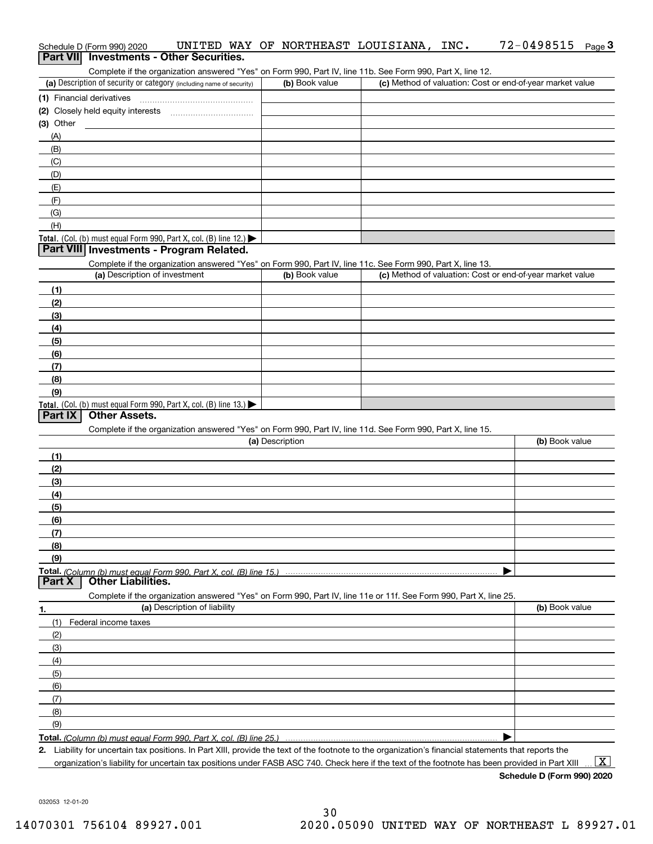|             | Schedule D (Form 990) 2020                                                                                        |                 | UNITED WAY OF NORTHEAST LOUISIANA,<br>INC. | 72-0498515<br>Page $3$                                    |
|-------------|-------------------------------------------------------------------------------------------------------------------|-----------------|--------------------------------------------|-----------------------------------------------------------|
|             | Part VII Investments - Other Securities.                                                                          |                 |                                            |                                                           |
|             | Complete if the organization answered "Yes" on Form 990, Part IV, line 11b. See Form 990, Part X, line 12.        |                 |                                            |                                                           |
|             | (a) Description of security or category (including name of security)                                              | (b) Book value  |                                            | (c) Method of valuation: Cost or end-of-year market value |
|             | (1) Financial derivatives                                                                                         |                 |                                            |                                                           |
|             |                                                                                                                   |                 |                                            |                                                           |
| $(3)$ Other |                                                                                                                   |                 |                                            |                                                           |
| (A)         |                                                                                                                   |                 |                                            |                                                           |
| (B)         |                                                                                                                   |                 |                                            |                                                           |
| (C)         |                                                                                                                   |                 |                                            |                                                           |
| (D)         |                                                                                                                   |                 |                                            |                                                           |
| (E)         |                                                                                                                   |                 |                                            |                                                           |
| (F)         |                                                                                                                   |                 |                                            |                                                           |
| (G)         |                                                                                                                   |                 |                                            |                                                           |
| (H)         | Total. (Col. (b) must equal Form 990, Part X, col. (B) line 12.)                                                  |                 |                                            |                                                           |
|             | Part VIII Investments - Program Related.                                                                          |                 |                                            |                                                           |
|             | Complete if the organization answered "Yes" on Form 990, Part IV, line 11c. See Form 990, Part X, line 13.        |                 |                                            |                                                           |
|             | (a) Description of investment                                                                                     | (b) Book value  |                                            | (c) Method of valuation: Cost or end-of-year market value |
| (1)         |                                                                                                                   |                 |                                            |                                                           |
| (2)         |                                                                                                                   |                 |                                            |                                                           |
| (3)         |                                                                                                                   |                 |                                            |                                                           |
| (4)         |                                                                                                                   |                 |                                            |                                                           |
| (5)         |                                                                                                                   |                 |                                            |                                                           |
| (6)         |                                                                                                                   |                 |                                            |                                                           |
| (7)         |                                                                                                                   |                 |                                            |                                                           |
| (8)         |                                                                                                                   |                 |                                            |                                                           |
| (9)         |                                                                                                                   |                 |                                            |                                                           |
|             | Total. (Col. (b) must equal Form 990, Part X, col. (B) line 13.)                                                  |                 |                                            |                                                           |
| Part IX     | <b>Other Assets.</b>                                                                                              |                 |                                            |                                                           |
|             | Complete if the organization answered "Yes" on Form 990, Part IV, line 11d. See Form 990, Part X, line 15.        |                 |                                            |                                                           |
|             |                                                                                                                   | (a) Description |                                            | (b) Book value                                            |
| (1)         |                                                                                                                   |                 |                                            |                                                           |
| (2)         |                                                                                                                   |                 |                                            |                                                           |
| (3)         |                                                                                                                   |                 |                                            |                                                           |
|             |                                                                                                                   |                 |                                            |                                                           |
| (4)         |                                                                                                                   |                 |                                            |                                                           |
| (5)         |                                                                                                                   |                 |                                            |                                                           |
| (6)         |                                                                                                                   |                 |                                            |                                                           |
| (7)         |                                                                                                                   |                 |                                            |                                                           |
| (8)         |                                                                                                                   |                 |                                            |                                                           |
| (9)         |                                                                                                                   |                 |                                            |                                                           |
|             | Total. (Column (b) must equal Form 990. Part X. col. (B) line 15.)                                                |                 |                                            |                                                           |
|             | <b>Other Liabilities.</b>                                                                                         |                 |                                            |                                                           |
| Part X      | Complete if the organization answered "Yes" on Form 990, Part IV, line 11e or 11f. See Form 990, Part X, line 25. |                 |                                            |                                                           |
|             | (a) Description of liability                                                                                      |                 |                                            | (b) Book value                                            |
| 1.<br>(1)   | Federal income taxes                                                                                              |                 |                                            |                                                           |
| (2)         |                                                                                                                   |                 |                                            |                                                           |
| (3)         |                                                                                                                   |                 |                                            |                                                           |
| (4)         |                                                                                                                   |                 |                                            |                                                           |
| (5)         |                                                                                                                   |                 |                                            |                                                           |
| (6)         |                                                                                                                   |                 |                                            |                                                           |
| (7)         |                                                                                                                   |                 |                                            |                                                           |
| (8)         |                                                                                                                   |                 |                                            |                                                           |
| (9)         |                                                                                                                   |                 |                                            |                                                           |

**Schedule D (Form 990) 2020**

032053 12-01-20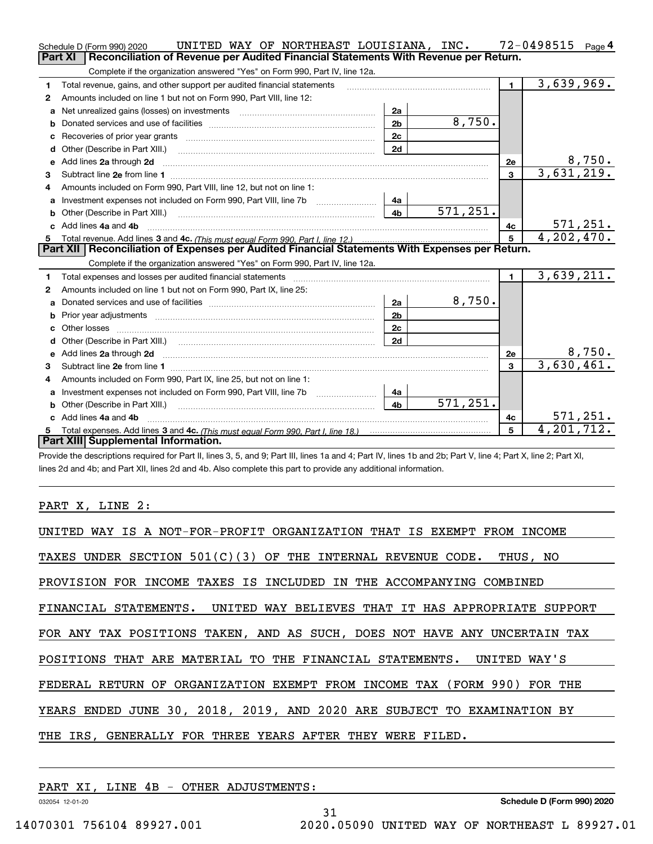|              | UNITED WAY OF NORTHEAST LOUISIANA, INC.<br>Schedule D (Form 990) 2020                                                                                                                                                                |                |           |                 | 72-0498515 Page 4 |
|--------------|--------------------------------------------------------------------------------------------------------------------------------------------------------------------------------------------------------------------------------------|----------------|-----------|-----------------|-------------------|
|              | Reconciliation of Revenue per Audited Financial Statements With Revenue per Return.<br>Part XI                                                                                                                                       |                |           |                 |                   |
|              | Complete if the organization answered "Yes" on Form 990, Part IV, line 12a.                                                                                                                                                          |                |           |                 |                   |
| 1.           | Total revenue, gains, and other support per audited financial statements                                                                                                                                                             |                |           | $\mathbf{1}$    | 3,639,969.        |
| $\mathbf{2}$ | Amounts included on line 1 but not on Form 990, Part VIII, line 12:                                                                                                                                                                  |                |           |                 |                   |
| a            | Net unrealized gains (losses) on investments [11] [11] Net unrealized gains (losses) on investments                                                                                                                                  | 2a             |           |                 |                   |
|              |                                                                                                                                                                                                                                      | 2 <sub>b</sub> | 8,750.    |                 |                   |
| c            | Recoveries of prior year grants [11] Recoveries of prior year grants [11] Recoveries of prior year grants                                                                                                                            | 2c             |           |                 |                   |
|              |                                                                                                                                                                                                                                      | 2d             |           |                 |                   |
| e            | Add lines 2a through 2d                                                                                                                                                                                                              |                |           | 2e              | 8,750.            |
| 3            |                                                                                                                                                                                                                                      |                |           | $\overline{3}$  | 3,631,219.        |
| 4            | Amounts included on Form 990, Part VIII, line 12, but not on line 1:                                                                                                                                                                 |                |           |                 |                   |
|              | Investment expenses not included on Form 990, Part VIII, line 7b [1000000000000000000000000000000000                                                                                                                                 | 4a             |           |                 |                   |
| b            |                                                                                                                                                                                                                                      | 4 <sub>b</sub> | 571, 251. |                 |                   |
| c.           | Add lines 4a and 4b                                                                                                                                                                                                                  |                |           | 4с              | 571,251.          |
|              |                                                                                                                                                                                                                                      |                |           | $5\overline{5}$ | 4, 202, 470.      |
|              |                                                                                                                                                                                                                                      |                |           |                 |                   |
|              | Part XII   Reconciliation of Expenses per Audited Financial Statements With Expenses per Return.                                                                                                                                     |                |           |                 |                   |
|              | Complete if the organization answered "Yes" on Form 990, Part IV, line 12a.                                                                                                                                                          |                |           |                 |                   |
| 1            |                                                                                                                                                                                                                                      |                |           | $\mathbf{1}$    | 3,639,211.        |
| 2            | Amounts included on line 1 but not on Form 990, Part IX, line 25:                                                                                                                                                                    |                |           |                 |                   |
| a            |                                                                                                                                                                                                                                      | 2a             | 8,750.    |                 |                   |
|              |                                                                                                                                                                                                                                      | 2 <sub>b</sub> |           |                 |                   |
|              |                                                                                                                                                                                                                                      | 2 <sub>c</sub> |           |                 |                   |
|              |                                                                                                                                                                                                                                      | 2d             |           |                 |                   |
|              | Add lines 2a through 2d <b>contained a contained a contained a contained a contained a contained a contained a contained a contact a contact a contact a contact a contact a contact a contact a contact a contact a contact a c</b> |                |           | 2e              | 8,750.            |
| з            |                                                                                                                                                                                                                                      |                |           | 3               | 3,630,461.        |
| 4            | Amounts included on Form 990, Part IX, line 25, but not on line 1:                                                                                                                                                                   |                |           |                 |                   |
|              | Investment expenses not included on Form 990, Part VIII, line 7b [11, 111, 111, 111]                                                                                                                                                 | 4a             |           |                 |                   |
| b            |                                                                                                                                                                                                                                      | 4 <sub>b</sub> | 571, 251. |                 |                   |
|              | c Add lines 4a and 4b                                                                                                                                                                                                                |                |           | 4c              | 571, 251.         |
|              | Part XIII Supplemental Information.                                                                                                                                                                                                  |                |           | 5               | 4,201,712.        |

Provide the descriptions required for Part II, lines 3, 5, and 9; Part III, lines 1a and 4; Part IV, lines 1b and 2b; Part V, line 4; Part X, line 2; Part XI, lines 2d and 4b; and Part XII, lines 2d and 4b. Also complete this part to provide any additional information.

PART X, LINE 2:

| UNITED WAY IS A NOT-FOR-PROFIT ORGANIZATION THAT IS EXEMPT FROM INCOME    |
|---------------------------------------------------------------------------|
| TAXES UNDER SECTION $501(C)(3)$ OF THE INTERNAL REVENUE CODE. THUS, NO    |
| PROVISION FOR INCOME TAXES IS INCLUDED IN THE ACCOMPANYING COMBINED       |
| FINANCIAL STATEMENTS. UNITED WAY BELIEVES THAT IT HAS APPROPRIATE SUPPORT |
| FOR ANY TAX POSITIONS TAKEN, AND AS SUCH, DOES NOT HAVE ANY UNCERTAIN TAX |
| POSITIONS THAT ARE MATERIAL TO THE FINANCIAL STATEMENTS. UNITED WAY'S     |
| FEDERAL RETURN OF ORGANIZATION EXEMPT FROM INCOME TAX (FORM 990) FOR THE  |
| YEARS ENDED JUNE 30, 2018, 2019, AND 2020 ARE SUBJECT TO EXAMINATION BY   |
| THE IRS, GENERALLY FOR THREE YEARS AFTER THEY WERE FILED.                 |

31

PART XI, LINE 4B - OTHER ADJUSTMENTS:

032054 12-01-20

**Schedule D (Form 990) 2020**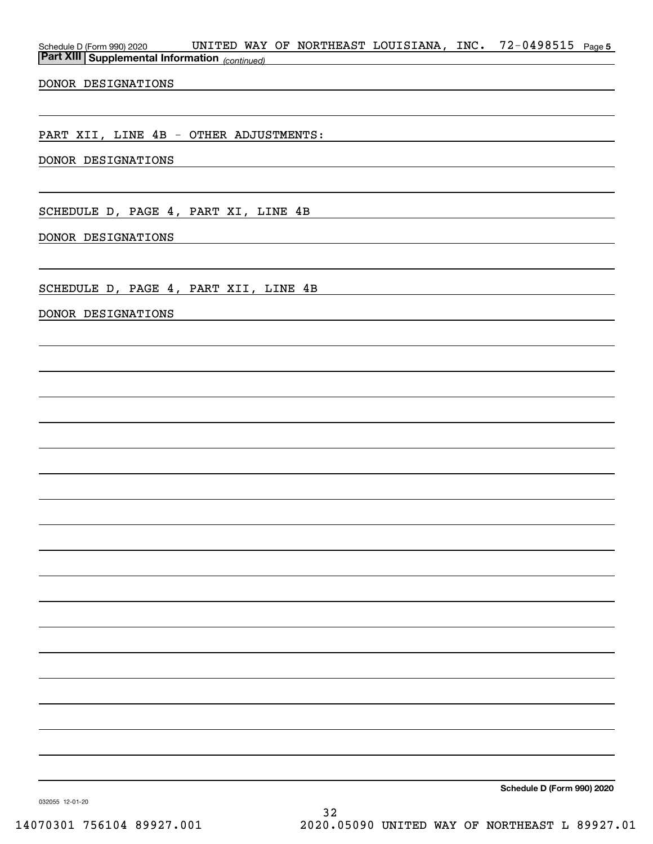| Schedule D (Form 990) 2020 UNITED WAY OF NORTHEAST LOUISIANA, INC. 72-0498515 Page 5<br><u>Part XIII Supplemental Information <sub>(continued)</sub></u><br>Part XIII Supplemental Information <sub>(continued)</sub> |  |                                                                                                                                                                                                                               |                                                                                  |  |
|-----------------------------------------------------------------------------------------------------------------------------------------------------------------------------------------------------------------------|--|-------------------------------------------------------------------------------------------------------------------------------------------------------------------------------------------------------------------------------|----------------------------------------------------------------------------------|--|
| DONOR DESIGNATIONS                                                                                                                                                                                                    |  | <u> 1980 - Jan Samuel Barbara, martin da shekara tsara 1980 - Andrea Samuel Barbara, marka a shekara tsara 1980</u>                                                                                                           |                                                                                  |  |
|                                                                                                                                                                                                                       |  |                                                                                                                                                                                                                               |                                                                                  |  |
| PART XII, LINE 4B - OTHER ADJUSTMENTS:                                                                                                                                                                                |  |                                                                                                                                                                                                                               |                                                                                  |  |
| DONOR DESIGNATIONS                                                                                                                                                                                                    |  |                                                                                                                                                                                                                               |                                                                                  |  |
|                                                                                                                                                                                                                       |  |                                                                                                                                                                                                                               |                                                                                  |  |
| SCHEDULE D, PAGE 4, PART XI, LINE 4B CHEDULE D, PAGE 4, PART XI, LINE 4B                                                                                                                                              |  |                                                                                                                                                                                                                               |                                                                                  |  |
| DONOR DESIGNATIONS                                                                                                                                                                                                    |  | the control of the control of the control of the control of the control of the control of the control of the control of the control of the control of the control of the control of the control of the control of the control |                                                                                  |  |
| SCHEDULE D, PAGE 4, PART XII, LINE 4B                                                                                                                                                                                 |  |                                                                                                                                                                                                                               |                                                                                  |  |
| DONOR DESIGNATIONS                                                                                                                                                                                                    |  |                                                                                                                                                                                                                               | ,我们也不会有什么。""我们的人,我们也不会有什么?""我们的人,我们也不会有什么?""我们的人,我们也不会有什么?""我们的人,我们也不会有什么?""我们的人 |  |
|                                                                                                                                                                                                                       |  |                                                                                                                                                                                                                               |                                                                                  |  |
|                                                                                                                                                                                                                       |  |                                                                                                                                                                                                                               |                                                                                  |  |
|                                                                                                                                                                                                                       |  |                                                                                                                                                                                                                               |                                                                                  |  |
|                                                                                                                                                                                                                       |  |                                                                                                                                                                                                                               |                                                                                  |  |
|                                                                                                                                                                                                                       |  |                                                                                                                                                                                                                               |                                                                                  |  |
|                                                                                                                                                                                                                       |  |                                                                                                                                                                                                                               |                                                                                  |  |
|                                                                                                                                                                                                                       |  |                                                                                                                                                                                                                               |                                                                                  |  |
|                                                                                                                                                                                                                       |  |                                                                                                                                                                                                                               |                                                                                  |  |
|                                                                                                                                                                                                                       |  |                                                                                                                                                                                                                               |                                                                                  |  |
|                                                                                                                                                                                                                       |  |                                                                                                                                                                                                                               |                                                                                  |  |
|                                                                                                                                                                                                                       |  |                                                                                                                                                                                                                               |                                                                                  |  |
|                                                                                                                                                                                                                       |  |                                                                                                                                                                                                                               |                                                                                  |  |
|                                                                                                                                                                                                                       |  |                                                                                                                                                                                                                               |                                                                                  |  |
|                                                                                                                                                                                                                       |  |                                                                                                                                                                                                                               |                                                                                  |  |
|                                                                                                                                                                                                                       |  |                                                                                                                                                                                                                               |                                                                                  |  |
|                                                                                                                                                                                                                       |  |                                                                                                                                                                                                                               |                                                                                  |  |
|                                                                                                                                                                                                                       |  |                                                                                                                                                                                                                               | Schedule D (Form 990) 2020                                                       |  |

032055 12-01-20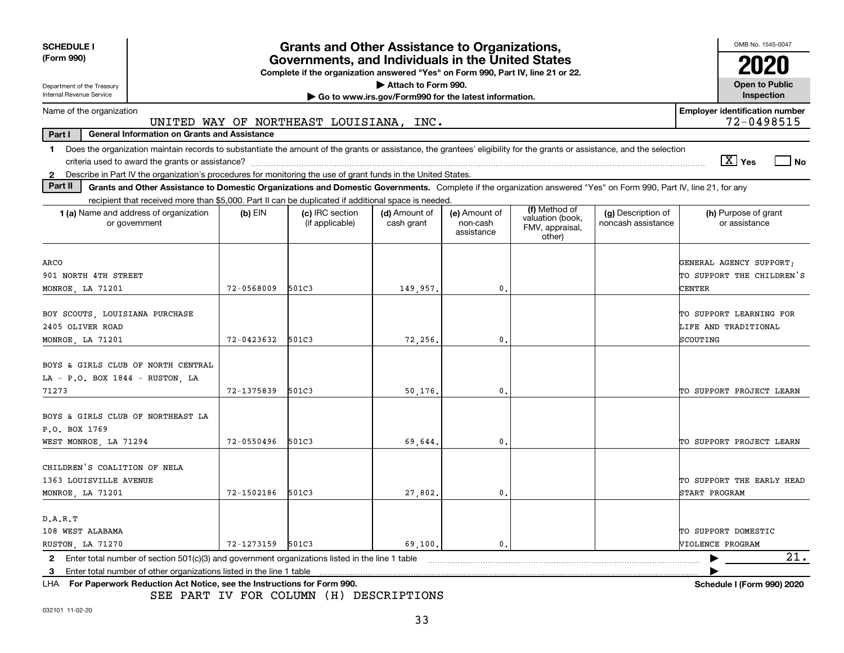| <b>SCHEDULE I</b>                                                                                                                                                              | <b>Grants and Other Assistance to Organizations,</b>                                                                                                             |                                         |                             |                                         |                                                                |                                          | OMB No. 1545-0047                               |
|--------------------------------------------------------------------------------------------------------------------------------------------------------------------------------|------------------------------------------------------------------------------------------------------------------------------------------------------------------|-----------------------------------------|-----------------------------|-----------------------------------------|----------------------------------------------------------------|------------------------------------------|-------------------------------------------------|
| (Form 990)                                                                                                                                                                     | Governments, and Individuals in the United States                                                                                                                |                                         |                             |                                         |                                                                |                                          |                                                 |
| Department of the Treasury<br>Internal Revenue Service                                                                                                                         | Complete if the organization answered "Yes" on Form 990, Part IV, line 21 or 22.<br>Attach to Form 990.<br>Go to www.irs.gov/Form990 for the latest information. |                                         |                             |                                         |                                                                |                                          |                                                 |
| Name of the organization                                                                                                                                                       |                                                                                                                                                                  |                                         |                             |                                         |                                                                |                                          | <b>Employer identification number</b>           |
|                                                                                                                                                                                |                                                                                                                                                                  | UNITED WAY OF NORTHEAST LOUISIANA, INC. |                             |                                         |                                                                |                                          | 72-0498515                                      |
| Part I<br><b>General Information on Grants and Assistance</b>                                                                                                                  |                                                                                                                                                                  |                                         |                             |                                         |                                                                |                                          |                                                 |
| Does the organization maintain records to substantiate the amount of the grants or assistance, the grantees' eligibility for the grants or assistance, and the selection<br>1. |                                                                                                                                                                  |                                         |                             |                                         |                                                                |                                          | $\boxed{\text{X}}$ Yes<br>  No                  |
| Describe in Part IV the organization's procedures for monitoring the use of grant funds in the United States.<br>$\mathbf{2}$                                                  |                                                                                                                                                                  |                                         |                             |                                         |                                                                |                                          |                                                 |
| Part II<br>Grants and Other Assistance to Domestic Organizations and Domestic Governments. Complete if the organization answered "Yes" on Form 990, Part IV, line 21, for any  |                                                                                                                                                                  |                                         |                             |                                         |                                                                |                                          |                                                 |
| recipient that received more than \$5,000. Part II can be duplicated if additional space is needed.<br>1 (a) Name and address of organization<br>or government                 | $(b)$ EIN                                                                                                                                                        | (c) IRC section<br>(if applicable)      | (d) Amount of<br>cash grant | (e) Amount of<br>non-cash<br>assistance | (f) Method of<br>valuation (book,<br>FMV, appraisal,<br>other) | (g) Description of<br>noncash assistance | (h) Purpose of grant<br>or assistance           |
|                                                                                                                                                                                |                                                                                                                                                                  |                                         |                             |                                         |                                                                |                                          |                                                 |
| ARCO                                                                                                                                                                           |                                                                                                                                                                  |                                         |                             |                                         |                                                                |                                          | GENERAL AGENCY SUPPORT;                         |
| 901 NORTH 4TH STREET                                                                                                                                                           |                                                                                                                                                                  |                                         |                             |                                         |                                                                |                                          | TO SUPPORT THE CHILDREN'S                       |
| MONROE, LA 71201                                                                                                                                                               | 72-0568009                                                                                                                                                       | 501C3                                   | 149,957.                    | 0.                                      |                                                                |                                          | CENTER                                          |
| BOY SCOUTS, LOUISIANA PURCHASE<br>2405 OLIVER ROAD                                                                                                                             |                                                                                                                                                                  |                                         |                             |                                         |                                                                |                                          | TO SUPPORT LEARNING FOR<br>LIFE AND TRADITIONAL |
| MONROE, LA 71201                                                                                                                                                               | 72-0423632                                                                                                                                                       | 501C3                                   | 72,256.                     | 0.                                      |                                                                |                                          | SCOUTING                                        |
| BOYS & GIRLS CLUB OF NORTH CENTRAL<br>LA - P.O. BOX 1844 - RUSTON, LA<br>71273                                                                                                 | 72-1375839                                                                                                                                                       | 501C3                                   | 50,176                      | $\mathbf{0}$                            |                                                                |                                          | TO SUPPORT PROJECT LEARN                        |
| BOYS & GIRLS CLUB OF NORTHEAST LA<br>P.O. BOX 1769                                                                                                                             |                                                                                                                                                                  |                                         |                             |                                         |                                                                |                                          |                                                 |
| WEST MONROE, LA 71294                                                                                                                                                          | 72-0550496                                                                                                                                                       | 501C3                                   | 69,644                      | 0.                                      |                                                                |                                          | TO SUPPORT PROJECT LEARN                        |
| CHILDREN'S COALITION OF NELA<br>1363 LOUISVILLE AVENUE                                                                                                                         |                                                                                                                                                                  |                                         |                             |                                         |                                                                |                                          | TO SUPPORT THE EARLY HEAD                       |
| MONROE, LA 71201                                                                                                                                                               | 72-1502186                                                                                                                                                       | 501C3                                   | 27,802.                     | $\mathbf{0}$                            |                                                                |                                          | START PROGRAM                                   |
| D.A.R.T<br>108 WEST ALABAMA                                                                                                                                                    |                                                                                                                                                                  |                                         |                             |                                         |                                                                |                                          | TO SUPPORT DOMESTIC                             |
| RUSTON, LA 71270                                                                                                                                                               | 72-1273159                                                                                                                                                       | 501C3                                   | 69,100.                     | 0.                                      |                                                                |                                          | VIOLENCE PROGRAM                                |
| Enter total number of section 501(c)(3) and government organizations listed in the line 1 table<br>$\mathbf{2}$                                                                |                                                                                                                                                                  |                                         |                             |                                         |                                                                |                                          | 21.                                             |
| Enter total number of other organizations listed in the line 1 table<br>3                                                                                                      |                                                                                                                                                                  |                                         |                             |                                         |                                                                |                                          |                                                 |
| LHA For Paperwork Reduction Act Notice, see the Instructions for Form 990.                                                                                                     |                                                                                                                                                                  |                                         |                             |                                         |                                                                |                                          | <b>Schedule I (Form 990) 2020</b>               |

SEE PART IV FOR COLUMN (H) DESCRIPTIONS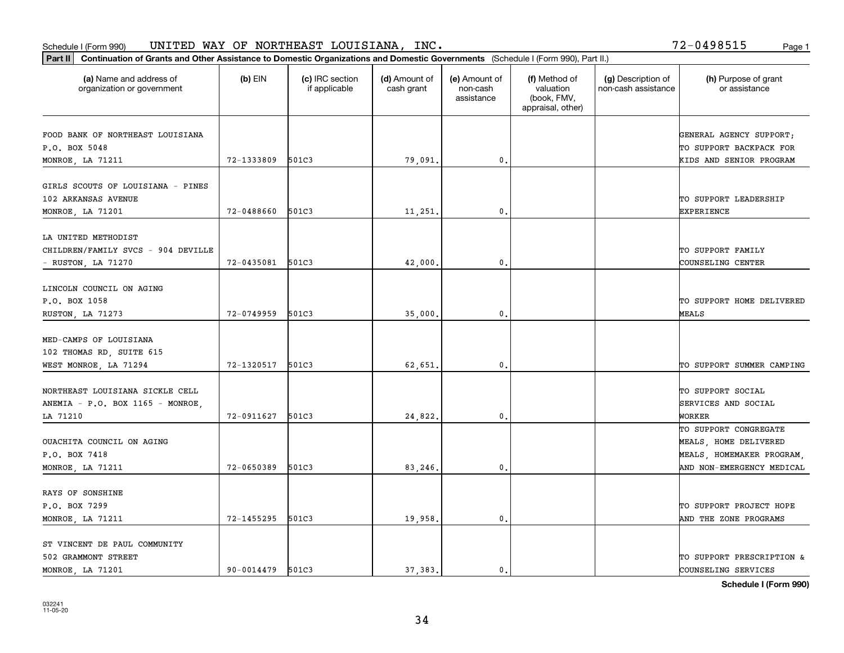#### Schedule I (Form 990) UNITED WAY OF NORTHEAST LOUISIANA, INC. Page 1 UNITED WAY OF NORTHEAST LOUISIANA, INC. 72-0498515

| (a) Name and address of<br>organization or government                           | $(b)$ EIN        | (c) IRC section<br>if applicable | (d) Amount of<br>cash grant | (e) Amount of<br>non-cash<br>assistance | (f) Method of<br>valuation<br>(book, FMV,<br>appraisal, other) | (g) Description of<br>non-cash assistance | (h) Purpose of grant<br>or assistance                                                                    |
|---------------------------------------------------------------------------------|------------------|----------------------------------|-----------------------------|-----------------------------------------|----------------------------------------------------------------|-------------------------------------------|----------------------------------------------------------------------------------------------------------|
| FOOD BANK OF NORTHEAST LOUISIANA<br>P.O. BOX 5048                               |                  |                                  |                             |                                         |                                                                |                                           | GENERAL AGENCY SUPPORT;<br>TO SUPPORT BACKPACK FOR                                                       |
| MONROE, LA 71211                                                                | 72-1333809       | 501C3                            | 79,091.                     | $^{\circ}$ .                            |                                                                |                                           | KIDS AND SENIOR PROGRAM                                                                                  |
| GIRLS SCOUTS OF LOUISIANA - PINES<br>102 ARKANSAS AVENUE<br>MONROE, LA 71201    | 72-0488660       | 501C3                            | 11,251.                     | 0.                                      |                                                                |                                           | TO SUPPORT LEADERSHIP<br>EXPERIENCE                                                                      |
| LA UNITED METHODIST<br>CHILDREN/FAMILY SVCS - 904 DEVILLE<br>- RUSTON, LA 71270 | 72-0435081       | 501C3                            | 42,000                      | $\mathfrak{o}$ .                        |                                                                |                                           | TO SUPPORT FAMILY<br>COUNSELING CENTER                                                                   |
| LINCOLN COUNCIL ON AGING<br>P.O. BOX 1058<br>RUSTON, LA 71273                   | 72-0749959       | 501C3                            | 35,000                      | $\mathfrak{o}$ .                        |                                                                |                                           | TO SUPPORT HOME DELIVERED<br><b>MEALS</b>                                                                |
| MED-CAMPS OF LOUISIANA<br>102 THOMAS RD, SUITE 615<br>WEST MONROE, LA 71294     | 72-1320517 501C3 |                                  | 62,651                      | 0.                                      |                                                                |                                           | TO SUPPORT SUMMER CAMPING                                                                                |
| NORTHEAST LOUISIANA SICKLE CELL<br>ANEMIA - P.O. BOX 1165 - MONROE,<br>LA 71210 | 72-0911627       | 501C3                            | 24,822.                     | 0.                                      |                                                                |                                           | TO SUPPORT SOCIAL<br>SERVICES AND SOCIAL<br>WORKER                                                       |
| OUACHITA COUNCIL ON AGING<br>P.O. BOX 7418<br>MONROE, LA 71211                  | 72-0650389       | 501C3                            | 83,246.                     | $\mathfrak{o}$ .                        |                                                                |                                           | TO SUPPORT CONGREGATE<br>MEALS, HOME DELIVERED<br>MEALS, HOMEMAKER PROGRAM,<br>AND NON-EMERGENCY MEDICAL |
| RAYS OF SONSHINE<br>P.O. BOX 7299<br>MONROE, LA 71211                           | 72-1455295 501C3 |                                  | 19,958.                     | $\mathfrak o$ .                         |                                                                |                                           | TO SUPPORT PROJECT HOPE<br>AND THE ZONE PROGRAMS                                                         |
| ST VINCENT DE PAUL COMMUNITY<br>502 GRAMMONT STREET<br>MONROE, LA 71201         | 90-0014479 501C3 |                                  | 37.383.                     | $\mathbf{0}$ .                          |                                                                |                                           | TO SUPPORT PRESCRIPTION &<br>COUNSELING SERVICES                                                         |

**Schedule I (Form 990)**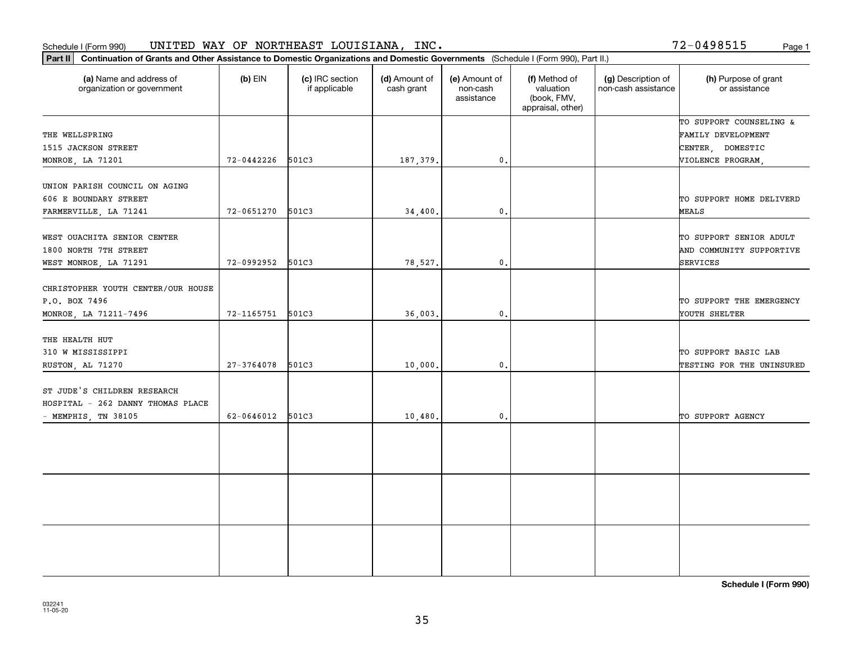### Schedule I (Form 990) Page 1 UNITED WAY OF NORTHEAST LOUISIANA, INC.

72-0498515

| Part II   Continuation of Grants and Other Assistance to Domestic Organizations and Domestic Governments (Schedule I (Form 990), Part II.) |                  |                                  |                             |                                         |                                                                |                                           |                                                                 |
|--------------------------------------------------------------------------------------------------------------------------------------------|------------------|----------------------------------|-----------------------------|-----------------------------------------|----------------------------------------------------------------|-------------------------------------------|-----------------------------------------------------------------|
| (a) Name and address of<br>organization or government                                                                                      | $(b)$ EIN        | (c) IRC section<br>if applicable | (d) Amount of<br>cash grant | (e) Amount of<br>non-cash<br>assistance | (f) Method of<br>valuation<br>(book, FMV,<br>appraisal, other) | (g) Description of<br>non-cash assistance | (h) Purpose of grant<br>or assistance                           |
|                                                                                                                                            |                  |                                  |                             |                                         |                                                                |                                           | TO SUPPORT COUNSELING &                                         |
| THE WELLSPRING                                                                                                                             |                  |                                  |                             |                                         |                                                                |                                           | FAMILY DEVELOPMENT                                              |
| 1515 JACKSON STREET                                                                                                                        |                  |                                  |                             |                                         |                                                                |                                           | CENTER, DOMESTIC                                                |
| MONROE, LA 71201                                                                                                                           | 72-0442226       | 501C3                            | 187,379.                    | 0.                                      |                                                                |                                           | VIOLENCE PROGRAM,                                               |
| UNION PARISH COUNCIL ON AGING<br>606 E BOUNDARY STREET                                                                                     |                  |                                  |                             |                                         |                                                                |                                           | TO SUPPORT HOME DELIVERD                                        |
| FARMERVILLE, LA 71241                                                                                                                      | 72-0651270       | 501C3                            | 34,400.                     | $\mathbf{0}$ .                          |                                                                |                                           | MEALS                                                           |
| WEST OUACHITA SENIOR CENTER<br>1800 NORTH 7TH STREET<br>WEST MONROE, LA 71291                                                              | 72-0992952       | 501C3                            | 78,527.                     | $\mathfrak{o}$ .                        |                                                                |                                           | TO SUPPORT SENIOR ADULT<br>AND COMMUNITY SUPPORTIVE<br>SERVICES |
|                                                                                                                                            |                  |                                  |                             |                                         |                                                                |                                           |                                                                 |
| CHRISTOPHER YOUTH CENTER/OUR HOUSE<br>P.O. BOX 7496                                                                                        |                  |                                  |                             |                                         |                                                                |                                           | TO SUPPORT THE EMERGENCY                                        |
| MONROE, LA 71211-7496                                                                                                                      | 72-1165751 501C3 |                                  | 36,003.                     | $\mathbf{0}$ .                          |                                                                |                                           | YOUTH SHELTER                                                   |
| THE HEALTH HUT<br>310 W MISSISSIPPI<br>RUSTON, AL 71270                                                                                    | 27-3764078       | 501C3                            | 10,000.                     | 0.                                      |                                                                |                                           | TO SUPPORT BASIC LAB<br>TESTING FOR THE UNINSURED               |
| ST JUDE'S CHILDREN RESEARCH<br>HOSPITAL - 262 DANNY THOMAS PLACE                                                                           |                  |                                  |                             |                                         |                                                                |                                           |                                                                 |
| $-$ MEMPHIS, TN 38105                                                                                                                      | 62-0646012       | 501C3                            | 10,480.                     | $\mathfrak{o}$ .                        |                                                                |                                           | TO SUPPORT AGENCY                                               |
|                                                                                                                                            |                  |                                  |                             |                                         |                                                                |                                           |                                                                 |
|                                                                                                                                            |                  |                                  |                             |                                         |                                                                |                                           |                                                                 |
|                                                                                                                                            |                  |                                  |                             |                                         |                                                                |                                           |                                                                 |

**Schedule I (Form 990)**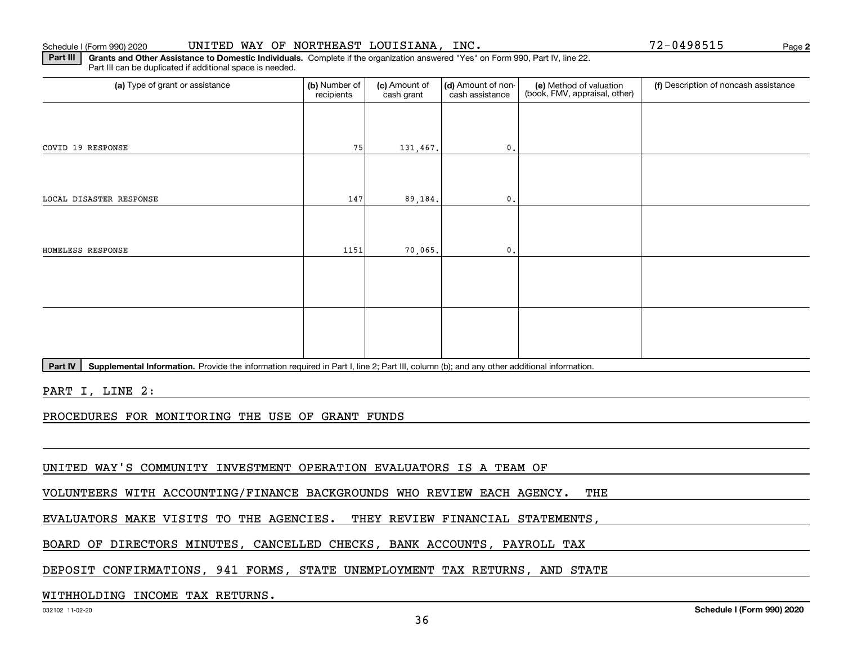**2**

**Part III | Grants and Other Assistance to Domestic Individuals. Complete if the organization answered "Yes" on Form 990, Part IV, line 22.** Part III can be duplicated if additional space is needed.

| (a) Type of grant or assistance | (b) Number of<br>recipients | (c) Amount of<br>cash grant | (d) Amount of non-<br>cash assistance | (e) Method of valuation<br>(book, FMV, appraisal, other) | (f) Description of noncash assistance |
|---------------------------------|-----------------------------|-----------------------------|---------------------------------------|----------------------------------------------------------|---------------------------------------|
|                                 |                             |                             |                                       |                                                          |                                       |
| COVID 19 RESPONSE               | 75                          | 131,467.                    | $\mathfrak o$ .                       |                                                          |                                       |
|                                 |                             |                             |                                       |                                                          |                                       |
| LOCAL DISASTER RESPONSE         | 147                         | 89,184.                     | $\mathbf 0$ .                         |                                                          |                                       |
|                                 |                             |                             |                                       |                                                          |                                       |
| HOMELESS RESPONSE               | 1151                        | 70,065.                     | 0.                                    |                                                          |                                       |
|                                 |                             |                             |                                       |                                                          |                                       |
|                                 |                             |                             |                                       |                                                          |                                       |
|                                 |                             |                             |                                       |                                                          |                                       |
|                                 |                             |                             |                                       |                                                          |                                       |

Part IV | Supplemental Information. Provide the information required in Part I, line 2; Part III, column (b); and any other additional information.

PART I, LINE 2:

PROCEDURES FOR MONITORING THE USE OF GRANT FUNDS

UNITED WAY'S COMMUNITY INVESTMENT OPERATION EVALUATORS IS A TEAM OF

VOLUNTEERS WITH ACCOUNTING/FINANCE BACKGROUNDS WHO REVIEW EACH AGENCY. THE

EVALUATORS MAKE VISITS TO THE AGENCIES. THEY REVIEW FINANCIAL STATEMENTS,

BOARD OF DIRECTORS MINUTES, CANCELLED CHECKS, BANK ACCOUNTS, PAYROLL TAX

DEPOSIT CONFIRMATIONS, 941 FORMS, STATE UNEMPLOYMENT TAX RETURNS, AND STATE

WITHHOLDING INCOME TAX RETURNS.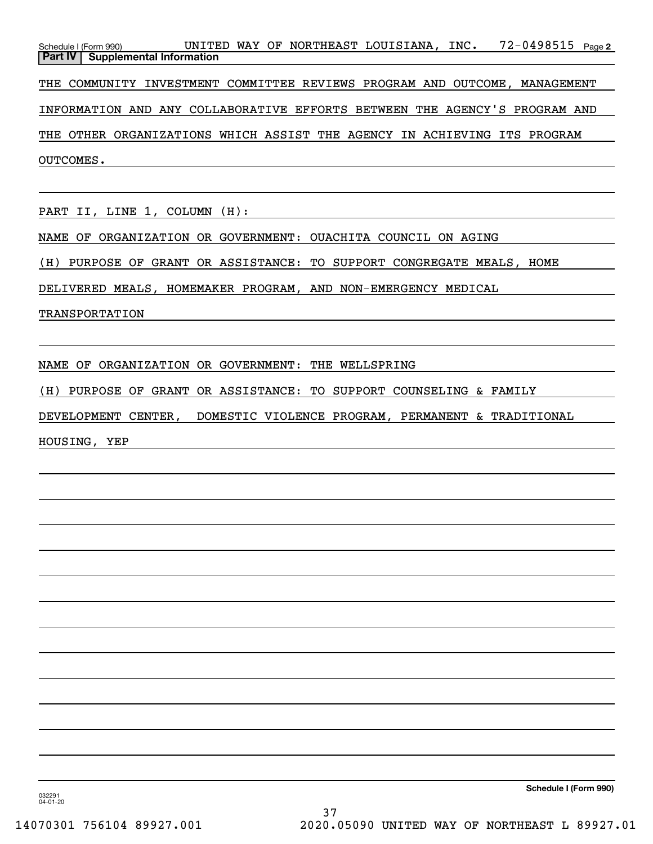| Schedule I (Form 990) <b>UNITED WAY OF NORTHEAST LOUISIANA, INC.</b> 72-0498515 Page 2<br>Part IV<br><b>Supplemental Information</b> |
|--------------------------------------------------------------------------------------------------------------------------------------|
| THE COMMUNITY INVESTMENT COMMITTEE REVIEWS PROGRAM AND OUTCOME, MANAGEMENT                                                           |
| INFORMATION AND ANY COLLABORATIVE EFFORTS BETWEEN THE AGENCY'S PROGRAM AND                                                           |
| THE OTHER ORGANIZATIONS WHICH ASSIST THE AGENCY IN ACHIEVING ITS PROGRAM                                                             |
| <b>OUTCOMES.</b>                                                                                                                     |
|                                                                                                                                      |
| PART II, LINE 1, COLUMN (H):                                                                                                         |
| OF ORGANIZATION OR GOVERNMENT: OUACHITA COUNCIL ON AGING<br>NAME                                                                     |
| (H) PURPOSE OF GRANT OR ASSISTANCE: TO SUPPORT CONGREGATE MEALS, HOME                                                                |
| DELIVERED MEALS, HOMEMAKER PROGRAM, AND NON-EMERGENCY MEDICAL                                                                        |
| <b>TRANSPORTATION</b>                                                                                                                |
|                                                                                                                                      |
| NAME OF ORGANIZATION OR GOVERNMENT: THE WELLSPRING                                                                                   |
| PURPOSE OF GRANT OR ASSISTANCE: TO SUPPORT COUNSELING & FAMILY<br>(H)                                                                |

DEVELOPMENT CENTER, DOMESTIC VIOLENCE PROGRAM, PERMANENT & TRADITIONAL

HOUSING, YEP

**Schedule I (Form 990)**

032291 04-01-20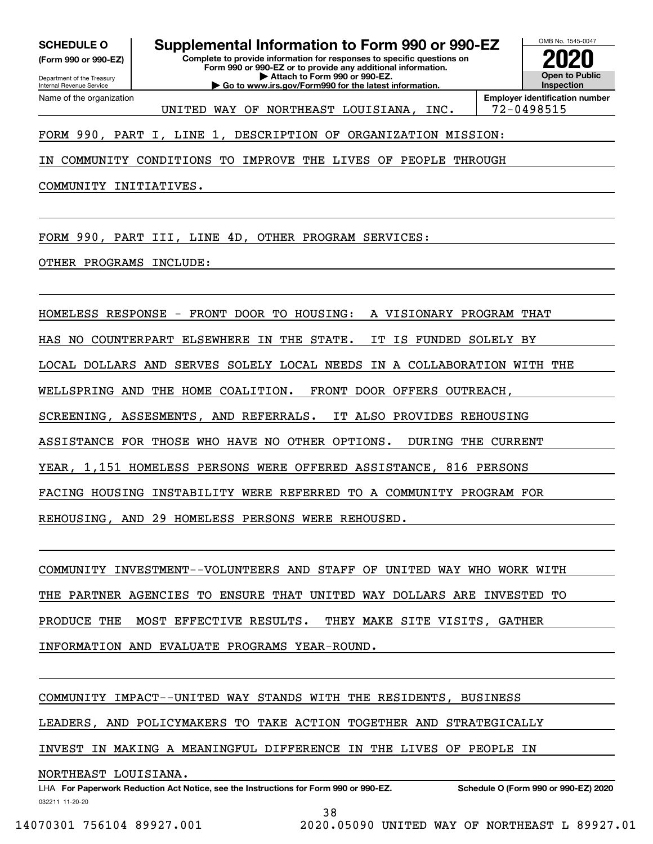**(Form 990 or 990-EZ)**

Department of the Treasury Internal Revenue Service Name of the organization

**Complete to provide information for responses to specific questions on Form 990 or 990-EZ or to provide any additional information. | Attach to Form 990 or 990-EZ. | Go to www.irs.gov/Form990 for the latest information. SCHEDULE O Supplemental Information to Form 990 or 990-EZ**



UNITED WAY OF NORTHEAST LOUISIANA, INC. | 72-0498515

FORM 990, PART I, LINE 1, DESCRIPTION OF ORGANIZATION MISSION:

IN COMMUNITY CONDITIONS TO IMPROVE THE LIVES OF PEOPLE THROUGH

COMMUNITY INITIATIVES.

FORM 990, PART III, LINE 4D, OTHER PROGRAM SERVICES:

OTHER PROGRAMS INCLUDE:

HOMELESS RESPONSE - FRONT DOOR TO HOUSING: A VISIONARY PROGRAM THAT

HAS NO COUNTERPART ELSEWHERE IN THE STATE. IT IS FUNDED SOLELY BY

LOCAL DOLLARS AND SERVES SOLELY LOCAL NEEDS IN A COLLABORATION WITH THE

WELLSPRING AND THE HOME COALITION. FRONT DOOR OFFERS OUTREACH,

SCREENING, ASSESMENTS, AND REFERRALS. IT ALSO PROVIDES REHOUSING

ASSISTANCE FOR THOSE WHO HAVE NO OTHER OPTIONS. DURING THE CURRENT

YEAR, 1,151 HOMELESS PERSONS WERE OFFERED ASSISTANCE, 816 PERSONS

FACING HOUSING INSTABILITY WERE REFERRED TO A COMMUNITY PROGRAM FOR

REHOUSING, AND 29 HOMELESS PERSONS WERE REHOUSED.

COMMUNITY INVESTMENT--VOLUNTEERS AND STAFF OF UNITED WAY WHO WORK WITH THE PARTNER AGENCIES TO ENSURE THAT UNITED WAY DOLLARS ARE INVESTED TO PRODUCE THE MOST EFFECTIVE RESULTS. THEY MAKE SITE VISITS, GATHER INFORMATION AND EVALUATE PROGRAMS YEAR-ROUND.

COMMUNITY IMPACT--UNITED WAY STANDS WITH THE RESIDENTS, BUSINESS

LEADERS, AND POLICYMAKERS TO TAKE ACTION TOGETHER AND STRATEGICALLY

INVEST IN MAKING A MEANINGFUL DIFFERENCE IN THE LIVES OF PEOPLE IN

NORTHEAST LOUISIANA.

032211 11-20-20 LHA For Paperwork Reduction Act Notice, see the Instructions for Form 990 or 990-EZ. Schedule O (Form 990 or 990-EZ) 2020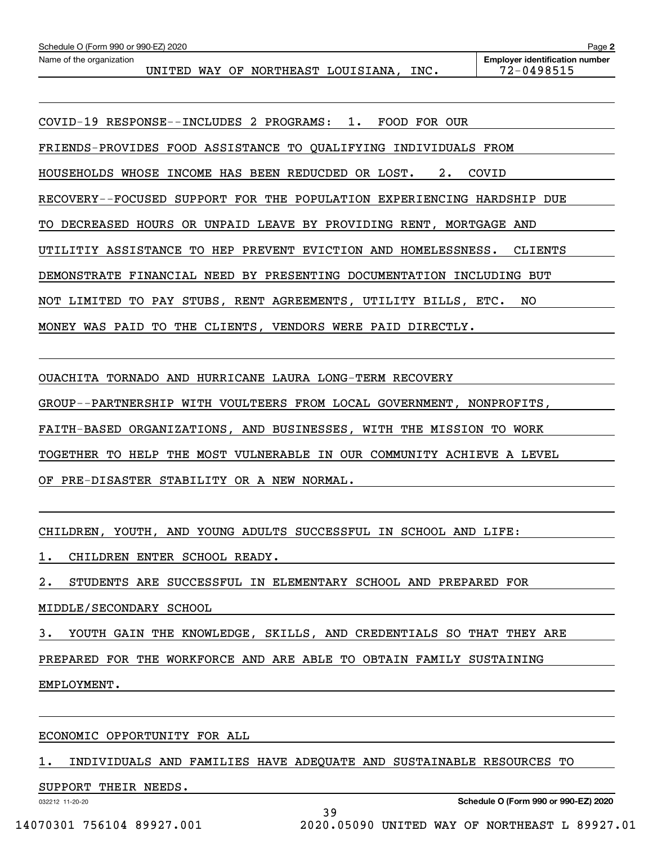COVID-19 RESPONSE--INCLUDES 2 PROGRAMS: 1. FOOD FOR OUR FRIENDS-PROVIDES FOOD ASSISTANCE TO QUALIFYING INDIVIDUALS FROM HOUSEHOLDS WHOSE INCOME HAS BEEN REDUCDED OR LOST. 2. COVID RECOVERY--FOCUSED SUPPORT FOR THE POPULATION EXPERIENCING HARDSHIP DUE TO DECREASED HOURS OR UNPAID LEAVE BY PROVIDING RENT, MORTGAGE AND UTILITIY ASSISTANCE TO HEP PREVENT EVICTION AND HOMELESSNESS. CLIENTS DEMONSTRATE FINANCIAL NEED BY PRESENTING DOCUMENTATION INCLUDING BUT NOT LIMITED TO PAY STUBS, RENT AGREEMENTS, UTILITY BILLS, ETC. NO MONEY WAS PAID TO THE CLIENTS, VENDORS WERE PAID DIRECTLY.

OUACHITA TORNADO AND HURRICANE LAURA LONG-TERM RECOVERY

GROUP--PARTNERSHIP WITH VOULTEERS FROM LOCAL GOVERNMENT, NONPROFITS,

FAITH-BASED ORGANIZATIONS, AND BUSINESSES, WITH THE MISSION TO WORK

TOGETHER TO HELP THE MOST VULNERABLE IN OUR COMMUNITY ACHIEVE A LEVEL

OF PRE-DISASTER STABILITY OR A NEW NORMAL.

CHILDREN, YOUTH, AND YOUNG ADULTS SUCCESSFUL IN SCHOOL AND LIFE:

CHILDREN ENTER SCHOOL READY.

2. STUDENTS ARE SUCCESSFUL IN ELEMENTARY SCHOOL AND PREPARED FOR

MIDDLE/SECONDARY SCHOOL

3. YOUTH GAIN THE KNOWLEDGE, SKILLS, AND CREDENTIALS SO THAT THEY ARE

PREPARED FOR THE WORKFORCE AND ARE ABLE TO OBTAIN FAMILY SUSTAINING

EMPLOYMENT.

ECONOMIC OPPORTUNITY FOR ALL

1. INDIVIDUALS AND FAMILIES HAVE ADEQUATE AND SUSTAINABLE RESOURCES TO

39

SUPPORT THEIR NEEDS.

032212 11-20-20

**Schedule O (Form 990 or 990-EZ) 2020**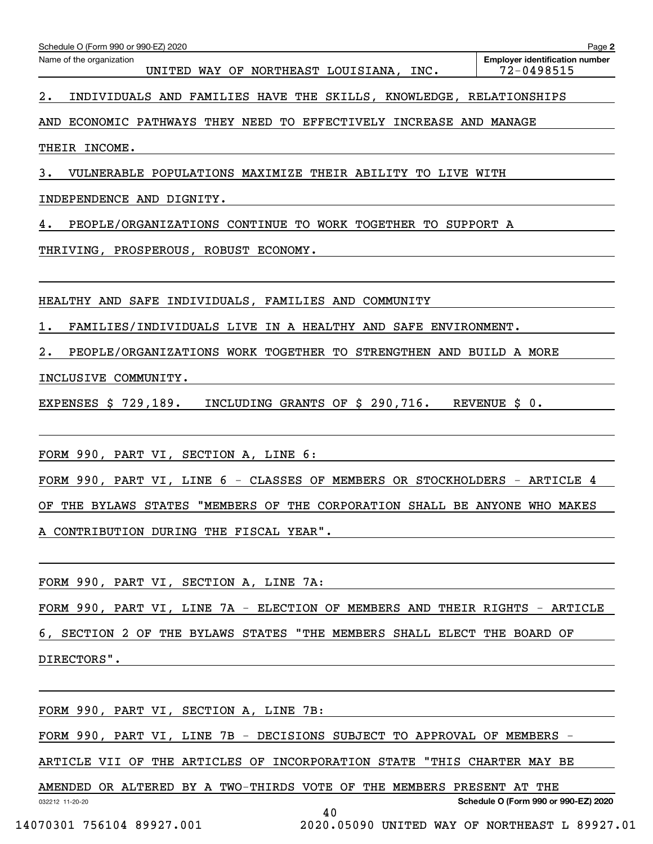| Schedule O (Form 990 or 990-EZ) 2020                                        |                                                       | Page 2                                              |
|-----------------------------------------------------------------------------|-------------------------------------------------------|-----------------------------------------------------|
| Name of the organization                                                    | UNITED WAY OF NORTHEAST LOUISIANA, INC.               | <b>Employer identification number</b><br>72-0498515 |
| 2.<br>INDIVIDUALS AND FAMILIES HAVE THE SKILLS, KNOWLEDGE, RELATIONSHIPS    |                                                       |                                                     |
| ECONOMIC PATHWAYS THEY NEED TO EFFECTIVELY INCREASE AND MANAGE<br>AND       |                                                       |                                                     |
| THEIR INCOME.                                                               |                                                       |                                                     |
| 3.<br>VULNERABLE POPULATIONS MAXIMIZE THEIR ABILITY TO LIVE WITH            |                                                       |                                                     |
| INDEPENDENCE AND DIGNITY.                                                   |                                                       |                                                     |
| PEOPLE/ORGANIZATIONS CONTINUE TO WORK TOGETHER TO SUPPORT A<br>4.           |                                                       |                                                     |
| THRIVING, PROSPEROUS, ROBUST ECONOMY.                                       |                                                       |                                                     |
|                                                                             |                                                       |                                                     |
| HEALTHY AND SAFE INDIVIDUALS, FAMILIES AND COMMUNITY                        |                                                       |                                                     |
| FAMILIES/INDIVIDUALS LIVE IN A HEALTHY AND SAFE ENVIRONMENT.<br>1.          |                                                       |                                                     |
| 2.<br>PEOPLE/ORGANIZATIONS WORK TOGETHER TO STRENGTHEN AND BUILD A MORE     |                                                       |                                                     |
| INCLUSIVE COMMUNITY.                                                        |                                                       |                                                     |
| EXPENSES \$ 729,189.                                                        | INCLUDING GRANTS OF \$ 290,716.                       | REVENUE \$ 0.                                       |
|                                                                             |                                                       |                                                     |
| FORM 990, PART VI, SECTION A, LINE 6:                                       |                                                       |                                                     |
| FORM 990, PART VI, LINE 6 - CLASSES OF MEMBERS OR STOCKHOLDERS - ARTICLE 4  |                                                       |                                                     |
| THE BYLAWS STATES<br>OF                                                     | "MEMBERS OF THE CORPORATION SHALL BE ANYONE WHO MAKES |                                                     |
| A CONTRIBUTION DURING THE FISCAL YEAR".                                     |                                                       |                                                     |
|                                                                             |                                                       |                                                     |
| FORM 990, PART VI, SECTION A, LINE 7A:                                      |                                                       |                                                     |
| FORM 990, PART VI, LINE 7A - ELECTION OF MEMBERS AND THEIR RIGHTS - ARTICLE |                                                       |                                                     |
| 6, SECTION 2 OF THE BYLAWS STATES "THE MEMBERS SHALL ELECT THE BOARD OF     |                                                       |                                                     |
| DIRECTORS".                                                                 |                                                       |                                                     |
|                                                                             |                                                       |                                                     |
| FORM 990, PART VI, SECTION A, LINE 7B:                                      |                                                       |                                                     |
| FORM 990, PART VI, LINE 7B - DECISIONS SUBJECT TO APPROVAL OF MEMBERS -     |                                                       |                                                     |
| ARTICLE VII OF THE ARTICLES OF INCORPORATION STATE "THIS CHARTER MAY BE     |                                                       |                                                     |
| AMENDED OR ALTERED BY A TWO-THIRDS VOTE OF THE MEMBERS PRESENT AT THE       |                                                       |                                                     |
| 032212 11-20-20                                                             | 40                                                    | Schedule O (Form 990 or 990-EZ) 2020                |
| 14070301 756104 89927.001                                                   | 2020.05090 UNITED WAY OF NORTHEAST L 89927.01         |                                                     |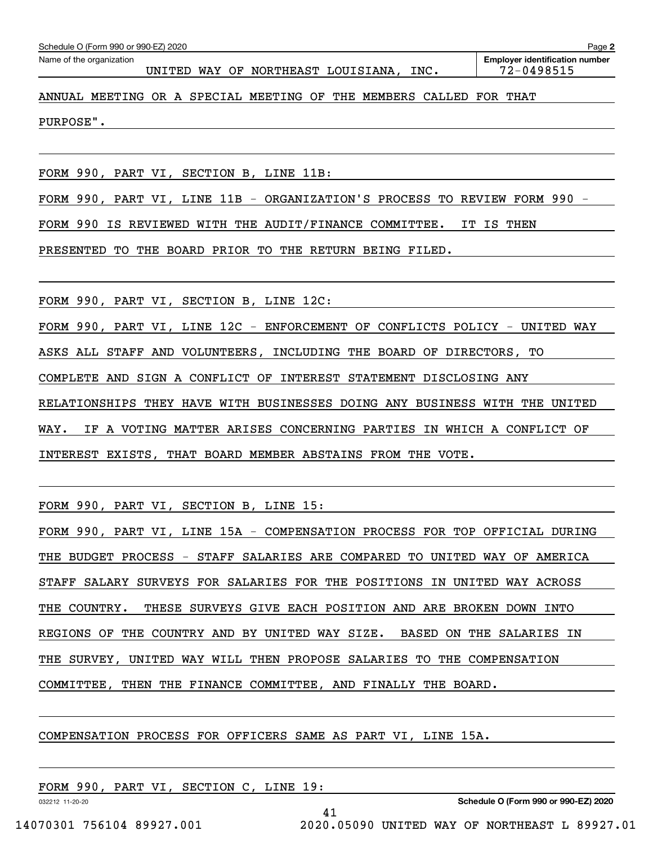| Schedule O (Form 990 or 990-EZ) 2020                                       | Page 2                                              |
|----------------------------------------------------------------------------|-----------------------------------------------------|
| Name of the organization<br>UNITED WAY OF<br>NORTHEAST LOUISIANA, INC.     | <b>Employer identification number</b><br>72-0498515 |
| ANNUAL MEETING OR A SPECIAL MEETING OF<br>THE MEMBERS                      | CALLED FOR THAT                                     |
| PURPOSE".                                                                  |                                                     |
|                                                                            |                                                     |
| FORM 990, PART VI, SECTION B, LINE 11B:                                    |                                                     |
| FORM 990, PART VI, LINE 11B - ORGANIZATION'S PROCESS TO REVIEW FORM 990 -  |                                                     |
| FORM 990 IS REVIEWED WITH THE AUDIT/FINANCE COMMITTEE.<br>IT               | IS THEN                                             |
| THE BOARD PRIOR TO THE RETURN BEING FILED.<br>PRESENTED TO                 |                                                     |
|                                                                            |                                                     |
| FORM 990, PART VI, SECTION B, LINE 12C:                                    |                                                     |
| FORM 990, PART VI, LINE 12C - ENFORCEMENT OF CONFLICTS POLICY - UNITED WAY |                                                     |
| AND VOLUNTEERS, INCLUDING THE BOARD OF DIRECTORS, TO<br>ASKS ALL STAFF     |                                                     |

COMPLETE AND SIGN A CONFLICT OF INTEREST STATEMENT DISCLOSING ANY

RELATIONSHIPS THEY HAVE WITH BUSINESSES DOING ANY BUSINESS WITH THE UNITED

WAY. IF A VOTING MATTER ARISES CONCERNING PARTIES IN WHICH A CONFLICT OF

INTEREST EXISTS, THAT BOARD MEMBER ABSTAINS FROM THE VOTE.

FORM 990, PART VI, SECTION B, LINE 15:

FORM 990, PART VI, LINE 15A - COMPENSATION PROCESS FOR TOP OFFICIAL DURING THE BUDGET PROCESS - STAFF SALARIES ARE COMPARED TO UNITED WAY OF AMERICA STAFF SALARY SURVEYS FOR SALARIES FOR THE POSITIONS IN UNITED WAY ACROSS THE COUNTRY. THESE SURVEYS GIVE EACH POSITION AND ARE BROKEN DOWN INTO REGIONS OF THE COUNTRY AND BY UNITED WAY SIZE. BASED ON THE SALARIES IN THE SURVEY, UNITED WAY WILL THEN PROPOSE SALARIES TO THE COMPENSATION COMMITTEE, THEN THE FINANCE COMMITTEE, AND FINALLY THE BOARD.

41

COMPENSATION PROCESS FOR OFFICERS SAME AS PART VI, LINE 15A.

|  |  |  |  |  | FORM 990, PART VI, SECTION C, LINE 19: |  |  |  |  |
|--|--|--|--|--|----------------------------------------|--|--|--|--|
|--|--|--|--|--|----------------------------------------|--|--|--|--|

032212 11-20-20

**Schedule O (Form 990 or 990-EZ) 2020**

**2**